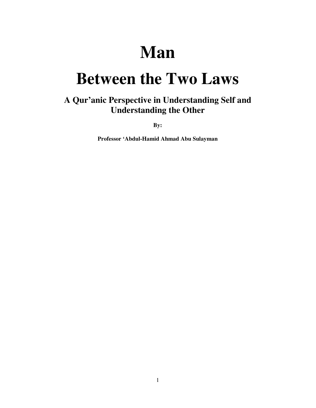# **Man**

# **Between the Two Laws**

## **A Qur'anic Perspective in Understanding Self and Understanding the Other**

**By:** 

**Professor 'Abdul-Hamid Ahmad Abu Sulayman**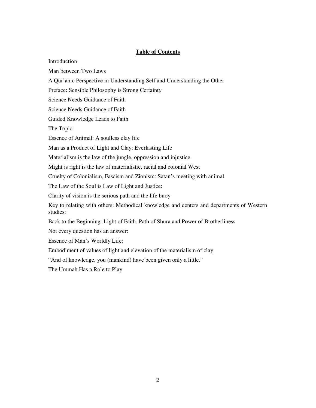#### **Table of Contents**

**Introduction** Man between Two Laws A Qur'anic Perspective in Understanding Self and Understanding the Other Preface: Sensible Philosophy is Strong Certainty Science Needs Guidance of Faith Science Needs Guidance of Faith Guided Knowledge Leads to Faith The Topic: Essence of Animal: A soulless clay life Man as a Product of Light and Clay: Everlasting Life Materialism is the law of the jungle, oppression and injustice Might is right is the law of materialistic, racial and colonial West Cruelty of Colonialism, Fascism and Zionism: Satan's meeting with animal The Law of the Soul is Law of Light and Justice: Clarity of vision is the serious path and the life buoy Key to relating with others: Methodical knowledge and centers and departments of Western studies: Back to the Beginning: Light of Faith, Path of Shura and Power of Brotherliness Not every question has an answer: Essence of Man's Worldly Life: Embodiment of values of light and elevation of the materialism of clay "And of knowledge, you (mankind) have been given only a little." The Ummah Has a Role to Play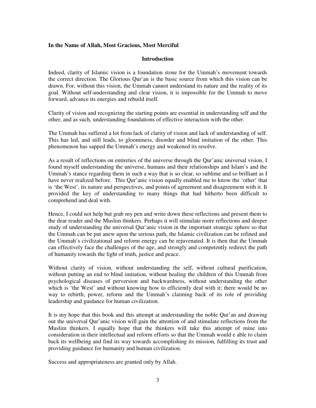#### **In the Name of Allah, Most Gracious, Most Merciful**

#### **Introduction**

Indeed, clarity of Islamic vision is a foundation stone for the Ummah's movement towards the correct direction. The Glorious Qur'an is the basic source from which this vision can be drawn. For, without this vision, the Ummah cannot understand its nature and the reality of its goal. Without self-understanding and clear vision, it is impossible for the Ummah to move forward, advance its energies and rebuild itself.

Clarity of vision and recognizing the starting points are essential in understanding self and the other, and as such, understanding foundations of effective interaction with the other.

The Ummah has suffered a lot from lack of clarity of vision and lack of understanding of self. This has led, and still leads, to gloominess, disorder and blind imitation of the other. This phenomenon has sapped the Ummah's energy and weakened its resolve.

As a result of reflections on entireties of the universe through the Qur'anic universal vision, I found myself understanding the universe, humans and their relationships and Islam's and the Ummah's stance regarding them in such a way that is so clear, so sublime and so brilliant as I have never realized before. This Qur'anic vision equally enabled me to know the 'other' that is 'the West', its nature and perspectives, and points of agreement and disagreement with it. It provided the key of understanding to many things that had hitherto been difficult to comprehend and deal with.

Hence, I could not help but grab my pen and write down these reflections and present them to the dear reader and the Muslim thinkers. Perhaps it will stimulate more reflections and deeper study of understanding the universal Qur'anic vision in the important strategic sphere so that the Ummah can be put anew upon the serious path, the Islamic civilization can be refined and the Ummah's civilizational and reform energy can be rejuvenated. It is then that the Ummah can effectively face the challenges of the age, and strongly and competently redirect the path of humanity towards the light of truth, justice and peace.

Without clarity of vision, without understanding the self, without cultural purification, without putting an end to blind imitation, without healing the children of this Ummah from psychological diseases of perversion and backwardness, without understanding the other which is 'the West' and without knowing how to efficiently deal with it; there would be no way to rebirth, power, reform and the Ummah's claiming back of its role of providing leadership and guidance for human civilization.

It is my hope that this book and this attempt at understanding the noble Qur'an and drawing out the universal Qur'anic vision will gain the attention of and stimulate reflections from the Muslim thinkers. I equally hope that the thinkers will take this attempt of mine into consideration in their intellectual and reform efforts so that the Ummah would e able to claim back its wellbeing and find its way towards accomplishing its mission, fulfilling its trust and providing guidance for humanity and human civilization.

Success and appropriateness are granted only by Allah.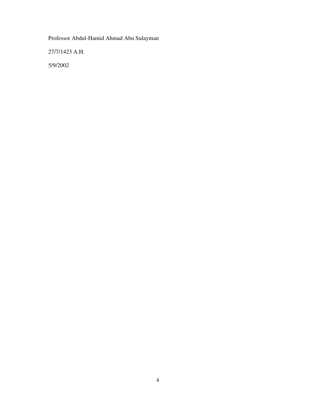Professor Abdul-Hamid Ahmad Abu Sulayman

27/7/1423 A.H.

5/9/2002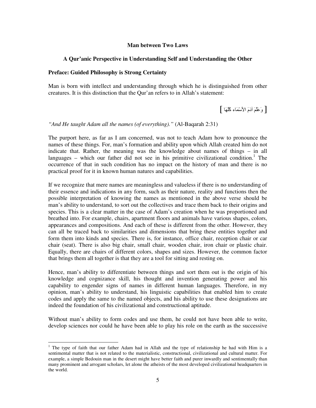#### **Man between Two Laws**

#### **A Qur'anic Perspective in Understanding Self and Understanding the Other**

#### **Preface: Guided Philosophy is Strong Certainty**

Man is born with intellect and understanding through which he is distinguished from other creatures. It is this distinction that the Qur'an refers to in Allah's statement:

[ وَعَلَّمَ آدَمَ الأسْمَاء كُلُّهَا ]

*"And He taught Adam all the names (of everything)."* (Al-Baqarah 2:31)

The purport here, as far as I am concerned, was not to teach Adam how to pronounce the names of these things. For, man's formation and ability upon which Allah created him do not indicate that. Rather, the meaning was the knowledge about names of things – in all languages – which our father did not see in his primitive civilizational condition.<sup>1</sup> The occurrence of that in such condition has no impact on the history of man and there is no practical proof for it in known human natures and capabilities.

If we recognize that mere names are meaningless and valueless if there is no understanding of their essence and indications in any form, such as their nature, reality and functions then the possible interpretation of knowing the names as mentioned in the above verse should be man's ability to understand, to sort out the collectives and trace them back to their origins and species. This is a clear matter in the case of Adam's creation when he was proportioned and breathed into. For example, chairs, apartment floors and animals have various shapes, colors, appearances and compositions. And each of these is different from the other. However, they can all be traced back to similarities and dimensions that bring these entities together and form them into kinds and species. There is, for instance, office chair, reception chair or car chair (seat). There is also big chair, small chair, wooden chair, iron chair or plastic chair. Equally, there are chairs of different colors, shapes and sizes. However, the common factor that brings them all together is that they are a tool for sitting and resting on.

Hence, man's ability to differentiate between things and sort them out is the origin of his knowledge and cognizance skill, his thought and invention generating power and his capability to engender signs of names in different human languages. Therefore, in my opinion, man's ability to understand, his linguistic capabilities that enabled him to create codes and apply the same to the named objects, and his ability to use these designations are indeed the foundation of his civilizational and constructional aptitude.

Without man's ability to form codes and use them, he could not have been able to write, develop sciences nor could he have been able to play his role on the earth as the successive

<sup>-</sup><sup>1</sup> The type of faith that our father Adam had in Allah and the type of relationship he had with Him is a sentimental matter that is not related to the materialistic, constructional, civilizational and cultural matter. For example, a simple Bedouin man in the desert might have better faith and purer inwardly and sentimentally than many prominent and arrogant scholars, let alone the atheists of the most developed civilizational headquarters in the world.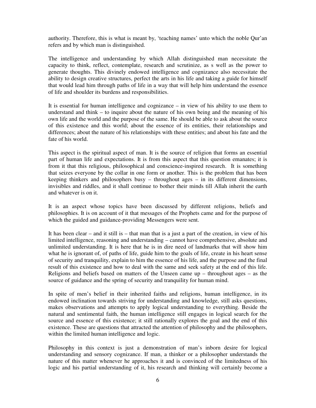authority. Therefore, this is what is meant by, 'teaching names' unto which the noble Qur'an refers and by which man is distinguished.

The intelligence and understanding by which Allah distinguished man necessitate the capacity to think, reflect, contemplate, research and scrutinize, as s well as the power to generate thoughts. This divinely endowed intelligence and cognizance also necessitate the ability to design creative structures, perfect the arts in his life and taking a guide for himself that would lead him through paths of life in a way that will help him understand the essence of life and shoulder its burdens and responsibilities.

It is essential for human intelligence and cognizance – in view of his ability to use them to understand and think – to inquire about the nature of his own being and the meaning of his own life and the world and the purpose of the same. He should be able to ask about the source of this existence and this world; about the essence of its entities, their relationships and differences; about the nature of his relationships with these entities; and about his fate and the fate of his world.

This aspect is the spiritual aspect of man. It is the source of religion that forms an essential part of human life and expectations. It is from this aspect that this question emanates; it is from it that this religious, philosophical and conscience-inspired research. It is something that seizes everyone by the collar in one form or another. This is the problem that has been keeping thinkers and philosophers busy – throughout ages – in its different dimensions, invisibles and riddles, and it shall continue to bother their minds till Allah inherit the earth and whatever is on it.

It is an aspect whose topics have been discussed by different religions, beliefs and philosophies. It is on account of it that messages of the Prophets came and for the purpose of which the guided and guidance-providing Messengers were sent.

It has been clear – and it still is – that man that is a just a part of the creation, in view of his limited intelligence, reasoning and understanding – cannot have comprehensive, absolute and unlimited understanding. It is here that he is in dire need of landmarks that will show him what he is ignorant of, of paths of life, guide him to the goals of life, create in his heart sense of security and tranquility, explain to him the essence of his life, and the purpose and the final result of this existence and how to deal with the same and seek safety at the end of this life. Religions and beliefs based on matters of the Unseen came up – throughout ages – as the source of guidance and the spring of security and tranquility for human mind.

In spite of men's belief in their inherited faiths and religions, human intelligence, in its endowed inclination towards striving for understanding and knowledge, still asks questions, makes observations and attempts to apply logical understanding to everything. Beside the natural and sentimental faith, the human intelligence still engages in logical search for the source and essence of this existence; it still rationally explores the goal and the end of this existence. These are questions that attracted the attention of philosophy and the philosophers, within the limited human intelligence and logic.

Philosophy in this context is just a demonstration of man's inborn desire for logical understanding and sensory cognizance. If man, a thinker or a philosopher understands the nature of this matter whenever he approaches it and is convinced of the limitedness of his logic and his partial understanding of it, his research and thinking will certainly become a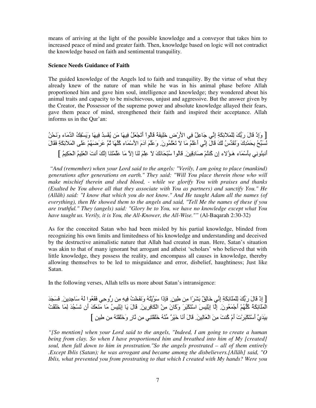means of arriving at the light of the possible knowledge and a conveyor that takes him to increased peace of mind and greater faith. Then, knowledge based on logic will not contradict the knowledge based on faith and sentimental tranquility.

#### **Science Needs Guidance of Faith**

The guided knowledge of the Angels led to faith and tranquility. By the virtue of what they already knew of the nature of man while he was in his animal phase before Allah proportioned him and gave him soul, intelligence and knowledge; they wondered about his animal traits and capacity to be mischievous, unjust and aggressive. But the answer given by the Creator, the Possessor of the supreme power and absolute knowledge allayed their fears, gave them peace of mind, strengthened their faith and inspired their acceptance. Allah informs us in the Qur'an:

[ وَإِذْ قَالَ رَبُّكَ لِلْمَلائِكَةِ إِنِّي جَاعِلٌ فِي الأَرْضِ خَلِيفَةً قَالُواْ أَتَجْعَلُ فِيهَا مَن يُفْسِدُ فِيهَا وَيَسْفِكُ الدِّمَاء وَنَحْنُ نُسَبِّحُ بِحَمْدِكَ وَنُقَدِّسُ لَكَ قَالَ إِنِّي أَعْلَمُ مَا لاَ تَعْلَمُونَ ۖ وَعَلَمَ آدَمَ الأَسْمَاء كُلُّهَا ثُمَّ عَرَضَهُمْ عَلَى الْمَلاَئِكَةِ فَقَالَ أَنبِئُونِي بِأَسْمَاءِ هَـؤُلاء إن كُنتُمْ صَادِقِينَ. قَالُواْ سُبْحَانَكَ لاَ عِلْمَ لَذَا إلاَّ مَا عَلَمْتَنَا إنَّكَ أنتَ الْعَلِيمُ الْحَكِيمُ ]

 *"And (remember) when your Lord said to the angels: "Verily, I am going to place (mankind) generations after generations on earth." They said: "Will You place therein those who will make mischief therein and shed blood, - while we glorify You with praises and thanks (Exalted be You above all that they associate with You as partners) and sanctify You." He (Allâh) said: "I know that which you do not know." And He taught Adam all the names (of everything), then He showed them to the angels and said, "Tell Me the names of these if you are truthful." They (angels) said: "Glory be to You, we have no knowledge except what You have taught us. Verily, it is You, the All-Knower, the All-Wise.""* (Al-Baqarah 2:30-32)

As for the conceited Satan who had been misled by his partial knowledge, blinded from recognizing his own limits and limitedness of his knowledge and understanding and deceived by the destructive animalistic nature that Allah had created in man. Here, Satan's situation was akin to that of many ignorant but arrogant and atheist 'scholars' who believed that with little knowledge, they possess the reality, and encompass all causes in knowledge, thereby allowing themselves to be led to misguidance and error, disbelief, haughtiness; Just like Satan.

In the following verses, Allah tells us more about Satan's intransigence:

[ إِذْ قَالَ رَبُّكَ لِلْمَلَائِكَةِ إِنِّي خَالِقٌ بَشَرًا مِن طِينٍ. فَإِذَا سَوَّيْتُهُ وَنَفَخْتُ فِيهِ مِن رُّوحِي فَقَعُوا لَهُ سَاجِدِينَ. فَسَجَدَ الْمَلَائِكَةُ كُلُّهُمْ أَجْمَعُونَ لِأَا إِبْلِيسَ اسْتَكْبَرَ وَكَانَ مِنْ الْكَافِرِينَ ۚ قَالَ يَا إِبْلِيسُ مَا مَنَعَكَ أَن تَسْجُدَ لِمَا خَلَقْتُ بِيَدَيَّ أَسْتَكْبَرْتَ أَمْ كُنتَ مِنَ الْعَالِينَ. قَالَ أَنَا خَيْرٌ مِّنْهُ خَلْقْتَنِي مِن نَّارِ وَخَلْقْتَهُ مِن طِينِ ]

*"[So mention] when your Lord said to the angels, "Indeed, I am going to create a human being from clay. So when I have proportioned him and breathed into him of My [created] soul, then fall down to him in prostration."So the angels prostrated – all of them entirely .Except Iblis (Satan); he was arrogant and became among the disbelievers.[All*ā*h] said, "O Iblis, what prevented you from prostrating to that which I created with My hands? Were you*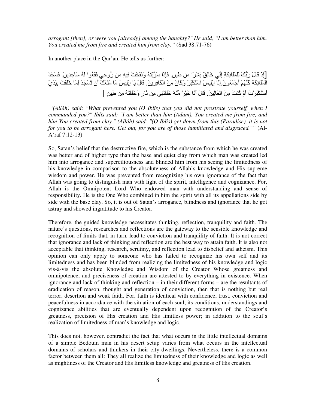*arrogant [then], or were you [already] among the haughty?" He said, "I am better than him. You created me from fire and created him from clay."* (Sad 38:71-76)

In another place in the Qur'an, He tells us further:

[إِذْ قَالَ رَبُّكَ لِلْمَلَائِكَةِ إِنِّي خَالِقٌ بَشَرًا مِن طِينٍ. فَإِذَا سَوَّيْتُهُ وَنَفَخْتُ فِيهِ مِن رُّوحِي فَقَعُوا لَهُ سَاجِدِينَ. فَسَجَدَ الْمَلَائِكَةُ كُلُّهُمْ أَجْمَعُونَ إِلَّا إِبْلِيسَ اسْتَكْبَرَ وَكَانَ مِنْ الْكَافِرِينَ ۚ قَالَ يَا إِبْلِيسُ مَا مَنَعَكَ أَن تَسْجُدَ لِمَا خَلَقْتُ بِيَدَيَّ أَسْتَكْبَرْتَ أَمْ كُنتَ مِنَ الْعَالِينَ. قَالَ أَنَا خَيْرٌ مِّنْهُ خَلْقْتَنِي مِن نَّارِ ۖ وَخَلْقْتَهُ مِن طِينِ ]

 *"(Allâh) said: "What prevented you (O Iblîs) that you did not prostrate yourself, when I commanded you?" Iblîs said: "I am better than him (Adam), You created me from fire, and him You created from clay." (Allâh) said: "(O Iblîs) get down from this (Paradise), it is not for you to be arrogant here. Get out, for you are of those humiliated and disgraced.""* (Al-A'raf 7:12-13)

So, Satan's belief that the destructive fire, which is the substance from which he was created was better and of higher type than the base and quiet clay from which man was created led him into arrogance and superciliousness and blinded him from his seeing the limitedness of his knowledge in comparison to the absoluteness of Allah's knowledge and His supreme wisdom and power. He was prevented from recognizing his own ignorance of the fact that Allah was going to distinguish man with light of the spirit, intelligence and cognizance. For, Allah is the Omnipotent Lord Who endowed man with understanding and sense of responsibility. He is the One Who combined in him the spirit with all its appellations side by side with the base clay. So, it is out of Satan's arrogance, blindness and ignorance that he got astray and showed ingratitude to his Creator.

Therefore, the guided knowledge necessitates thinking, reflection, tranquility and faith. The nature's questions, researches and reflections are the gateway to the sensible knowledge and recognition of limits that, in turn, lead to conviction and tranquility of faith. It is not correct that ignorance and lack of thinking and reflection are the best way to attain faith. It is also not acceptable that thinking, research, scrutiny, and reflection lead to disbelief and atheism. This opinion can only apply to someone who has failed to recognize his own self and its limitedness and has been blinded from realizing the limitedness of his knowledge and logic vis-à-vis the absolute Knowledge and Wisdom of the Creator Whose greatness and omnipotence, and preciseness of creation are attested to by everything in existence. When ignorance and lack of thinking and reflection – in their different forms – are the resultants of eradication of reason, thought and generation of conviction, then that is nothing but real terror, desertion and weak faith. For, faith is identical with confidence, trust, conviction and peacefulness in accordance with the situation of each soul, its conditions, understandings and cognizance abilities that are eventually dependent upon recognition of the Creator's greatness, precision of His creation and His limitless power; in addition to the soul's realization of limitedness of man's knowledge and logic.

This does not, however, contradict the fact that what occurs in the little intellectual domains of a simple Bedouin man in his desert setup varies from what occurs in the intellectual domains of scholars and thinkers in their city dwellings. Nevertheless, there is a common factor between them all: They all realize the limitedness of their knowledge and logic as well as mightiness of the Creator and His limitless knowledge and greatness of His creation.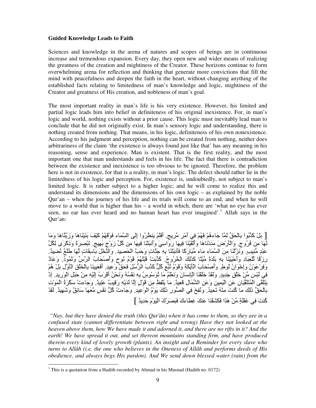#### **Guided Knowledge Leads to Faith**

Sciences and knowledge in the arena of natures and scopes of beings are in continuous increase and tremendous expansion. Every day, they open new and wider means of realizing the greatness of the creation and mightiness of the Creator. These horizons continue to form overwhelming arena for reflection and thinking that generate more convictions that fill the mind with peacefulness and deepen the faith in the heart, without changing anything of the established facts relating to limitedness of man's knowledge and logic, mightiness of the Creator and greatness of His creation, and nobleness of man's goal.

The most important reality in man's life is his very existence. However, his limited and partial logic leads him into belief in definiteness of his original inexistence. For, in man's logic and world, nothing exists without a prior cause. This logic must inevitably lead man to conclude that he did not originally exist. In man's sensory logic and understanding, there is nothing created from nothing. That means, in his logic, definiteness of his own nonexistence. According to his judgment and perception, nothing can be created from nothing, neither does arbitrariness of the claim 'the existence is always found just like that' has any meaning in his reasoning, sense and experience. Man is existent. That is the first reality, and the most important one that man understands and feels in his life. The fact that there is contradiction between the existence and inexistence is too obvious to be ignored. Therefore, the problem here is not in existence, for that is a reality, in man's logic. The defect should rather lie in the limitedness of his logic and perception. For, existence is, undoubtedly, not subject to man's limited logic. It is rather subject to a higher logic; and he will come to realize this and understand its dimensions and the dimensions of his own logic – as explained by the noble Qur'an – when the journey of his life and its trials will come to an end, and when he will move to a world that is higher than his  $-$  a world in which, there are 'what no eye has ever seen, no ear has ever heard and no human heart has ever imagined'.<sup>1</sup> Allah says in the Qur'an:

[ بَلْ كَذَّبُوا بِالْحَقِّ لَمَّا جَاءهُمْ فَهُمْ فِي أَمْرِ مَّرِيجٍ ِ أَفَلَمْ يَنظُرُوا إِلَى السَّمَاء فَوْقَهُمْ كَيْفَ بَنَيْنَاهَا وَزَيَّنَّاهَا وَمَا لَّهَا مِنْ فُرُوجٍ. وَالْأَرْضَ مَدَدْنَاهَا وَأَلْقَيْنَا فِيهَا رَوَاسِيَ وَأَنْبَتْنَا فِيهَا مِنْ كُلِّ زَوْجٍ بَهِيجٍ. تَبْصِيرَةً وَذِكْرَى لِكُلِّ عَبْدٍ مُّنِيبٍ وَنَزَّلْنَا مِنَ الْسَّمَاءِ مَاء مُّبَارَكًا فَأَنبَتْنَا بِهِ جَنَّاتٍ وَحَبَّ الْحَصِيدِ وَالنَّخْلَ بَاسِقَاتٍ لَمَهَا طَلْعٌ نُضِيدٌ. رِزْقًا لْلْعِبَادِ وَأَحْيَيْنَا بِهِ بَلَدَةً مَّيْتًا كَذَلِكَ الْخُرُوجُ. كَذَّبَتْ قَبْلَهُمْ قَوْمُ نُوحٍ وَأَصْحَابُ الرَّسِّ وَتَمُودُ. وَعَادٌ وَفِرْعَوْنُ وَإِخْوَانُ لُوطٍ. وَأَصْحَابُ الْأَيْكَةِ وَقَوْمُ ثُبَّعٍ كُلِّ كَدَّبَ الرَّسُلَ فَحَقَّ وَعِيدِ. أَفَعَيينَا بِالْخَلْقِ الْأَوَّلِ بَلْ هُمْ فِي لَبْسِ مِّنْ خَلْقٍ جَدِيدٍ. وَلَقَدْ خَلْقْنَا الْإِنسَانَ وَنَعْلَمُ مَا تُوَسْوِسُ بِهِ نَفْسُهُ وَنَحْنُ أَقْرَبُ إِلَيْهِ مِنْ حَبْلِ الْوَرِيدِ. إِدْ يَتَلَقَّى الْمُتَلَقِّيَانِ عَنِ الْيَمِينِ وَعَنِ الشِّمَالِ قَعِيدٌ. مَا يَلْفِظُ مِن قَوْلِ إِلَّا لَدَيْهِ رَقِيبٌ عَتِيدٌ. وَجَاءتْ سَكْرَةُ الْمَوْتِ بِالْحَقِّ ذَٰلِكَ مَا كُنتَ مِنْهُ تَحِيدُ. وَنُفِخَ فِي الصُّورِ ذَٰلِكَ يَوْمُ الْوَعِيدِ. وَجَاءتْ كُلَّ نَفْسٍ مَّعَهَا سَائِقٌ وَشَهِيدٌ. لَقَدْ كُنتَ فِي غَفْلَةٍ مِّنْ هَذَا فَكَشْفْنَا عَنْكَ غِطاءكَ فَبَصَرُكَ الْيَوْمَ حَدِيدٌ ]

 *"Nay, but they have denied the truth (this Qur'ân) when it has come to them, so they are in a confused state (cannot differentiate between right and wrong) Have they not looked at the heaven above them, how We have made it and adorned it, and there are no rifts in it? And the earth! We have spread it out, and set thereon mountains standing firm, and have produced therein every kind of lovely growth (plants). An insight and a Reminder for every slave who turns to Allâh (i.e. the one who believes in the Oneness of Allâh and performs deeds of His obedience, and always begs His pardon). And We send down blessed water (rain) from the* 

 1 This is a quotation from a Hadith recorded by Ahmad in his Musnad (Hadith no. 0172)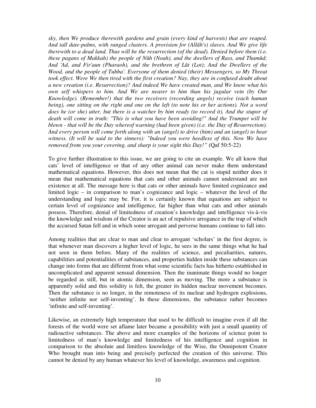*sky, then We produce therewith gardens and grain (every kind of harvests) that are reaped. And tall date-palms, with ranged clusters. A provision for (Allâh's) slaves. And We give life therewith to a dead land. Thus will be the resurrection (of the dead). Denied before them (i.e. these pagans of Makkah) the people of Nûh (Noah), and the dwellers of Rass, and Thamûd; And 'Ad, and Fir'aun (Pharaoh), and the brethren of Lût (Lot); And the Dwellers of the Wood, and the people of Tubba'. Everyone of them denied (their) Messengers, so My Threat took effect. Were We then tired with the first creation? Nay, they are in confused doubt about a new creation (i.e. Resurrection)? And indeed We have created man, and We know what his own self whispers to him. And We are nearer to him than his jugular vein (by Our Knowledge). (Remember!) that the two receivers (recording angels) receive (each human being), one sitting on the right and one on the left (to note his or her actions). Not a word does he (or she) utter, but there is a watcher by him ready (to record it). And the stupor of death will come in truth: "This is what you have been avoiding!" And the Trumpet will be blown - that will be the Day whereof warning (had been given) (i.e. the Day of Resurrection). And every person will come forth along with an (angel) to drive (him) and an (angel) to bear*  witness. (It will be said to the sinners): "Indeed you were heedless of this. Now We have *removed from you your covering, and sharp is your sight this Day!"* (Qaf 50:5-22)

To give further illustration to this issue, we are going to cite an example. We all know that cats' level of intelligence or that of any other animal can never make them understand mathematical equations. However, this does not mean that the cat is stupid neither does it mean that mathematical equations that cats and other animals cannot understand are not existence at all. The message here is that cats or other animals have limited cognizance and limited logic – in comparison to man's cognizance and logic – whatever the level of the understanding and logic may be. For, it is certainly known that equations are subject to certain level of cognizance and intelligence, far higher than what cats and other animals possess. Therefore, denial of limitedness of creation's knowledge and intelligence vis-à-vis the knowledge and wisdom of the Creator is an act of repulsive arrogance in the trap of which the accursed Satan fell and in which some arrogant and perverse humans continue to fall into.

Among realities that are clear to man and clear to arrogant 'scholars' in the first degree, is that whenever man discovers a higher level of logic, he sees in the same things what he had not seen in them before. Many of the realities of science, and peculiarities, natures, capabilities and potentialities of substances, and properties hidden inside these substances can change into forms that are different from what some scientific facts has hitherto established in uncomplicated and apparent sensual dimension. Then the inanimate things would no longer be regarded as still, but in atomic dimension, seen as moving. The more a substance is apparently solid and this solidity is felt, the greater its hidden nuclear movement becomes. Then the substance is no longer, in the remoteness of its nuclear and hydrogen explosions, 'neither infinite nor self-inventing'. In these dimensions, the substance rather becomes 'infinite and self-inventing'.

Likewise, an extremely high temperature that used to be difficult to imagine even if all the forests of the world were set aflame later became a possibility with just a small quantity of radioactive substances. The above and more examples of the horizons of science point to limitedness of man's knowledge and limitedness of his intelligence and cognition in comparison to the absolute and limitless knowledge of the Wise, the Omnipotent Creator Who brought man into being and precisely perfected the creation of this universe. This cannot be denied by any human whatever his level of knowledge, awareness and cognition.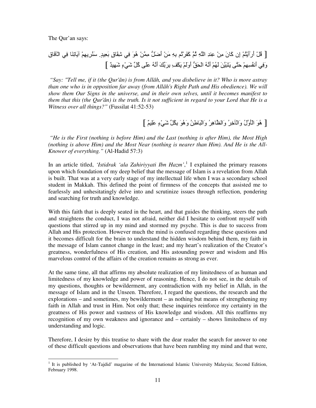The Qur'an says:

[ ْ#ُ أَرَأَْGُْ إِن آ-َنَ "ِ!ْ ِH ِ اSِ Eُ آََDْ&ُ ِ7Sِ" َ!ْ أَC6#َ" ِ !ْ هُ)َ .ِ mِ=-َقٍ ِ\$َ7 .ٍ َHُDِِْ -َ&ِH-َ .ِ اْq-َقِ [ ٌ َِm ٍءْ.َm 1#ُآ Bََ ُS2َأ َ17َDِ7 ِ]ْ3َ ََْوَأ 6Rَ9ْا ُS2َأ َُْ َ!َ@َGَ BGَT ُِِْ2َأ .َِو

 *"Say: "Tell me, if it (the Qur'ân) is from Allâh, and you disbelieve in it? Who is more astray than one who is in opposition far away (from Allâh's Right Path and His obedience). We will show them Our Signs in the universe, and in their own selves, until it becomes manifest to them that this (the Qur'ân) is the truth. Is it not sufficient in regard to your Lord that He is a Witness over all things?"* (Fussilat 41:52-53)

### [ هُوَ الْأَوَّلُ وَالْأَخِرُ وَالظَّاهِرُ وَالْبَاطِنُ وَهُوَ بِكْلٍّ شَيْءٍ عَلِيمٌ ]

 *"He is the First (nothing is before Him) and the Last (nothing is after Him), the Most High (nothing is above Him) and the Most Near (nothing is nearer than Him). And He is the All-Knower of everything."* (Al-Hadid 57:3)

In an article titled, '*Istidrak 'ala Zahiriyyati Ibn Hazm'*,<sup>1</sup> I explained the primary reasons upon which foundation of my deep belief that the message of Islam is a revelation from Allah is built. That was at a very early stage of my intellectual life when I was a secondary school student in Makkah. This defined the point of firmness of the concepts that assisted me to fearlessly and unhesitatingly delve into and scrutinize issues through reflection, pondering and searching for truth and knowledge.

With this faith that is deeply seated in the heart, and that guides the thinking, steers the path and straightens the conduct, I was not afraid, neither did I hesitate to confront myself with questions that stirred up in my mind and stormed my psyche. This is due to success from Allah and His protection. However much the mind is confused regarding these questions and it becomes difficult for the brain to understand the hidden wisdom behind them, my faith in the message of Islam cannot change in the least; and my heart's realization of the Creator's greatness, wonderfulness of His creation, and His astounding power and wisdom and His marvelous control of the affairs of the creation remains as strong as ever.

At the same time, all that affirms my absolute realization of my limitedness of as human and limitedness of my knowledge and power of reasoning. Hence, I do not see, in the details of my questions, thoughts or bewilderment, any contradiction with my belief in Allah, in the message of Islam and in the Unseen. Therefore, I regard the questions, the research and the explorations – and sometimes, my bewilderment – as nothing but means of strengthening my faith in Allah and trust in Him. Not only that; these inquiries reinforce my certainty in the greatness of His power and vastness of His knowledge and wisdom. All this reaffirms my recognition of my own weakness and ignorance and – certainly – shows limitedness of my understanding and logic.

Therefore, I desire by this treatise to share with the dear reader the search for answer to one of these difficult questions and observations that have been rumbling my mind and that were,

<sup>&</sup>lt;sup>1</sup> It is published by 'At-Tajdid' magazine of the International Islamic University Malaysia; Second Edition, February 1998.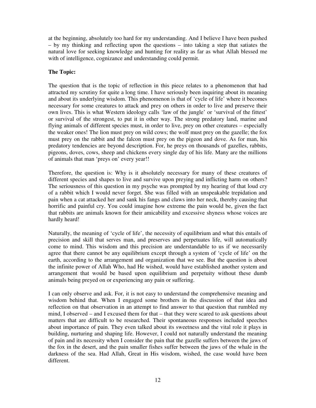at the beginning, absolutely too hard for my understanding. And I believe I have been pushed – by my thinking and reflecting upon the questions – into taking a step that satiates the natural love for seeking knowledge and hunting for reality as far as what Allah blessed me with of intelligence, cognizance and understanding could permit.

#### **The Topic:**

The question that is the topic of reflection in this piece relates to a phenomenon that had attracted my scrutiny for quite a long time. I have seriously been inquiring about its meaning and about its underlying wisdom. This phenomenon is that of 'cycle of life' where it becomes necessary for some creatures to attack and prey on others in order to live and preserve their own lives. This is what Western ideology calls 'law of the jungle' or 'survival of the fittest' or survival of the strongest, to put it in other way. The strong predatory land, marine and flying animals of different species must, in order to live, prey on other creatures – especially the weaker ones! The lion must prey on wild cows; the wolf must prey on the gazelle; the fox must prey on the rabbit and the falcon must prey on the pigeon and dove. As for man, his predatory tendencies are beyond description. For, he preys on thousands of gazelles, rabbits, pigeons, doves, cows, sheep and chickens every single day of his life. Many are the millions of animals that man 'preys on' every year!!

Therefore, the question is: Why is it absolutely necessary for many of these creatures of different species and shapes to live and survive upon preying and inflicting harm on others? The seriousness of this question in my psyche was prompted by my hearing of that loud cry of a rabbit which I would never forget. She was filled with an unspeakable trepidation and pain when a cat attacked her and sank his fangs and claws into her neck, thereby causing that horrific and painful cry. You could imagine how extreme the pain would be, given the fact that rabbits are animals known for their amicability and excessive shyness whose voices are hardly heard!

Naturally, the meaning of 'cycle of life', the necessity of equilibrium and what this entails of precision and skill that serves man, and preserves and perpetuates life, will automatically come to mind. This wisdom and this precision are understandable to us if we necessarily agree that there cannot be any equilibrium except through a system of 'cycle of life' on the earth, according to the arrangement and organization that we see. But the question is about the infinite power of Allah Who, had He wished, would have established another system and arrangement that would be based upon equilibrium and perpetuity without these dumb animals being preyed on or experiencing any pain or suffering.

I can only observe and ask. For, it is not easy to understand the comprehensive meaning and wisdom behind that. When I engaged some brothers in the discussion of that idea and reflection on that observation in an attempt to find answer to that question that rumbled my mind, I observed – and I excused them for that – that they were scared to ask questions about matters that are difficult to be researched. Their spontaneous responses included speeches about importance of pain. They even talked about its sweetness and the vital role it plays in building, nurturing and shaping life. However, I could not naturally understand the meaning of pain and its necessity when I consider the pain that the gazelle suffers between the jaws of the fox in the desert, and the pain smaller fishes suffer between the jaws of the whale in the darkness of the sea. Had Allah, Great in His wisdom, wished, the case would have been different.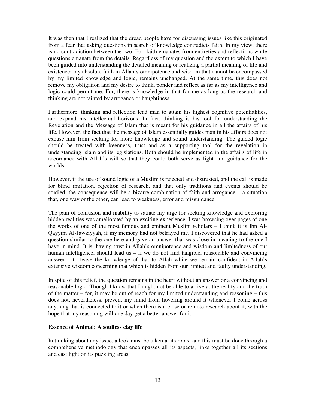It was then that I realized that the dread people have for discussing issues like this originated from a fear that asking questions in search of knowledge contradicts faith. In my view, there is no contradiction between the two. For, faith emanates from entireties and reflections while questions emanate from the details. Regardless of my question and the extent to which I have been guided into understanding the detailed meaning or realizing a partial meaning of life and existence; my absolute faith in Allah's omnipotence and wisdom that cannot be encompassed by my limited knowledge and logic, remains unchanged. At the same time, this does not remove my obligation and my desire to think, ponder and reflect as far as my intelligence and logic could permit me. For, there is knowledge in that for me as long as the research and thinking are not tainted by arrogance or haughtiness.

Furthermore, thinking and reflection lead man to attain his highest cognitive potentialities, and expand his intellectual horizons. In fact, thinking is his tool for understanding the Revelation and the Message of Islam that is meant for his guidance in all the affairs of his life. However, the fact that the message of Islam essentially guides man in his affairs does not excuse him from seeking for more knowledge and sound understanding. The guided logic should be treated with keenness, trust and as a supporting tool for the revelation in understanding Islam and its legislations. Both should be implemented in the affairs of life in accordance with Allah's will so that they could both serve as light and guidance for the worlds.

However, if the use of sound logic of a Muslim is rejected and distrusted, and the call is made for blind imitation, rejection of research, and that only traditions and events should be studied, the consequence will be a bizarre combination of faith and arrogance – a situation that, one way or the other, can lead to weakness, error and misguidance.

The pain of confusion and inability to satiate my urge for seeking knowledge and exploring hidden realities was ameliorated by an exciting experience. I was browsing over pages of one the works of one of the most famous and eminent Muslim scholars – I think it is Ibn Al-Qayyim Al-Jawziyyah, if my memory had not betrayed me. I discovered that he had asked a question similar to the one here and gave an answer that was close in meaning to the one I have in mind. It is: having trust in Allah's omnipotence and wisdom and limitedness of our human intelligence, should lead us  $-$  if we do not find tangible, reasonable and convincing answer – to leave the knowledge of that to Allah while we remain confident in Allah's extensive wisdom concerning that which is hidden from our limited and faulty understanding.

In spite of this relief, the question remains in the heart without an answer or a convincing and reasonable logic. Though I know that I might not be able to arrive at the reality and the truth of the matter – for, it may be out of reach for my limited understanding and reasoning – this does not, nevertheless, prevent my mind from hovering around it whenever I come across anything that is connected to it or when there is a close or remote research about it, with the hope that my reasoning will one day get a better answer for it.

#### **Essence of Animal: A soulless clay life**

In thinking about any issue, a look must be taken at its roots; and this must be done through a comprehensive methodology that encompasses all its aspects, links together all its sections and cast light on its puzzling areas.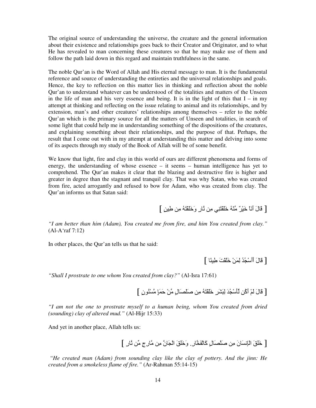The original source of understanding the universe, the creature and the general information about their existence and relationships goes back to their Creator and Originator, and to what He has revealed to man concerning these creatures so that he may make use of them and follow the path laid down in this regard and maintain truthfulness in the same.

The noble Qur'an is the Word of Allah and His eternal message to man. It is the fundamental reference and source of understanding the entireties and the universal relationships and goals. Hence, the key to reflection on this matter lies in thinking and reflection about the noble Qur'an to understand whatever can be understood of the totalities and matters of the Unseen in the life of man and his very essence and being. It is in the light of this that  $I - in$  my attempt at thinking and reflecting on the issue relating to animal and its relationships, and by extension, man's and other creatures' relationships among themselves – refer to the noble Qur'an which is the primary source for all the matters of Unseen and totalities, in search of some light that could help me in understanding something of the dispositions of the creatures, and explaining something about their relationships, and the purpose of that. Perhaps, the result that I come out with in my attempt at understanding this matter and delving into some of its aspects through my study of the Book of Allah will be of some benefit.

We know that light, fire and clay in this world of ours are different phenomena and forms of energy, the understanding of whose essence – it seems – human intelligence has yet to comprehend. The Qur'an makes it clear that the blazing and destructive fire is higher and greater in degree than the stagnant and tranquil clay. That was why Satan, who was created from fire, acted arrogantly and refused to bow for Adam, who was created from clay. The Qur'an informs us that Satan said:

[ قَالَ أَنَاْ خَيْرٌ مِّنْهُ خَلْقْتَنِي مِن نَّارِ وَخَلَقْتَهُ مِن طِينِ ]

*"I am better than him (Adam), You created me from fire, and him You created from clay."* (Al-A'raf 7:12)

In other places, the Qur'an tells us that he said:

[ قَالَ أَأْسْجُدُ لِمَنْ خَلَقْتَ طِينًا ]

*"Shall I prostrate to one whom You created from clay?"* (Al-Isra 17:61)

[ قَالَ لَمْ أَكْن لِّأَسْجُدَ لِبَشَرِ خَلَقْتَهُ مِن صَلْصَالِ مِّنْ حَمَإٍ مَّسْنُونِ ]

*"I am not the one to prostrate myself to a human being, whom You created from dried (sounding) clay of altered mud."* (Al-Hijr 15:33)

And yet in another place, Allah tells us:

[ خَلْقَ الْإِنسَانَ مِن صَلْصَالِ كَالْفَخَّارِ . وَخَلْقَ الْجَانَّ مِن مَّارِجٍ مِّن نَّارِ ]

 *"He created man (Adam) from sounding clay like the clay of pottery. And the jinn: He created from a smokeless flame of fire."* (Ar-Rahman 55:14-15)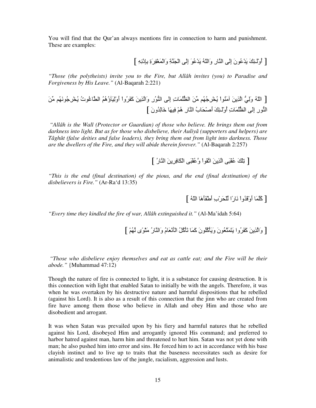You will find that the Qur'an always mentions fire in connection to harm and punishment. These are examples:

[ أُوْلَـئِكَ يَدْعُونَ إِلَـى الذَّارِ وَاللَّهُ يَدْعُوَ إِلَـى الْجَنَّةِ وَالْمَغْفِرَةِ بِإِدْنِهِ ]

*"Those (the polytheists) invite you to the Fire, but Allâh invites (you) to Paradise and Forgiveness by His Leave."* (Al-Baqarah 2:221)

[ اّSُ و6.َِ اZِ!َ "َHُ(اْ ُUْDُُ0ِ" 1!َ ا^ُ6 -َتِ إَِB اH6(ُرِ وَاZِ!َ آََDُواْ أَوَِْqؤُهُُ اnoُ(تُ ُUْDُ0ِ(َُ2" 1!َ اH6(رِ إَِB ا^ُ6 -َتِ أُوَْـMَِ أَF-َ9ْبُ اH-رِ هُْ ِ-َ ِ-َ+ ُونَ ]

 *"Allâh is the Walî (Protector or Guardian) of those who believe. He brings them out from darkness into light. But as for those who disbelieve, their Auliyâ (supporters and helpers) are Tâghût (false deities and false leaders), they bring them out from light into darkness. Those are the dwellers of the Fire, and they will abide therein forever."* (Al-Baqarah 2:257)

[ تِلْكَ عُقْبَى الَّذِينَ اتَّقَواْ وَّعُقْبَى الْكَافِرِينَ النَّارُ ]

*"This is the end (final destination) of the pious, and the end (final destination) of the disbelievers is Fire."* (Ar-Ra'd 13:35)

[ كُلَّمَا أُوْقَدُواْ نَارًا لِّلْحَرْبِ أَطْفَأَهَا اللّهُ ]

*"Every time they kindled the fire of war, Allâh extinguished it."* (Al-Ma'idah 5:64)

[ وَالَّذِينَ كَفَرُوا يَتَمَتَّعُونَ وَيَأْكُلُونَ كَمَا تَأْكُلُ الْأَنْعَامُ وَالذَّارُ مَنْوًى لَهُمْ ]

 *"Those who disbelieve enjoy themselves and eat as cattle eat; and the Fire will be their abode."* {Muhammad 47:12)

Though the nature of fire is connected to light, it is a substance for causing destruction. It is this connection with light that enabled Satan to initially be with the angels. Therefore, it was when he was overtaken by his destructive nature and harmful dispositions that he rebelled (against his Lord). It is also as a result of this connection that the jinn who are created from fire have among them those who believe in Allah and obey Him and those who are disobedient and arrogant.

It was when Satan was prevailed upon by his fiery and harmful natures that he rebelled against his Lord, disobeyed Him and arrogantly ignored His command; and preferred to harbor hatred against man, harm him and threatened to hurt him. Satan was not yet done with man; he also pushed him into error and sins. He forced him to act in accordance with his base clayish instinct and to live up to traits that the baseness necessitates such as desire for animalistic and tendentious law of the jungle, racialism, aggression and lusts.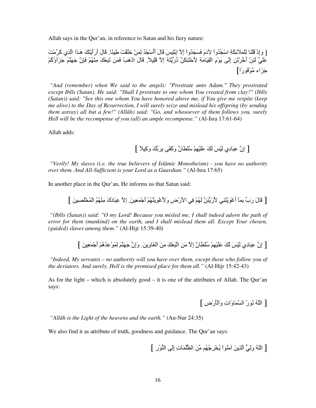Allah says in the Qur'an, in reference to Satan and his fiery nature:

[ وَإِذْ قُلْنَا لِلْمَلَأَنِكَةِ اسْجُدُواْ لَأَدَمَ فَسَجَدُواْ إِلاَّ إِبْلِيسَ قَالَ أَأَسْجُدُ لِمَنْ خَلْقْتَ طَيِئًا. قَالَ أَرَأَيْتُكَ هَـذَا الَّذِي كَرَّمْتَ عَلَّيَّ لَئِنْ أَخَّرْتَنِ إِلَى يَوْمِ الْقِيَامَةِ لِأَحْتَنِكَنَّ دُرِّيَّتَهُ إِلاَّ قَلِيلاً. قَالَ ادْهَبْ فَمَن تَبِعَكَ مِنْهُمْ فَإِنَّ جَهَنَّمَ جَزَآؤُكُمْ  $\tilde{[}^{\dagger})$ جَزَ أَء مَّوَفُورًا

 *"And (remember) when We said to the angels: "Prostrate unto Adam." They prostrated except Iblîs (Satan). He said: "Shall I prostrate to one whom You created from clay?" (Iblîs (Satan)) said: "See this one whom You have honored above me, if You give me respite (keep me alive) to the Day of Resurrection, I will surely seize and mislead his offspring (by sending them astray) all but a few!" (Allâh) said: "Go, and whosoever of them follows you, surely Hell will be the recompense of you (all) an ample recompense."* (Al-Isra 17:61-64)

Allah adds:

[ إِنَّ عِبَادِي لَيْسَ لَكَ عَلَيْهِمْ سُلطانٌ وكَفَى بِرَبِّكَ وَكِيلاً ]

 *"Verily! My slaves (i.e. the true believers of Islâmic Monotheism) - you have no authority over them. And All-Sufficient is your Lord as a Guardian."* (Al-Isra 17:65)

In another place in the Qur'an, He informs us that Satan said:

[ قَالَ رَبٍّ بِمَاۤ أَعْوَيْتَنِي لأَرْيَّنَنَّ لَهُمْ فِي الأَرْضِ وَلأَعْوِيَنَّهُمْ أَجْمَعِينَ ۚ إِلاَّ عِبَادَكَ مِنْهُمُ الْمُخْلَصِينَ ]

 *"(Iblîs (Satan)) said: "O my Lord! Because you misled me, I shall indeed adorn the path of error for them (mankind) on the earth, and I shall mislead them all. Except Your chosen, (guided) slaves among them."* (Al-Hijr 15:39-40)

[ إنَّ عِبَادِي لَيْسَ لَكَ عَلَيْهِمْ سُلْطانٌ إلاَّ مَن اتَّبَعَكَ مِنَ الْغَاوِينَ. وَإِنَّ جَهَنَّمَ لَمَوْعِدُهُمْ أَجْمَعِينَ ]

 *"Indeed, My servants – no authority will you have over them, except those who follow you of the deviators. And surely, Hell is the promised place for them all."* (Al-Hijr 15:42-43)

As for the light – which is absolutely good – it is one of the attributes of Allah. The Qur'an says:

[ اللَّهُ نُورُ السَّمَاوَاتِ وَالْمُرْضِ ]

 *"Allâh is the Light of the heavens and the earth."* (An-Nur 24:35)

We also find it as attribute of truth, goodness and guidance. The Qur'an says:

[ اّSُ و6.َِ اZِ!َ "َHُ(اْ ُUْDُُ0ِ" 1!َ ا^ُ6 -َتِ إَِB اH6(ُرِ ]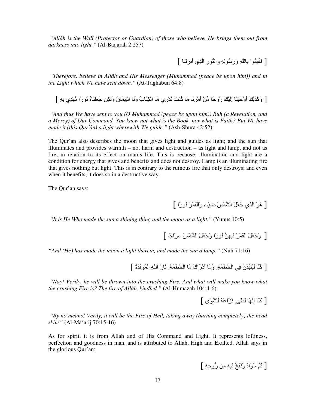*"Allâh is the Walî (Protector or Guardian) of those who believe. He brings them out from darkness into light."* (Al-Baqarah 2:257)

[ فَأَمِنُوا بِاللَّهِ وَرَسُولِهِ وَالنُّورِ الَّذِي أنزَلنَا ]

 *"Therefore, believe in Allâh and His Messenger (Muhammad (peace be upon him)) and in the Light which We have sent down."* (At-Taghabun 64:8)

[ وَكَذَلِكَ أَوْحَيْنَا إِلَيْكَ رُوحًا مِّنْ أَمْرِنَا مَا كُنتَ تَدْرِي مَا الْكِتَابُ وَلَا الْإِيمَانُ وَلَكِن جَعَلْنَاهُ نُورًا نَّهْدِي بِهِ ]

 *"And thus We have sent to you (O Muhammad (peace be upon him)) Ruh (a Revelation, and a Mercy) of Our Command. You knew not what is the Book, nor what is Faith? But We have made it (this Qur'ân) a light wherewith We guide,"* (Ash-Shura 42:52)

The Qur'an also describes the moon that gives light and guides as light; and the sun that illuminates and provides warmth – not harm and destruction – as light and lamp, and not as fire, in relation to its effect on man's life. This is because; illumination and light are a condition for energy that gives and benefits and does not destroy. Lamp is an illuminating fire that gives nothing but light. This is in contrary to the ruinous fire that only destroys; and even when it benefits, it does so in a destructive way.

The Qur'an says:

[ هُوَ الَّذِي جَعَلَ الشَّمْسَ ضيبَاء وَالْقَمَرَ نُورًا ]

 *"It is He Who made the sun a shining thing and the moon as a light."* (Yunus 10:5)

[ وَجَعَلَ الْقَمَرَ فِيهِنَّ نُورًا وَجَعَلَ الشَّمْسَ سِرَاجًا ]

*"And (He) has made the moon a light therein, and made the sun a lamp."* (Nuh 71:16)

[ كَلَا لَيُنبَذَنَّ فِي الْحُطْمَةِ. وَمَا أَدْرَاكَ مَا الْحُطْمَةُ. نَارُ اللَّهِ الْمُوقَدَةُ ]

 *"Nay! Verily, he will be thrown into the crushing Fire. And what will make you know what the crushing Fire is? The fire of Allâh, kindled."* (Al-Humazah 104:4-6)

[ كَلَّا إِنَّهَا لَظي فَزَّاعَةً لِّلشَّوَى ]

 *"By no means! Verily, it will be the Fire of Hell, taking away (burning completely) the head skin!"* (Al-Ma'arij 70:15-16)

As for spirit, it is from Allah and of His Command and Light. It represents loftiness, perfection and goodness in man, and is attributed to Allah, High and Exalted. Allah says in the glorious Qur'an:

[ ثُمَّ سَوَّاهُ وَنَفَخَ فِيهِ مِن رُّوحِهِ ]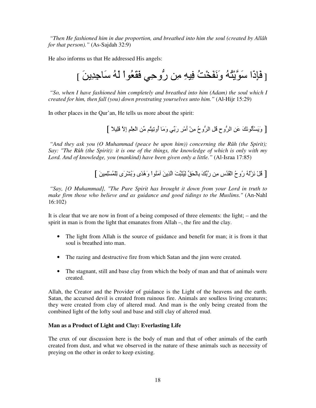*"Then He fashioned him in due proportion, and breathed into him the soul (created by Allâh for that person)."* (As-Sajdah 32:9)

He also informs us that He addressed His angels:

[ فَإِذَا سَوَّيْتُهُ وَنَفَخْتُ فِيهِ مِن رُّوحِي فَقَعُواْ لَهُ سَاجِدِينَ ]

 *"So, when I have fashioned him completely and breathed into him (Adam) the soul which I created for him, then fall (you) down prostrating yourselves unto him."* (Al-Hijr 15:29)

In other places in the Qur'an, He tells us more about the spirit:

[ وَيَسْأَلُونَكَ عَنِ الرُّوحِ قُلِ الرُّوحُ مِنْ أَمْرِ رَبِّي وَمَا أُوتِينُم مِّن الْعِلْمِ إِلاَّ قَلِيلاً ]

 *"And they ask you (O Muhammad (peace be upon him)) concerning the Rûh (the Spirit); Say: "The Rûh (the Spirit): it is one of the things, the knowledge of which is only with my Lord. And of knowledge, you (mankind) have been given only a little."* (Al-Israa 17:85)

[ فْلْ نَزَّلْهُ رُوحُ الْقُدُسِ مِن رَّبِّكَ بِالْحَقِّ لِيُثَبِّتَ الَّذِينَ آمَنُواْ وَهُدًى وَبُشْرَى لِلْمُسْلِمِينَ ]

 *"Say, [O Muhammad], "The Pure Spirit has brought it down from your Lord in truth to make firm those who believe and as guidance and good tidings to the Muslims."* (An-Nahl 16:102)

It is clear that we are now in front of a being composed of three elements: the light; – and the spirit in man is from the light that emanates from Allah –, the fire and the clay.

- The light from Allah is the source of guidance and benefit for man; it is from it that soul is breathed into man.
- The razing and destructive fire from which Satan and the jinn were created.
- The stagnant, still and base clay from which the body of man and that of animals were created.

Allah, the Creator and the Provider of guidance is the Light of the heavens and the earth. Satan, the accursed devil is created from ruinous fire. Animals are soulless living creatures; they were created from clay of altered mud. And man is the only being created from the combined light of the lofty soul and base and still clay of altered mud.

#### **Man as a Product of Light and Clay: Everlasting Life**

The crux of our discussion here is the body of man and that of other animals of the earth created from dust, and what we observed in the nature of these animals such as necessity of preying on the other in order to keep existing.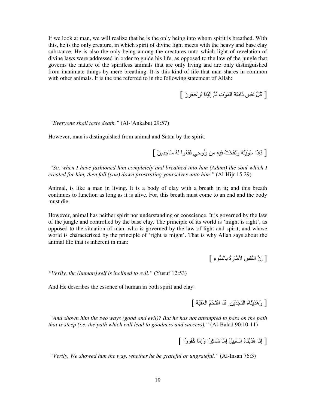If we look at man, we will realize that he is the only being into whom spirit is breathed. With this, he is the only creature, in which spirit of divine light meets with the heavy and base clay substance. He is also the only being among the creatures unto which light of revelation of divine laws were addressed in order to guide his life, as opposed to the law of the jungle that governs the nature of the spiritless animals that are only living and are only distinguished from inanimate things by mere breathing. It is this kind of life that man shares in common with other animals. It is the one referred to in the following statement of Allah:

[ كُلُّ نَفْسٍ ذَائِقَةُ الْمَوْتِ ثُمَّ إِلَيْنَا ثُرْجَعُونَ ]

 *"Everyone shall taste death."* (Al-'Ankabut 29:57)

However, man is distinguished from animal and Satan by the spirit.

[ فَإِذَا سَوَّيْتُهُ وَنَفَخْتُ فِيهِ مِن رُوحِي فَقَعُوا لَهُ سَاجِدِينَ ]

 *"So, when I have fashioned him completely and breathed into him (Adam) the soul which I created for him, then fall (you) down prostrating yourselves unto him."* (Al-Hijr 15:29)

Animal, is like a man in living. It is a body of clay with a breath in it; and this breath continues to function as long as it is alive. For, this breath must come to an end and the body must die.

However, animal has neither spirit nor understanding or conscience. It is governed by the law of the jungle and controlled by the base clay. The principle of its world is 'might is right', as opposed to the situation of man, who is governed by the law of light and spirit, and whose world is characterized by the principle of 'right is might'. That is why Allah says about the animal life that is inherent in man:

[ إِنَّ النَّفْسَ لأَمَّارَةٌ بِالسُّوءِ ]

*"Verily, the (human) self is inclined to evil."* (Yusuf 12:53)

And He describes the essence of human in both spirit and clay:

[ وَهَدَيْنَاهُ النَّجْدَيْنِ. فَلَا اقْتَحَمَ الْعَقَبَةَ ]

 *"And shown him the two ways (good and evil)? But he has not attempted to pass on the path that is steep (i.e. the path which will lead to goodness and success)."* (Al-Balad 90:10-11)

[ إِنَّا هَدَيْنَاهُ السَّبِيلَ إِمَّا شَاكِرًا وَإِمَّا كَفُورًا ]

 *"Verily, We showed him the way, whether he be grateful or ungrateful."* (Al-Insan 76:3)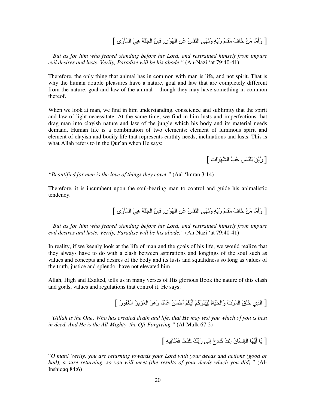### [ وَأَمَّا مَنْ خَافَ مَقَامَ رَبِّهِ وَنَهَى الْنَّفْسَ عَنِ الْهَوَى فَإِنَّ الْجَنَّة هِيَ الْمَأْوَى ]

 *"But as for him who feared standing before his Lord, and restrained himself from impure evil desires and lusts. Verily, Paradise will be his abode."* (An-Nazi 'at 79:40-41)

Therefore, the only thing that animal has in common with man is life, and not spirit. That is why the human double pleasures have a nature, goal and law that are completely different from the nature, goal and law of the animal – though they may have something in common thereof.

When we look at man, we find in him understanding, conscience and sublimity that the spirit and law of light necessitate. At the same time, we find in him lusts and imperfections that drag man into clayish nature and law of the jungle which his body and its material needs demand. Human life is a combination of two elements: element of luminous spirit and element of clayish and bodily life that represents earthly needs, inclinations and lusts. This is what Allah refers to in the Qur'an when He says:

[ زُبِّنَ لِلنَّاسِ حُبُّ الشَّهَوَاتِ ]

*"Beautified for men is the love of things they covet."* (Aal 'Imran 3:14)

Therefore, it is incumbent upon the soul-bearing man to control and guide his animalistic tendency.

[ وَأَمَّا مَنْ خَافَ مَقَامَ رَبِّهِ وَنَهَى الْنَّفْسَ عَنِ الْهَوَى فَإِنَّ الْجَنَّة هِيَ الْمَأْوَى ]

 *"But as for him who feared standing before his Lord, and restrained himself from impure evil desires and lusts. Verily, Paradise will be his abode."* (An-Nazi 'at 79:40-41)

In reality, if we keenly look at the life of man and the goals of his life, we would realize that they always have to do with a clash between aspirations and longings of the soul such as values and concepts and desires of the body and its lusts and squalidness so long as values of the truth, justice and splendor have not elevated him.

Allah, High and Exalted, tells us in many verses of His glorious Book the nature of this clash and goals, values and regulations that control it. He says:

[ الّذِي خَلْقَ الْمَوْتَ وَالْحَيَاةَ لِيَبْلُوَكُمْ أَيُّكُمْ أَحْسَنُ عَمَلًا وَهُوَ الْعَزِيزُ الْغَفُورُ ]

 *"(Allah is the One) Who has created death and life, that He may test you which of you is best in deed. And He is the All-Mighty, the Oft-Forgiving."* (Al-Mulk 67:2)

[ يَا أَيُّهَا الْإِنسَانُ إِنَّكَ كَادِحٌ إِلَى رَبِّكَ كَدْحًا فَمُلْاقِيهِ ]

"*O man! Verily, you are returning towards your Lord with your deeds and actions (good or bad), a sure returning, so you will meet (the results of your deeds which you did)."* (Al-Inshiqaq 84:6)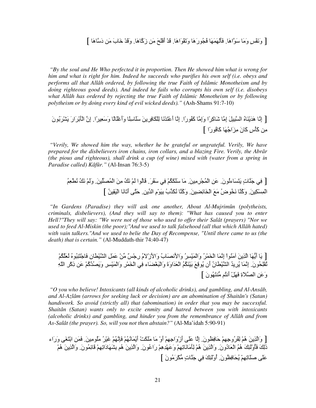[ وَنَفْسٍ وَمَا سَوَّاهَا. فَأَلْهَمَهَا فُجُورَهَا وَتَقْوَاهَا. قَدْ أَفْلَحَ مَن زَكَّاهَا. وَقَدْ خَابَ مَن دَسَّاهَا ]

 *"By the soul and He Who perfected it in proportion. Then He showed him what is wrong for him and what is right for him. Indeed he succeeds who purifies his own self (i.e. obeys and performs all that Allâh ordered, by following the true Faith of Islâmic Monotheism and by doing righteous good deeds). And indeed he fails who corrupts his own self (i.e. disobeys what Allâh has ordered by rejecting the true Faith of Islâmic Monotheism or by following polytheism or by doing every kind of evil wicked deeds)."* (Ash-Shams 91:7-10)

### [ إِنَّا هَدَيْنَاهُ السَّبِيلَ إِمَّا شَاكِرًا وَإِمَّا كَفُورًا. إِنَّا أَعْتَدْنَا لِلْكَافِرِينَ سَلّاسِلَا وَأَعْلَالًا وَسَعِيرًا. إِنَّ الْأَبْرَارَ يَشْرَبُونَ مِن كَأْسٍ كَانَ مِزَاجُهَا كَافُورًا ]

 *"Verily, We showed him the way, whether he be grateful or ungrateful. Verily, We have prepared for the disbelievers iron chains, iron collars, and a blazing Fire. Verily, the Abrâr (the pious and righteous), shall drink a cup (of wine) mixed with (water from a spring in Paradise called) Kâfûr."* (Al-Insan 76:3-5)

[ .ِ َ0H-تٍ َGَ-َءُ)ن.َ َ!ِ اْ ْ%ُDِ"ِ!.َ" -َ ُْ3َ3ََ .ِ َ=َD.َ ُ-َ(ا َْ َُ2 "ِ!َ اْ ُ`1َ!.َ وََْ َُ2 ُ2nُِ\$ْ اْ ِِ3ْ!.َ وَآُH- َ2Uُ(ضُ "َfَ اْUِ4-َeِ!.َ وَآُH- َ3ُ2Z1بُ ِ7َ)ْمِ ا 1!.ِ TَGB أَ&-َ2-َ اَْ=ِ!ُ ]

 *"In Gardens (Paradise) they will ask one another, About Al-Mujrimûn (polytheists, criminals, disbelievers), (And they will say to them): "What has caused you to enter Hell?"They will say: "We were not of those who used to offer their Salât (prayers) "Nor we used to feed Al-Miskin (the poor);"And we used to talk falsehood (all that which Allâh hated) with vain talkers."And we used to belie the Day of Recompense, "Until there came to us (the death) that is certain."* (Al-Muddath-thir 74:40-47)

[ يَا أَيُّهَا الَّذِينَ آمَنُوا إِنَّمَا الْخَمْرُ وَالْمَيْسِرُ وَالأَنْصَابُ وَالأَزْلامُ رِجْسٌ مِّنْ عَمَلِ الشَّيْطانِ فَاجْتَنِبُوهُ لْعَلَّكُمْ تُقْلِحُونَ ۚ إِنَّمَا يُرِيدُ الشَّيْطَانُ أَن يُوقِعَ بَيْنَكُمُ الْعَدَاوَةَ وَالْبَعْضَاءِ فِي الْخَمْرِ وَالْمَيْسِرِ وَيَصُدَّكُمْ عَن ذِكْرِ اللَّهِ وَ عَنِ الصَّلاَةِ فَهَلْ أنثُم مُّنتَهُونَ ]

 *"O you who believe! Intoxicants (all kinds of alcoholic drinks), and gambling, and Al-Ansâb, and Al-Azlâm (arrows for seeking luck or decision) are an abomination of Shaitân's (Satan) handiwork. So avoid (strictly all) that (abomination) in order that you may be successful. Shaitân (Satan) wants only to excite enmity and hatred between you with intoxicants (alcoholic drinks) and gambling, and hinder you from the remembrance of Allâh and from As-Salât (the prayer). So, will you not then abstain?"* (Al-Ma'idah 5:90-91)

[ وَالَّذِينَ هُمْ لِفُرُوجِهِمْ حَافِظُونَ. إِلَّا عَلَى أَرْوَاجِهِمْ أَوْ مَا مَلَكَتْ أَيْمَانُهُمْ فَإِنَّهُمْ غَيْرُ مَلُومِينَ. فَمَن ابْتَغَى وَرَاء ذَٰلِكَ فَأُوْْلَئِكَ هُمُ الْعَادُونَ. وَالَّذِينَ هُمْ لِأَمَانَاتِهِمْ وَعَهْدِهِمْ رَاعُونَ. وَالَّذِينَ هُم عَلَى صَلَاتِهِمْ يُحَافِظُونَ. أُوْلَٰئِكَ فِي جَذَّاتٍ مُُكْرَمُونَ ]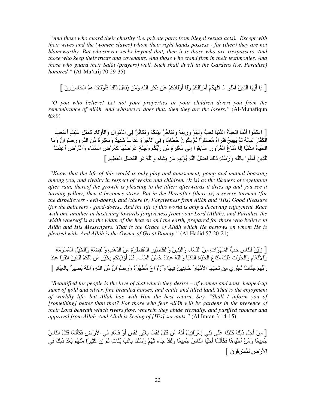*"And those who guard their chastity (i.e. private parts from illegal sexual acts). Except with their wives and the (women slaves) whom their right hands possess - for (then) they are not blameworthy. But whosoever seeks beyond that, then it is those who are trespassers. And those who keep their trusts and covenants. And those who stand firm in their testimonies. And those who guard their Salât (prayers) well. Such shall dwell in the Gardens (i.e. Paradise) honored."* (Al-Ma'arij 70:29-35)

[ يَا أَيُّهَا الَّذِينَ آمَنُوا لَا تُلْهِكُمْ أَمْوَالُكُمْ وَلَا أَوْلَادُكُمْ عَن ذِكْرِ اللَّهِ وَمَن يَفْعَلْ ذَلِكَ فَأُوْلَئِكَ هُمُ الْخَاسِرُونَ ]

 *"O you who believe! Let not your properties or your children divert you from the remembrance of Allâh. And whosoever does that, then they are the losers."* (Al-Munafiqun 63:9)

[ اعْلَمُوا أَنَّمَا الْحَيَاةُ الدُّنْيَا لعِبٌ وَلَهْوٌ وَزِينَةٌ وَتَفَاخُرٌ بَيْنَكُمْ وَتَكَاثُرٌ فِي الْأَمْوَالِ وَالْأَوْلَادِ كَمَثَلِ غَيْثٍ أَعْجَبَ الْكُفَّارَ نَبَاتُهُ ثُمَّ يَهِيجُ فَتَرَاهُ مُصنْفَرًا ثُمَّ يَكُونُ حُطَامًا وَفِي الْأَخِرَةِ عَذَابٌ شَدِيدٌ وَمَغْفِرَةٌ مِّنَ اللَّهِ وَرصنوَانٌ وَمَا الْحَيَاةُ الْدُّنْيَا إِلَّا مَتَاعُ الْغُرُور ِ سَابِقُوا إِلَى مَغْفِرَةٍ مِّن رَبَّكُمْ وَجَنَّةٍ عَرْضُهَا كَعَرْض السَّمَاء وَالْأَرْضِ أُعِدَّتْ لِلَّذِينَ آمَنُوا بِاللَّهِ وَرُسُلِهِ ذَلِكَ فَضلْلُ اللَّهِ يُؤْتِيهِ مَن يَشَاء وَاللَّهُ دُو الْفَضلْ الْعَظِيمِ ]

 *"Know that the life of this world is only play and amusement, pomp and mutual boasting among you, and rivalry in respect of wealth and children. (It is) as the likeness of vegetation after rain, thereof the growth is pleasing to the tiller; afterwards it dries up and you see it turning yellow; then it becomes straw. But in the Hereafter (there is) a severe torment (for the disbelievers - evil-doers), and (there is) Forgiveness from Allâh and (His) Good Pleasure (for the believers - good-doers). And the life of this world is only a deceiving enjoyment. Race with one another in hastening towards forgiveness from your Lord (Allâh), and Paradise the width whereof is as the width of the heaven and the earth, prepared for those who believe in Allâh and His Messengers. That is the Grace of Allâh which He bestows on whom He is pleased with. And Allâh is the Owner of Great Bounty."* (Al-Hadid 57:20-21)

[ زُيِّنَ لِلنَّاسِ حُبُّ الشَّهَوَاتِ مِنَ النِّسَاء وَالْبَنِينَ وَالْقَنَاطِيرِ الْمُقَنطَرَةِ مِنَ الذَّهَبِ وَالْفِضَّةِ وَالْخَيْلِ الْمُسَوَّمَةِ وَالأَنْعَامِ وَالْحَرْثِ ذَٰلِكَ مَتَاعُ الْحَيَاةِ الْذُّنْيَا وَاللَّهُ عِندَهُ حُسْنُ الْمَأْبِ ۚ قُلْ أَوُنَبِّئُكُم بِخَيْرٍ مِّن ذَلِكُمْ لِلَّذِينَ اتَّقَوْا عِندَ رَبِّهِمْ جَنَّاتٌ تَجْرِي مِن تَحْنِهَا الأَنْهَارُ خَالِدِينَ فِيهَا وَأَزْوَاجٌ مُّطْهَّرَةٌ وَرِضْوَانٌ مِّنَ اللّهِ وَاللّهُ بَصييرٌ بِالْعِبَادِ ]

 *"Beautified for people is the love of that which they desire – of women and sons, heaped-up sums of gold and silver, fine branded horses, and cattle and tilled land. That is the enjoyment of worldly life, but All*ā*h has with Him the best return. Say, "Shall I inform you of [something] better than that? For those who fear All*ā*h will be gardens in the presence of their Lord beneath which rivers flow, wherein they abide eternally, and purified spouses and approval from All*ā*h. And All*ā*h is Seeing of [His] servants."* (Al Imran 3:14-15)

[ مِنْ أَجْل ذَلِكَ كَتَبْنَا عَلَى بَنِي إِسْرَائِيلَ أَنَّهُ مَن قَتَلَ نَفْسًا بِغَيْرِ نَفْسٍ أَوْ فَسَادٍ فِي الأَرْضِ فَكَأَنَّمَا قَتَلَ النَّاسَ جَمِيعًا وَمَنْ أَحْيَاهَا فَكَأَنَّمَا أَحْيَا النَّاسَ جَمِيعًا وَلَقَدْ جَاء ثَهُمْ رُسُلُنَا بِالْبَ يِّنَاتِ ثُمَّ إِنَّ كَثِيرًا مِّنْهُم بَعْدَ ذَٰلِكَ فِي الأرْضِ لَمُسْرِفُونَ ]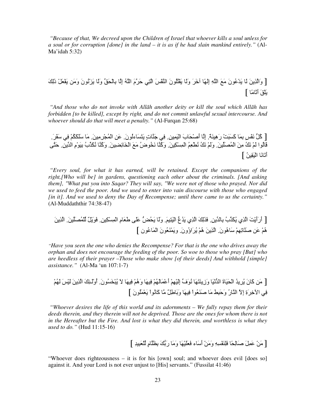*"Because of that, We decreed upon the Children of Israel that whoever kills a soul unless for a soul or for corruption [done] in the land – it is as if he had slain mankind entirely."* (Al-Ma'idah 5:32)

[ وَالَّذِينَ لَمْ يَدْعُونَ مَعَ اللَّهِ إِلَـهًا آخَرَ وَلَمْ يَقْتُلُونَ النَّفْسَ الَّتِي حَرَّمَ اللَّهُ إِلَّا بِالْحَقِّ وَلَمْا يَزْنُونَ وَمَن يَفْعَلْ ذَلِكَ يَلْقَ أَنَّامًا ]

 *"And those who do not invoke with All*ā*h another deity or kill the soul which All*ā*h has forbidden [to be killed], except by right, and do not commit unlawful sexual intercourse. And whoever should do that will meet a penalty."* (Al-Furqan 25:68)

[ كُلُّ نَفْسٍ بِمَا كَسَبَتْ رَهِينَهٌ. إِلَّا أَصْحَابَ الْيَمِينِ. فِي جَنَّاتٍ يَتَسَاءلُونَ. عَنِ الْمُجْرِمِينَ. مَا سَلَكَكُمْ فِي سَقَرَ. قَالُوا لَمْ نَكُ مِنَ الْمُصَلِّينَ. وَلَمْ نَكُ نُطْعِمُ الْمِسْكِينَ. وَكُنَّا نَخُوضُ مَعَ الْخَائِضِينَ. وَكُنَّا نُكَدِّبُ بِيَوْمِ الدِّينِ. حَتَّى أَتَانَا الْيَقِينُ ]

 *"Every soul, for what it has earned, will be retained. Except the companions of the right,[Who will be] in gardens, questioning each other about the criminals. [And asking them], "What put you into Saqar? They will say, "We were not of those who prayed. Nor did we used to feed the poor. And we used to enter into vain discourse with those who engaged [in it]. And we used to deny the Day of Recompense; until there came to us the certainty."* (Al-Muddaththir 74:38-47)

[ أَرَأَْNَ اZِي َ3ُZ1بُ -ِ7 1!.ِ َZََِ اZِي َ ُع6 اَْGِ.َ و-ََ ُ9َ~6 ََB P-َ\$َمِ اْ ِِ3ْ!.ِ َ)ٌَ#ْ ْ1 ُ`1َ!.َ اZِ!َ هُْ َ! F-ََ&ِِْ -َهُ)ن.َ اZِ!َ هُْ ُDَاؤُون.َ وَ ْHُ\$َ(نَ اْ ُ-َ)ن ]

*"Have you seen the one who denies the Recompense? For that is the one who drives away the orphan and does not encourage the feeding of the poor. So woe to those who pray [But] who are heedless of their prayer –Those who make show [of their deeds] And withhold [simple] assistance."* (Al-Ma 'un 107:1-7)

[ "َ! آ-َنَ ُDِ ُ اَ9ْ-َةَ ا ْ26-َ وَزِHَG-ََ ُ2(َف1 إَِِْْ أَْ َُْ-َ ِ-َ وَهُْ ِ-َ ;َ ُ@ْUَُ(ن.َ أُوَْـMَِ اZِ!َ َْWَ َُْ .ِ اvِ+Dَةِ إِ; اH-رُ وَTَ@َِ" -َ FَHُ\$َ(اْ ِ-َ و-َ7َPٌ#ِ" - آُ2-َ)اْ ْ\$َ َُ)نَ ]

 *"Whoever desires the life of this world and its adornments – We fully repay them for their deeds therein, and they therein will not be deprived. Those are the ones for whom there is not in the Hereafter but the Fire. And lost is what they did therein, and worthless is what they used to do."* (Hud 11:15-16)

[ "َ!ْ َ َ#ِ F-ً9ِ-َ َِHَِْSِ وَ"َ!ْ أَ-َء ََ\$َ-َْ وَ"-َ رَ67َ ِ7^-َمٍ َ\$ْ1@ِ ِ ]

"Whoever does righteousness – it is for his [own] soul; and whoever does evil [does so] against it. And your Lord is not ever unjust to [His] servants." (Fussilat 41:46)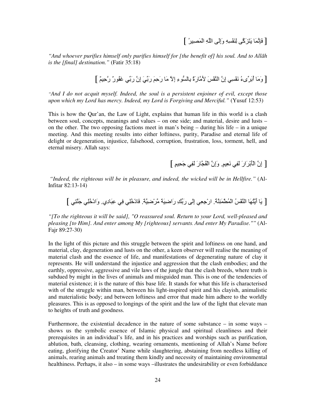*"And whoever purifies himself only purifies himself for [the benefit of] his soul. And to All*ā*h is the [final] destination."* (Fatir 35:18)

[ وَمَا أَبَرِّيءُ نَفْسِي إِنَّ النَّفْسَ لِأَمَّارَةٌ بِالسُّوءِ إِلاَّ مَا رَحِمَ رَبِّيَ إِنَّ رَبِّي غَفُورٌ رَّحِيمٌ ]

*"And I do not acquit myself. Indeed, the soul is a persistent enjoiner of evil, except those upon which my Lord has mercy. Indeed, my Lord is Forgiving and Merciful."* (Yusuf 12:53)

This is how the Qur'an, the Law of Light, explains that human life in this world is a clash between soul, concepts, meanings and values – on one side; and material, desire and lusts – on the other. The two opposing factions meet in man's being  $-$  during his life  $-$  in a unique meeting. And this meeting results into either loftiness, purity, Paradise and eternal life of delight or degeneration, injustice, falsehood, corruption, frustration, loss, torment, hell, and eternal misery. Allah says:

[ إِنَّ الْأَبْرَارَ لَفِي نَعِيمٍ ۖ وَإِنَّ الْفُجَّارَ لَفِي جَحِيمٍ ]

 *"Indeed, the righteous will be in pleasure, and indeed, the wicked will be in Hellfire."* (Al-Infitar 82:13-14)

[ يَا أَيَّتُهَا النَّفْسُ الْمُطْمَئِنَّةُ. ارْجِعِي إِلَى رَبِّكِ رَاضِيَةً مَّرْضِيَّةً. فَادْخُلِي فِي عِبَادِي. وَادْخُلِي جَنَّتِي ]

*"[To the righteous it will be said], "O reassured soul. Return to your Lord, well-pleased and pleasing [to Him]. And enter among My [righteous] servants. And enter My Paradise.""* (Al-Fajr 89:27-30)

In the light of this picture and this struggle between the spirit and loftiness on one hand, and material, clay, degeneration and lusts on the other, a keen observer will realise the meaning of material clash and the essence of life, and manifestations of degenerating nature of clay it represents. He will understand the injustice and aggression that the clash embodies; and the earthly, oppressive, aggressive and vile laws of the jungle that the clash breeds, where truth is subdued by might in the lives of animals and misguided man. This is one of the tendencies of material existence; it is the nature of this base life. It stands for what this life is characterised with of the struggle within man, between his light-inspired spirit and his clayish, animalistic and materialistic body; and between loftiness and error that made him adhere to the worldly pleasures. This is as opposed to longings of the spirit and the law of the light that elevate man to heights of truth and goodness.

Furthermore, the existential decadence in the nature of some substance – in some ways – shows us the symbolic essence of Islamic physical and spiritual cleanliness and their prerequisites in an individual's life, and in his practices and worships such as purification, ablution, bath, cleansing, clothing, wearing ornaments, mentioning of Allah's Name before eating, glorifying the Creator' Name while slaughtering, abstaining from needless killing of animals, rearing animals and treating them kindly and necessity of maintaining environmental healthiness. Perhaps, it also – in some ways –illustrates the undesirability or even forbiddance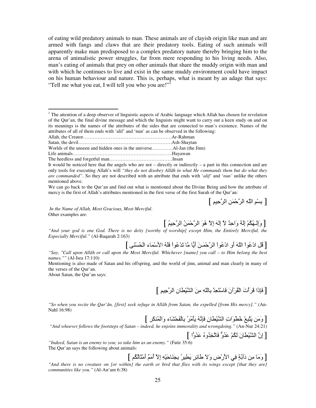of eating wild predatory animals to man. These animals are of clayish origin like man and are armed with fangs and claws that are their predatory tools. Eating of such animals will apparently make man predisposed to a complex predatory nature thereby bringing him to the arena of animalistic power struggles, far from mere responding to his living needs. Also, man's eating of animals that prey on other animals that share the muddy origin with man and with which he continues to live and exist in the same muddy environment could have impact on his human behaviour and nature. This is, perhaps, what is meant by an adage that says: "Tell me what you eat, I will tell you who you are!"<sup>1</sup>

Worlds of the unseen and hidden ones in the universe………….Al-Jan (the Jinn)

Life animals………….………………………………………….Hayawan

The heedless and forgetful man…………………………………Insan

We can go back to the Qur'an and find out what is mentioned about the Divine Being and how the attribute of mercy is the first of Allah's attributes mentioned in the first verse of the first Surah of the Qur'an:

[ بِسْمِ اللّهِ الرَّحْمَنِ الرَّحِيمِ ]

*In the Name of Allah, Most Gracious, Most Merciful*. Other examples are:

[ وَإِلْـهُكُمْ إِلَهٌ وَاحِدٌ لاَ إِلهَ إِلاَ هُوَ الرَّحْمَنُ الرَّحِيمُ ]

*"And your god is one God. There is no deity [worthy of worship] except Him, the Entirely Merciful, the Especially Merciful."* (Al-Baqarah 2:163)

[ قُل ادْعُواْ اللّهَ أو ادْعُواْ الرَّحْمَـٰنَ أيًّا مَّا تَدْعُواْ فَلَهُ الأسْمَاء الْحُسْنَى ]

Mentioning is also made of Satan and his offspring, and the world of jinn, animal and man clearly in many of the verses of the Qur'an.

About Satan, the Qur'an says:

[ فَإِذَا قَرَأَتَ الْقُرْآنَ فَاسْتَعِدْ بِاللَّهِ مِنَ الشَّيْطَانِ الرَّحِيمِ ]

*"So when you recite the Qur'*ā*n, [first] seek refuge in All*ā*h from Satan, the expelled [from His mercy]."* (An-Nahl 16:98)

[وَمَن يَتَبِعْ خُطُوَاتِ الشَّيْطانِ فَإِنَّهُ يَأْمُرُ بِالْفَحْشَاءِ وَالْمُنكَرِ ]

 *"And whoever follows the footsteps of Satan – indeed, he enjoins immorality and wrongdoing."* (An-Nur 24:21)

[ إِنَّ الشَّيْطَانَ لَكُمْ عَدُوٌّ فَاتَّخِدُوهُ عَدُوًّا ]

*"Indeed, Satan is an enemy to you; so take him as an enemy."* (Fatir 35:6) The Qur'an says the following about animals:

[وَمَا مِن دَآبَةٍ فِي الأرْض وَلاَ طَائِرٍ يَطِيرُ بِجَنَاحَيْهِ إِلاَّ أُمَمٌ أَمْتَالُكُم ]

*"And there is no creature on [or within] the earth or bird that flies with its wings except [that they are] communities like you."* (Al-An'am 6:38)

The attention of a deep observer of linguistic aspects of Arabic language which Allah has chosen for revelation of the Qur'an, the final divine message and which the linguists might want to carry out a keen study on and on its meanings is the names of the attributes of the sides that are connected to man's existence. Names of the attributes of all of them ends with 'alif' and 'nun' as can be observed in the following:

Allah, the Creator……………………………………………….Ar-Rahman

Satan, the devil………………………………………………….Ash-Shaytan

It would be noticed here that the angels who are not – directly or indirectly – a part in this connection and are only tools for executing Allah's will *"they do not disobey All*ā*h in what He commands them but do what they are commanded"*. So they are not described with an attribute that ends with '*alif'* and '*nun'* unlike the others mentioned above.

*<sup>&</sup>quot;Say, "Call upon All*ā*h or call upon the Most Merciful. Whichever [name] you call – to Him belong the best names.""* (Al-Isra 17:110)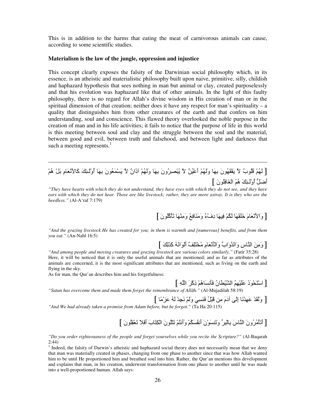This is in addition to the harms that eating the meat of carnivorous animals can cause, according to some scientific studies.

#### **Materialism is the law of the jungle, oppression and injustice**

This concept clearly exposes the falsity of the Darwinian social philosophy which, in its essence, is an atheistic and materialistic philosophy built upon naive, primitive, silly, childish and haphazard hypothesis that sees nothing in man but animal or clay, created purposelessly and that his evolution was haphazard like that of other animals. In the light of this faulty philosophy, there is no regard for Allah's divine wisdom in His creation of man or in the spiritual dimension of that creation; neither does it have any respect for man's spirituality – a quality that distinguishes him from other creatures of the earth and that confers on him understanding, soul and conscience. This flawed theory overlooked the noble purpose in the creation of man and in his life activities; it fails to notice that the purpose of life in this world is this meeting between soul and clay and the struggle between the soul and the material, between good and evil, between truth and falsehood, and between light and darkness that such a meeting represents.<sup>1</sup>

## [ لَهُمْ فُلُوبٌ لاَ يَفْقَهُونَ بِهَا وَلَهُمْ أَعْيُنٌ لاَ يُبْصِرُونَ بِهَا وَلَهُمْ أَذَانٌ لاَ يَسْمَعُونَ بِهَا أُوْلَـئِكَ كَالأَنْعَامِ بَلْ هُمْ أَضَلُّ أُوْلَـئِكَ هُمُ الْغَافِلُونَ ]

*"They have hearts with which they do not understand, they have eyes with which they do not see, and they have ears with which they do not hear. Those are like livestock; rather, they are more astray. It is they who are the heedless."* (Al-A'raf 7:179)

### [وَالأَنْعَامَ خَلَقَهَا لَكُمْ فِيهَا دِفْءٌ وَمَذَافِعُ وَمِنْهَا تَأْكُلُونَ ]

*"And the grazing livestock He has created for you; in them is warmth and [numerous] benefits, and from them you eat."* (An-Nahl 16:5)

[وَمِنَ النَّاسِ وَالذَّوَابِّ وَالْمَأْهَامِ مُخْتَلِفٌ أَلْوَانُهُ كَذَلِكَ ]

*"And among people and moving creatures and grazing livestock are various colors similarly."* (Fatir 35:28) Here, it will be noticed that it is only the useful animals that are mentioned; and as far as attributes of the animals are concerned, it is the most significant attributes that are mentioned, such as living on the earth and flying in the sky.

As for man, the Qur'an describes him and his forgetfulness:

 $\overline{a}$ 

[ اسْتَحْوَذَ عَلَيْهِمُ الشَّيْطْانُ فَأْنسَاهُمْ ذِكْرَ اللَّهِ ]

*"Satan has overcome them and made them forget the remembrance of All*ā*h."* (Al-Mujadilah 58:19)

[ وَلَقَدْ عَهِدْنَا إِلَى آدَمَ مِن قَبْلُ فَنَسِيَ وَلَمْ نَجِدْ لَهُ عَزْمًا ] *"And We had already taken a promise from Adam before, but he forgot."* (Ta Ha 20:115)

[أَ&َLْ"ُDُونَ اH-سَ ْ-ِ7@ِD1 وَ&َHَ(ْنَ أُ2َُْ3َ وَأ2َGُْ& َGُْ(نَ اِ3ْG-َبَ أََ5َ &ْ\$َ=ُِ)نَ ]

*"Do you order righteousness of the people and forget yourselves while you recite the Scripture?"* (Al-Baqarah 2:44)

<sup>1</sup> Indeed, the falsity of Darwin's atheistic and haphazard social theory does not necessarily mean that we deny that man was materially created in phases, changing from one phase to another since that was how Allah wanted him to be until He proportioned him and breathed soul into him. Rather, the Qur'an mentions this development and explains that man, in his creation, underwent transformation from one phase to another until he was made into a well-proportioned human. Allah says: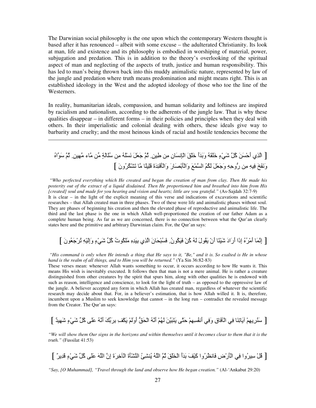The Darwinian social philosophy is the one upon which the contemporary Western thought is based after it has renounced – albeit with some excuse – the adulterated Christianity. Its look at man, life and existence and its philosophy is embodied in worshiping of material, power, subjugation and predation. This is in addition to the theory's overlooking of the spiritual aspect of man and neglecting of the aspects of truth, justice and human responsibility. This has led to man's being thrown back into this muddy animalistic nature, represented by law of the jungle and predation where truth means predomination and might means right. This is an established ideology in the West and the adopted ideology of those who toe the line of the Westerners.

In reality, humanitarian ideals, compassion, and human solidarity and loftiness are inspired by racialism and nationalism, according to the adherents of the jungle law. That is why these qualities disappear – in different forms – in their policies and principles when they deal with others. In their imperialistic and colonial dealing with others, these ideals give way to barbarity and cruelty; and the most heinous kinds of racial and hostile tendencies become the

 $\overline{a}$ 

[ الّذِي أَحْسَنَ كُلَّ شَيْءٍ خَلَقَهُ وَبَدَأَ خَلْقَ الْإِنسَانِ مِن طِينٍ. ثُمَّ جَعَلَ نَسْلُهُ مِن سُلْالةٍ مِّن مَّاء مَّهِينٍ. ثُمَّ سَوَّاهُ وَنَفَخَ فِيهِ مِن رُّوحِهِ وَجَعَلَ لَكُمُ السَّمْعَ وَالْأَبْصَارَ وَالْأَقْئِدَةَ قَلِيلًا مَّا تَشْكُرُونَ ]

 *"Who perfected everything which He created and began the creation of man from clay. Then He made his posterity out of the extract of a liquid disdained. Then He proportioned him and breathed into him from His [created] soul and made for you hearing and vision and hearts; little are you grateful."* (As-Sajdah 32:7-9) It is clear – in the light of the explicit meaning of this verse and indications of excavations and scientific researches – that Allah created man in three phases. Two of these were life and animalistic phases without soul. They are phases of beginning his creation and then the elevated phase of reproductive and animalistic life. The third and the last phase is the one in which Allah well-proportioned the creation of our father Adam as a complete human being. As far as we are concerned, there is no connection between what the Qur'an clearly states here and the primitive and arbitrary Darwinian claim. For, the Qur'an says:

# [ إِنَّمَا أَمْرُهُ إِذَا أَرَادَ شَيْئًا أَنْ يَقُولَ لَهُ كُنْ فَيَكُونُ. فَسُبْحَانَ الَّذِي بِيَدِهِ مَلَكُوتُ كُلِّ شَيْءٍ وَإِلَيْهِ تُرْجَعُونَ ]

 *"His command is only when He intends a thing that He says to it, "Be," and it is. So exalted is He in whose hand is the realm of all things, and to Him you will be returned."* (Ya Sin 36:82-83)

These verses mean: whenever Allah wants something to occur, it occurs according to how He wants it. This means His wish is inevitably executed. It follows then that man is not a mere animal. He is rather a creature distinguished from other creatures by the spirit that spurs him, along with other qualities he is endowed with such as reason, intelligence and conscience, to look for the light of truth – as opposed to the oppressive law of the jungle. A believer accepted any form in which Allah has created man, regardless of whatever the scientific research may decide about that. For, in a believer's estimation, that is how Allah willed it. It is, therefore, incumbent upon a Muslim to seek knowledge that cannot – in the long run – contradict the revealed message from the Creator. The Qur'an says:

[ ٌ َِm ٍءْ.َm 1#ُآ Bََ ُS2َأ َ17َDِ7 ِ]ْ3َ ََْوَأ 6Rَ9ْا ُS2َأ َُْ َ!َ@َGَ BGَT ُِِْ2َأ .َِو ِق-َqْا .ِ -َHِ&-َ ِِْDُHَ ]

*"We will show them Our signs in the horizons and within themselves until it becomes clear to them that it is the truth."* (Fussilat 41:53)

[ ْ#ُ ِDُوا .ِ اْLَرْضِ 2-َ^ُDُوا آَْ[َ َ7 َأَ اْUَْRَ Eُ اSُ ُQHُِ اHQْLَةَ اْqِ+Dَةَ إِن اSَ ََB آ1#ُ mْ.َءٍ َ ِDٌ[

*"Say, [O Muhammad], "Travel through the land and observe how He began creation."* (Al-'Ankabut 29:20)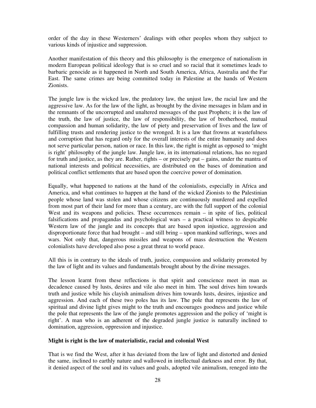order of the day in these Westerners' dealings with other peoples whom they subject to various kinds of injustice and suppression.

Another manifestation of this theory and this philosophy is the emergence of nationalism in modern European political ideology that is so cruel and so racial that it sometimes leads to barbaric genocide as it happened in North and South America, Africa, Australia and the Far East. The same crimes are being committed today in Palestine at the hands of Western Zionists.

The jungle law is the wicked law, the predatory law, the unjust law, the racial law and the aggressive law. As for the law of the light, as brought by the divine messages in Islam and in the remnants of the uncorrupted and unaltered messages of the past Prophets; it is the law of the truth, the law of justice, the law of responsibility, the law of brotherhood, mutual compassion and human solidarity, the law of piety and preservation of lives and the law of fulfilling trusts and rendering justice to the wronged. It is a law that frowns at wastefulness and corruption that has regard only for the overall interests of the entire humanity and does not serve particular person, nation or race. In this law, the right is might as opposed to 'might is right' philosophy of the jungle law. Jungle law, in its international relations, has no regard for truth and justice, as they are. Rather, rights – or precisely put – gains, under the mantra of national interests and political necessities, are distributed on the bases of domination and political conflict settlements that are based upon the coercive power of domination.

Equally, what happened to nations at the hand of the colonialists, especially in Africa and America, and what continues to happen at the hand of the wicked Zionists to the Palestinian people whose land was stolen and whose citizens are continuously murdered and expelled from most part of their land for more than a century, are with the full support of the colonial West and its weapons and policies. These occurrences remain – in spite of lies, political falsifications and propagandas and psychological wars – a practical witness to despicable Western law of the jungle and its concepts that are based upon injustice, aggression and disproportionate force that had brought – and still bring – upon mankind sufferings, woes and wars. Not only that, dangerous missiles and weapons of mass destruction the Western colonialists have developed also pose a great threat to world peace.

All this is in contrary to the ideals of truth, justice, compassion and solidarity promoted by the law of light and its values and fundamentals brought about by the divine messages.

The lesson learnt from these reflections is that spirit and conscience meet in man as decadence caused by lusts, desires and vile also meet in him. The soul drives him towards truth and justice while his clayish animalism drives him towards lusts, desires, injustice and aggression. And each of these two poles has its law. The pole that represents the law of spiritual and divine light gives might to the truth and encourages goodness and justice while the pole that represents the law of the jungle promotes aggression and the policy of 'might is right'. A man who is an adherent of the degraded jungle justice is naturally inclined to domination, aggression, oppression and injustice.

#### **Might is right is the law of materialistic, racial and colonial West**

That is we find the West, after it has deviated from the law of light and distorted and denied the same, inclined to earthly nature and wallowed in intellectual darkness and error. By that, it denied aspect of the soul and its values and goals, adopted vile animalism, reneged into the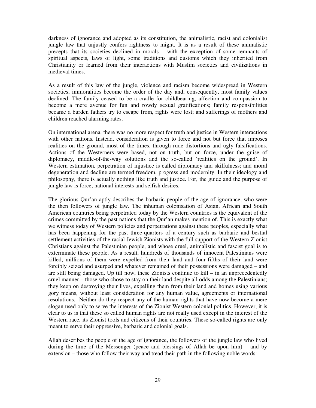darkness of ignorance and adopted as its constitution, the animalistic, racist and colonialist jungle law that unjustly confers rightness to might. It is as a result of these animalistic precepts that its societies declined in morals – with the exception of some remnants of spiritual aspects, laws of light, some traditions and customs which they inherited from Christianity or learned from their interactions with Muslim societies and civilizations in medieval times.

As a result of this law of the jungle, violence and racism become widespread in Western societies, immoralities become the order of the day and, consequently, most family values declined. The family ceased to be a cradle for childbearing, affection and compassion to become a mere avenue for fun and rowdy sexual gratifications; family responsibilities became a burden fathers try to escape from, rights were lost; and sufferings of mothers and children reached alarming rates.

On international arena, there was no more respect for truth and justice in Western interactions with other nations. Instead, consideration is given to force and not but force that imposes realities on the ground, most of the times, through rude distortions and ugly falsifications. Actions of the Westerners were based, not on truth, but on force, under the guise of diplomacy, middle-of-the-way solutions and the so-called 'realities on the ground'. In Western estimation, perpetration of injustice is called diplomacy and skilfulness; and moral degeneration and decline are termed freedom, progress and modernity. In their ideology and philosophy, there is actually nothing like truth and justice. For, the guide and the purpose of jungle law is force, national interests and selfish desires.

The glorious Qur'an aptly describes the barbaric people of the age of ignorance, who were the then followers of jungle law. The inhuman colonisation of Asian, African and South American countries being perpetrated today by the Western countries is the equivalent of the crimes committed by the past nations that the Qur'an makes mention of. This is exactly what we witness today of Western policies and perpetrations against these peoples, especially what has been happening for the past three-quarters of a century such as barbaric and bestial settlement activities of the racial Jewish Zionists with the full support of the Western Zionist Christians against the Palestinian people, and whose cruel, animalistic and fascist goal is to exterminate these people. As a result, hundreds of thousands of innocent Palestinians were killed, millions of them were expelled from their land and four-fifths of their land were forcibly seized and usurped and whatever remained of their possessions were damaged – and are still being damaged. Up till now, these Zionists continue to kill – in an unprecedentedly cruel manner – those who chose to stay on their land despite all odds among the Palestinians; they keep on destroying their lives, expelling them from their land and homes using various gory means, without least consideration for any human value, agreements or international resolutions. Neither do they respect any of the human rights that have now become a mere slogan used only to serve the interests of the Zionist Western colonial politics. However, it is clear to us is that these so called human rights are not really used except in the interest of the Western race, its Zionist tools and citizens of their countries. These so-called rights are only meant to serve their oppressive, barbaric and colonial goals.

Allah describes the people of the age of ignorance, the followers of the jungle law who lived during the time of the Messenger (peace and blessings of Allah be upon him) – and by extension – those who follow their way and tread their path in the following noble words: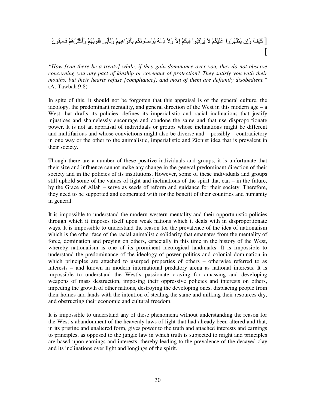# [ كَيْفَ وَإِن يَظْهَرُوا عَلَيْكُمْ لاَ يَرْقُبُوا فِيكُمْ إِلاَّ وَلاَ ذِمَّة يُرْضُونَكُم بِأَفْوَاهِهِمْ وَتَأْبَى فُلُوبُهُمْ وَأَكْثَرُهُمْ فَاسِقُونَ [

*"How [can there be a treaty] while, if they gain dominance over you, they do not observe concerning you any pact of kinship or covenant of protection? They satisfy you with their mouths, but their hearts refuse [compliance], and most of them are defiantly disobedient."* (At-Tawbah 9:8)

In spite of this, it should not be forgotten that this appraisal is of the general culture, the ideology, the predominant mentality, and general direction of the West in this modern age – a West that drafts its policies, defines its imperialistic and racial inclinations that justify injustices and shamelessly encourage and condone the same and that use disproportionate power. It is not an appraisal of individuals or groups whose inclinations might be different and multifarious and whose convictions might also be diverse and – possibly – contradictory in one way or the other to the animalistic, imperialistic and Zionist idea that is prevalent in their society.

Though there are a number of these positive individuals and groups, it is unfortunate that their size and influence cannot make any change in the general predominant direction of their society and in the policies of its institutions. However, some of these individuals and groups still uphold some of the values of light and inclinations of the spirit that can – in the future, by the Grace of Allah – serve as seeds of reform and guidance for their society. Therefore, they need to be supported and cooperated with for the benefit of their countries and humanity in general.

It is impossible to understand the modern western mentality and their opportunistic policies through which it imposes itself upon weak nations which it deals with in disproportionate ways. It is impossible to understand the reason for the prevalence of the idea of nationalism which is the other face of the racial animalistic solidarity that emanates from the mentality of force, domination and preying on others, especially in this time in the history of the West, whereby nationalism is one of its prominent ideological landmarks. It is impossible to understand the predominance of the ideology of power politics and colonial domination in which principles are attached to usurped properties of others – otherwise referred to as interests – and known in modern international predatory arena as national interests. It is impossible to understand the West's passionate craving for amassing and developing weapons of mass destruction, imposing their oppressive policies and interests on others, impeding the growth of other nations, destroying the developing ones, displacing people from their homes and lands with the intention of stealing the same and milking their resources dry, and obstructing their economic and cultural freedom.

It is impossible to understand any of these phenomena without understanding the reason for the West's abandonment of the heavenly laws of light that had already been altered and that, in its pristine and unaltered form, gives power to the truth and attached interests and earnings to principles, as opposed to the jungle law in which truth is subjected to might and principles are based upon earnings and interests, thereby leading to the prevalence of the decayed clay and its inclinations over light and longings of the spirit.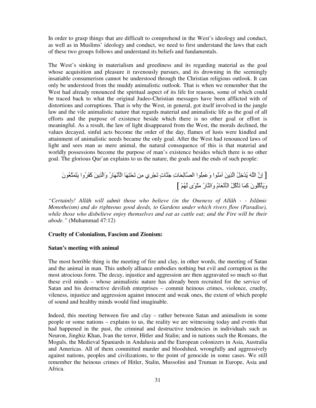In order to grasp things that are difficult to comprehend in the West's ideology and conduct, as well as in Muslims' ideology and conduct, we need to first understand the laws that each of these two groups follows and understand its beliefs and fundamentals.

The West's sinking in materialism and greediness and its regarding material as the goal whose acquisition and pleasure it ravenously pursues, and its drowning in the seemingly insatiable consumerism cannot be understood through the Christian religious outlook. It can only be understood from the muddy animalistic outlook. That is when we remember that the West had already renounced the spiritual aspect of its life for reasons, some of which could be traced back to what the original Judeo-Christian messages have been afflicted with of distortions and corruptions. That is why the West, in general, got itself involved in the jungle law and the vile animalistic nature that regards material and animalistic life as the goal of all efforts and the purpose of existence beside which there is no other goal or effort is meaningful. As a result, the law of light disappeared from the West, the morals declined, the values decayed, sinful acts become the order of the day, flames of lusts were kindled and attainment of animalistic needs became the only goal. After the West had renounced laws of light and sees man as mere animal, the natural consequence of this is that material and worldly possessions become the purpose of man's existence besides which there is no other goal. The glorious Qur'an explains to us the nature, the goals and the ends of such people:

[ إِن اSَ ُ ُ#ِ+ْ اZِ!َ "َHُ(ا وََ ُِ)ا ا`-َ9ِ-تِ َ0H-تٍ &ْ%َDِي "ِ! &ْ9َG-َِ اْL-َْ2َرُ وَاZِ!َ آََDُوا َGَ َGُ\$(نَ وََLْآُُ)نَ آَ -َ &َLْآُ#ُ اْL-َ\$ْ2َمُ وَاH-رُ "َuْ(ًى ُْ ]

*"Certainly! Allâh will admit those who believe (in the Oneness of Allâh - - Islâmic Monotheism) and do righteous good deeds, to Gardens under which rivers flow (Paradise), while those who disbelieve enjoy themselves and eat as cattle eat; and the Fire will be their abode."* (Muhammad 47:12)

#### **Cruelty of Colonialism, Fascism and Zionism:**

#### **Satan's meeting with animal**

The most horrible thing is the meeting of fire and clay, in other words, the meeting of Satan and the animal in man. This unholy alliance embodies nothing but evil and corruption in the most atrocious form. The decay, injustice and aggression are then aggravated so much so that these evil minds – whose animalistic nature has already been recruited for the service of Satan and his destructive devilish enterprises – commit heinous crimes, violence, cruelty, vileness, injustice and aggression against innocent and weak ones, the extent of which people of sound and healthy minds would find imaginable.

Indeed, this meeting between fire and clay – rather between Satan and animalism in some people or some nations – explains to us, the reality we are witnessing today and events that had happened in the past, the criminal and destructive tendencies in individuals such as Neuron, Jinghiz Khan, Ivan the terror, Hitler and Stalin; and in nations such the Romans, the Moguls, the Medieval Spaniards in Andalusia and the European colonizers in Asia, Australia and Americas. All of them committed murder and bloodshed, wrongfully and aggressively against nations, peoples and civilizations, to the point of genocide in some cases. We still remember the heinous crimes of Hitler, Stalin, Mussolini and Truman in Europe, Asia and Africa.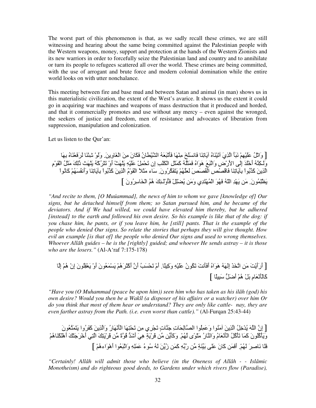The worst part of this phenomenon is that, as we sadly recall these crimes, we are still witnessing and hearing about the same being committed against the Palestinian people with the Western weapons, money, support and protection at the hands of the Western Zionists and its new warriors in order to forcefully seize the Palestinian land and country and to annihilate or turn its people to refugees scattered all over the world. These crimes are being committed, with the use of arrogant and brute force and modern colonial domination while the entire world looks on with utter nonchalance.

This meeting between fire and base mud and between Satan and animal (in man) shows us in this materialistic civilization, the extent of the West's avarice. It shows us the extent it could go in acquiring war machines and weapons of mass destruction that it produced and horded, and that it commercially promotes and use without any mercy – even against the wronged, the seekers of justice and freedom, men of resistance and advocates of liberation from suppression, manipulation and colonization.

Let us listen to the Qur'an:

[ وَاثْلُ عَلَيْهِمْ نَبَأَ الَّذِيَ آتَيْنَاهُ آيَاتِنَا فَانسَلْخَ مِنْهَا فَأَتْبَعَهُ الشَّيْطَانُ فَكَانَ مِنَ الْغَاوِينَ وَلَوْ شِئْنَا لْرَفَعْنَاهُ بِهَا وَلَّكِنَّهُ أَخْلَدَ إِلَى الأَرْضِ وَاتَّبَعَ هَوَاهُ فَمَثَلُهُ كَمَثَلِ الْكَلْبِ إِن تَحْمِلْ عَلَيْهِ يَلْهَتْ أَوْ تَتْرُكَمُهُ يَلْهَتْ دَٰلِكَ مَثَلُ الْقَوْمِ الَّذِينَ كَذَّبُواْ بِأَيَاتِنَا فَاقْصُصْ الْقَصَصَ لَعَلَّهُمْ يَتَفَكَّرُونَ ِ سَاء مَثَلاً الْقَوْمُ الَّذِينَ كَذَّبُواْ بِأَيَاتِنَا وَأَنفُسَهُمْ كَانُواْ يَظْلِمُونَ ِ مَن يَهْدِ اللّهُ فَهُوَ الْمُهْتَدِي وَمَن يُضْلِلْ فَأُوْلَـئِكَ هُمُ الْخَاسِرُونَ ]

*"And recite to them, [O Muúammad], the news of him to whom we gave [knowledge of] Our signs, but he detached himself from them; so Satan pursued him, and he became of the*  deviators. And if We had willed, we could have elevated him thereby, but he adhered *[instead] to the earth and followed his own desire. So his example is like that of the dog: if you chase him, he pants, or if you leave him, he [still] pants. That is the example of the people who denied Our signs. So relate the stories that perhaps they will give thought. How evil an example [is that of] the people who denied Our signs and used to wrong themselves. Whoever All*ā*h guides – he is the [rightly] guided; and whoever He sends astray – it is those who are the losers."* (Al-A'raf 7:175-178)

[ أَرَأَْNَ" َ!ِ ا&UَZَ إََِSُ هَ)َاxُ أََL2َNَ& ُ3َ(نُ ََْSِ وَآِ.-ً أَمْ &ْ9ََcُ أَن أَآْuَDَهُْ َْ ُ\$َ)نَ أَوْ ْ\$َ=ُِ)نَ إِنْ هُْ إ-ِ آْ-َL-َ\$ْ2َمِ ْ#َ7 هُْ أَC6#َ َ@ِ-ً[

*"Have you (O Muhammad (peace be upon him)) seen him who has taken as his ilâh (god) his own desire? Would you then be a Wakîl (a disposer of his affairs or a watcher) over him Or do you think that most of them hear or understand? They are only like cattle- nay, they are even farther astray from the Path. (i.e. even worst than cattle)."* (Al-Furqan 25:43-44)

[ إِنَّ اللَّهَ يُدْخِلُ الَّذِينَ آمَنُوا وَعَمِلُوا الصَّالِحَاتِ جَذَّاتٍ تَجْرِي مِن تَحْتِهَا الْمَأْنَهَارُ وَالَّذِينَ كَفَرُوا يَتَمَتَّعُونَ وَيَأْكُلُونَ كَمَا تَأْكُلُ الْأَنْعَامُ وَالنَّارُ مَثْوَى لَهُمْ. وَكَأَيِّن مِّن قَرْيَةٍ هِيَ أَشَدٌّ قُوَّةً مِّن قَرْيَتِكَ الَّتِي أَخْرَجَتُكَ أَهْلَكْنَاهُمْ فَلَا نَاصِرَ لَهُمْ. أَفَمَن كَانَ عَلَى بَيِّنَةٍ مِّن رَبِّهِ كَمَن زُبِّنَ لَهُ سُوءُ عَمَلِهِ وَاتَّبَعُوا أَهْوَاءهُمْ ]

*"Certainly! Allâh will admit those who believe (in the Oneness of Allâh - - Islâmic Monotheism) and do righteous good deeds, to Gardens under which rivers flow (Paradise),*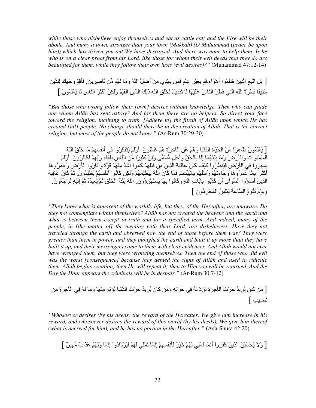*while those who disbelieve enjoy themselves and eat as cattle eat; and the Fire will be their abode. And many a town, stronger than your town (Makkah) (O Muhammad (peace be upon him)) which has driven you out We have destroyed. And there was none to help them. Is he who is on a clear proof from his Lord, like those for whom their evil deeds that they do are beautified for them, while they follow their own lusts (evil desires)?"* (Muhammad 47:12-14)

[ بَل اتَّبَعَ الَّذِينَ ظَلَمُوا أَهْوَاءهُم بِغَيْرِ عِلْمٍ فَمَن يَهْدِي مَنْ أَضلَّ اللَّهُ وَمَا لَهُم مِّن نَّاصرِرِينَ فَأَقِمْ وَجْهَكَ لِلدِّينِ حَنِيفًا فِطْرَةَ اللَّهِ الَّتِي فَطْرَ النَّاسَ عَلَيْهَا لَا تَبْدِيلَ لِخَلْقِ اللَّهِ ذَلِكَ الدِّينُ الْقَيِّمُ وَلَكِنَّ أَكْثَرَ النَّاسِ لَا يَعْلَمُونَ ]

*"But those who wrong follow their [own] desires without knowledge. Then who can guide one whom All*ā*h has sent astray? And for them there are no helpers. So direct your face toward the religion, inclining to truth. [Adhere to] the fitrah of All*ā*h upon which He has created [all] people. No change should there be in the creation of All*ā*h. That is the correct religion, but most of the people do not know."* (Ar-Rum 30:29-30)

[يَعْلَمُونَ ظَاهِرًا مِّنَ الْحَيَاةِ الدُّنْيَا وَهُمْ عَنِ الْأَخِرَةِ هُمْ غَافِلُونَ. أُوَلَّمْ يَتَفَكَّرُوا فِي أنفُسِهِمْ مَا خَلْقَ اللَّهُ السَّمَاوَاتِ وَالْأَرْضَ وَمَا بَيْنَهُمَا إِلَّا بِالْحَقِّ وَأَجَلٍ مُسَمَّى وَإِنَّ كَثِيرًا مِّنَ النَّاس بِلِقَاء رَبِّهِمْ لَكَافِرُونَ. أُوَلَّمْ يَسِيرُوا فِي الْأَرْضِ فَيَنظُرُوا كَيْفَ كَانَ عَاقِبَةُ الْذِينَ مِن قَبْلِهِمْ كَانُوا أَشَدَّ مِنْهُمْ قُوَّةً وَأَتَارُوا الْأَرْضَ وَعَمَرُوهَا أَكْثَرَ مِمَّا عَمَرُو هَا وَجَاءتُهُمْ رُسُلُهُم بِالْبَيِّنَاتِ فَمَا كَانَ اللَّهُ لِيَطْلِمَهُمْ وَلَكِن كَانُوا أَنفُسَهُمْ يَطْلِمُونَ ۖ ثُمَّ كَانَ عَاقِبَة الَّذِينَ أَسَاؤُوا السُّواْي أَن كَذَّبُوا بِأَيَاتِ اللَّهِ وَكَانُوا بِهَا يَسْتَهْزِؤُون. اللَّهُ يَبْدَأُ الْخَلْقَ ثُمَّ يُعِيدُهُ ثُمَّ إِلَيْهِ ثُرْجَعُونَ. وَيَوْمَ تَقُومُ السَّاعَةُ يُبْلِسُ الْمُجْرِمُونَ ]

*"They know what is apparent of the worldly life, but they, of the Hereafter, are unaware. Do they not contemplate within themselves? All*ā*h has not created the heavens and the earth and what is between them except in truth and for a specified term. And indeed, many of the people, in [the matter of] the meeting with their Lord, are disbelievers. Have they not traveled through the earth and observed how the end of those before them was? They were greater than them in power, and they ploughed the earth and built it up more than they have built it up, and their messengers came to them with clear evidences. And All*ā*h would not ever have wronged them, but they were wronging themselves. Then the end of those who did evil was the worst [consequence] because they denied the signs of All*ā*h and used to ridicule them. All*ā*h begins creation; then He will repeat it; then to Him you will be returned. And the Day the Hour appears the criminals will be in despair."* (Ar-Rum 30:7-12)

 !ِ" ِةَDِ+qْا .ِ ُSَ -َ"َو -َْHِ" ِSِ&Iُ2 -َْ26 ا َثْDَT ُ ِDُ َن-َآ! َ"َو ِSِEْDَT .ِ ُSَ ْدِdَ2 ِةَDِ+qْا َثْDَT ُ ِDُ َن-َآ! َ[ " [ ٍcِ`2

*"Whosoever desires (by his deeds) the reward of the Hereafter, We give him increase in his reward, and whosoever desires the reward of this world (by his deeds), We give him thereof (what is decreed for him), and he has no portion in the Hereafter."* (Ash-Shura 42:20)

[ وَ;َ ْ9ََ@َ! اZِ!َ آََDُواْ أ2َ -َ ُ2 .ِْ َُْ َ+ْDٌ 1Lُ2َِِْ إ2ِ -َ ُ2 .ِْ َُْ َِdْدَادُواْ إِEْ -ً وََُْ َZَابٌ "ِ6!ٌ ]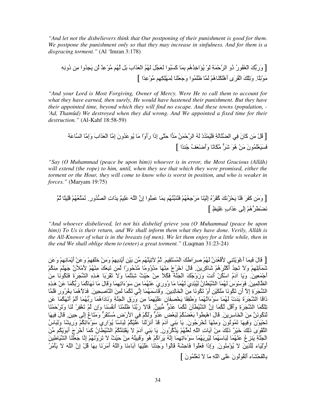*"And let not the disbelievers think that Our postponing of their punishment is good for them. We postpone the punishment only so that they may increase in sinfulness. And for them is a disgracing torment."* (Al 'Imran 3:178)

[ وَرَ67َ اْrَُ(رُ ذُو اDTْ َ\*ِ َ(ْ ُIَاِ+Zُهُ ِ7 -َ آََ@ُ)ا َ#%َ\$َ َُُ اَ\$ْZَابَ #َ7 ُ ")ِْ ٌ ! ِ%َ ُوا "ِ! دُوِ2Sِ "َ).-ًِ4ْ وَ&َِْ اْ=ُDَى أَهْ3َْH-َهُْ َ - ََ ُ)ا وَْ\$َ0َH-َ ِ ِِ3َِْ" (ِْ ًا ]

*"And your Lord is Most Forgiving, Owner of Mercy. Were He to call them to account for what they have earned, then surely, He would have hastened their punishment. But they have their appointed time, beyond which they will find no escape. And these towns (population, - 'Ad, Thamûd) We destroyed when they did wrong. And We appointed a fixed time for their destruction."* (Al-Kahf 18:58-59)

[ْ#ُ "َ! آ-َنَ .ِ اeَ-َ\*ِ ََْ ْ ُدْ َSُ اDTْ َ!ُ" َ{ ا TَGB إِذَا رَأَوْا "-َ ُ)َ ُونَ إِ"- اَ\$ْZَابَ وَإِ"- اَ-\*َ َََْ\$َ ُ)نَ "َ!ْ هُ)َ mَjD" -ً2-َ3 وَأَCَ\$ْ]ُ ُ0H ًا ]

*"Say (O Muhammad (peace be upon him)) whoever is in error, the Most Gracious (Allâh) will extend (the rope) to him, until, when they see that which they were promised, either the torment or the Hour, they will come to know who is worst in position, and who is weaker in forces."* (Maryam 19:75)

 ُE -ًَِ ُُْ\$1Gَ ُ2 .ِورُ 6`ا ِاتَZِ7 ٌَِ َSا نِإ ا)ُِ َ -َ ِ7 ُُM1@َHُHَ ُُْ\$ِ0ْDَ" -َHَِْإ ُxُDُْآ َ2ُdْ9َ -ََ َDََآ! َ"َو[ [ ٍkَِo ٍابَZَ Bَِإ ُْه6Dَnْeَ2

*"And whoever disbelieved, let not his disbelief grieve you (O Muhammad (peace be upon him)) To Us is their return, and We shall inform them what they have done. Verily, Allâh is the All-Knower of what is in the breasts (of men). We let them enjoy for a little while, then in the end We shall oblige them to (enter) a great torment."* (Luqman 31:23-24)

[ قَالَ فَبِمَا أَعْوَيْتَنِي لأَقْعُدَنَّ لَهُمْ صِرِ َاطْكَ الْمُسْتَقِيمَ. ثُمَّ لأَتِيَذَّهُم مِّن بَيْنِ أَيْدِيهِمْ وَمِنْ خَلْفِهِمْ وَعَنْ أَيْمَانِهِمْ وَعَن تَنَمَأْلِلِهِمْ وَلاَ تَـٰجِدُ أَكْثَرَهُمْ شَاكِرِينَ ۚ قَالَ اخْرُجْ مِنْهَا مَدْوُومًا مَّدْحُورًا لَمَن تَبِعَكَ مِنْهُمْ لأمْلأنَّ جَهَنَّمَ مِنْكُمْ أَجْمَعِينَ. وَيَا آدَمُ اسْكُنْ أَنتَ وَزَوْجُكَ الْجَنَّةَ فَكُلاً مِنْ حَيْثُ شِئْتُمَا وَلاَ تَقْرَبَا هَذِهِ الشَّجَرَةَ فَتَكُونَا مِنَ الظَّالِمِينَ فَوَسْوَسَ لَهُمَا الشَّيْطَانُ لِيُبْدِيَ لَهُمَا مَا وُورِيَ عَنْهُمَا مِن سَوْءَاتِهِمَا وَقَالَ مَا نَهَاكُمَا رَبُّكُمَا عَنْ هَذِهِ الشَّجَرَةِ إِلاَّ أَن تَكُونَا مَلَكَيْنِ أَوْ تَكُونَا مِنَ الْخَالِدِينَ ۖ وَقَاسَمَهُمَا إِنِّي لَكُمَا لَمِنَ النَّاصِحِينَ ۖ فَدَلاً هُمَا بِغُرُورٍ فَلَمَّا ا ذَاقَا الشُّجَرَةَ بَدَتْ لَهُمَا سَوْءَاتُهُمَا وَطَفِقًا يَخْصِفَانِ عَلَيْهِمَا مِن وَرَقِ الْجَذَّةِ وَنَادَاهُمَا رَبَّهُمَا أَلَمْ أَنْهَكُمَا عَن تِلْكُمَا الشَّجَرَةِ وَأَقْلُ لَكُمَا إِنَّ الشَّيْطَأْنَ لَكُمَا عَدُوٌّ مُّبِينٌ. قَالاً رَبَّنَا ظَلَمْنَا أنفُسَنَا وَإِن لَمْ تَغْفِرْ لَنَا وَتَرْحَمْنَا لَنَكُونَنَّ مِنَ الْخَاسِرِينَ ۚ قَالَ اهْبِطُواْ بَعْضُكُمْ لِبَعْضٍ عَدُوٌّ وَلَكُمْ فِي الأَرْضِ مُسْتَقَرٌ وَمَتَاعٌ إِلَى حِينٍ ۗ قَالَ فِيهَا تَحْيَوْنَ وَفِيهَا تَمُوتُونَ وَمِنْهَا تُخْرَجُونَ ِ يَا بَنِي أَدَمَ قَدْ أَنزَلْنَا عَلَيْكُمْ لِبَاسًا يُوَارِي سَوْءَانِكُمْ وَرِيشًا وَلِبَاسُ التَّقُوَىَ ذَٰلِكَ خَيْرٌ ذَٰلِكَ مِنْ آيَاتِ اللَّهِ لَعَلَّهُمْ يَذَكَّرُونَ ۖ يَا بَنِي آدَمَ لاَ يَفْتِنَنَّكُمُ الشَّيْطَانُ كَمَا أَخْرَجَ أَبَوَيْكُم مِّنَ الْجَنَّةِ يَنزِعُ عَنْهُمَا لِبَاسَهُمَا لِيُرِيَهُمَا سَوْءَاتِهِمَا إِنَّهُ يَرَاكُمْ هُوَ وَقَبِيلُهُ مِنْ حَيْثُ لاَ تَرَوْنَهُمْ إِنَّا جَعَلْنَا الشَّيَاطِينَ أَوْلِيَاء لِلَّذِينَ لاَ يُؤْمِنُونَ ِ وَإِذَا فَعَلُواْ فَاحِشَةً قَالُواْ وَجَدْنَا عَلَيْهَا أَبَاءَنَا وَاللَّهُ أَمَرَنَا بِهَا قُلْ إِنَّ اللَّهَ لاَ يَأْمُرُ بِالْفَحْشَاء أَتَقُولُونَ عَلَى اللَّهِ مَا لاَ تَعْلَمُونَ ]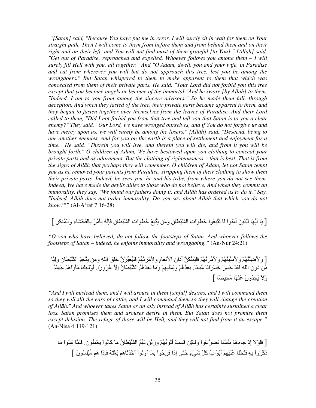*"[Satan] said, "Because You have put me in error, I will surely sit in wait for them on Your straight path. Then I will come to them from before them and from behind them and on their right and on their left, and You will not find most of them grateful [to You]." [All*ā*h] said, "Get out of Paradise, reproached and expelled. Whoever follows you among them – I will surely fill Hell with you, all together." And "O Adam, dwell, you and your wife, in Paradise and eat from wherever you will but do not approach this tree, lest you be among the wrongdoers." But Satan whispered to them to make apparent to them that which was concealed from them of their private parts. He said, "Your Lord did not forbid you this tree except that you become angels or become of the immortal."And he swore [by All*ā*h] to them, "Indeed, I am to you from among the sincere advisors." So he made them fall, through deception. And when they tasted of the tree, their private parts became apparent to them, and they began to fasten together over themselves from the leaves of Paradise. And their Lord called to them, "Did I not forbid you from that tree and tell you that Satan is to you a clear enemy?" They said, "Our Lord, we have wronged ourselves, and if You do not forgive us and have mercy upon us, we will surely be among the losers." [All*ā*h] said, "Descend, being to one another enemies. And for you on the earth is a place of settlement and enjoyment for a time." He said, "Therein you will live, and therein you will die, and from it you will be brought forth." O children of Adam, We have bestowed upon you clothing to conceal your private parts and as adornment. But the clothing of righteousness – that is best. That is from the signs of All*ā*h that perhaps they will remember. O children of Adam, let not Satan tempt you as he removed your parents from Paradise, stripping them of their clothing to show them their private parts. Indeed, he sees you, he and his tribe, from where you do not see them. Indeed, We have made the devils allies to those who do not believe. And when they commit an immorality, they say, "We found our fathers doing it, and All*ā*h has ordered us to do it." Say, "Indeed, All*ā*h does not order immorality. Do you say about All*ā*h that which you do not know?""* (Al-A'raf 7:16-28)

[ يَا أَيُّهَا الَّذِينَ آمَنُوا لَا تَتَبِعُوا خُطُوَاتِ الشَّيْطانِ وَمَن يَتَّبِعْ خُطُوَاتِ الشَّيْطانِ فَإِنَّهُ يَأْمُرُ بِالْفَحْشَاءِ وَالْمُنكَرِ ]

*"O you who have believed, do not follow the footsteps of Satan. And whoever follows the footsteps of Satan – indeed, he enjoins immorality and wrongdoing."* (An-Nur 24:21)

[ وَلأَصْلِئَهُمْ وَلأَمَنَّيَنَّهُمْ وَلأَمُرتَهُمْ فَلَيُبَتَّكُنَّ أَذَانَ الأَنْعَامِ وَلأَمُرتَهُمْ فَلَيُغَيِّرُنَّ خَلْقَ اللّهِ وَمَن يَتَّخِذِ الشَّيْطانَ وَلِيًّا مِّنْ دُونِ اللَّهِ فَقَدْ خَسِرَ خُسْرَانًا مُّبِيئًا. يَعِدُهُمْ وَيُمَثِّيهِمْ وَمَا يَعِدُهُمُ الشَّيْطَانُ إِلاَّ غُرُورًا. أُوْلَـئِكَ مَأْوَاهُمْ جَهَنَّمُ وَلاَ يَجِدُونَ عَذْهَا مَحِيصًا ]

*"And I will mislead them, and I will arouse in them [sinful] desires, and I will command them so they will slit the ears of cattle, and I will command them so they will change the creation of All*ā*h." And whoever takes Satan as an ally instead of All*ā*h has certainly sustained a clear loss. Satan promises them and arouses desire in them. But Satan does not promise them except delusion. The refuge of those will be Hell, and they will not find from it an escape."* (An-Nisa 4:119-121)

[ فَلَوْلا إِدْ جَاءهُمْ بَأْسُنَا تَضَرَّعُواْ وَلْكِن قَسَتْ ڤُلُوبُهُمْ وَزَيَّنَ لَهُمُ الشَّيْطَانُ مَا كَانُواْ يَعْمَلُونَ فَلَمَّا نَسُواْ مَا دُكِّرُواْ بِهِ فَتَحْنَا عَلَيْهِمْ أَبْوَابَ كُلِّ شَيْءٍ حَتَّى إِذَا فَرِحُواْ بِمَا أُوثُواْ أَخَذْنَاهُم بَغْنَةً فَإِذَا هُم مُّبْلِسُونَ ]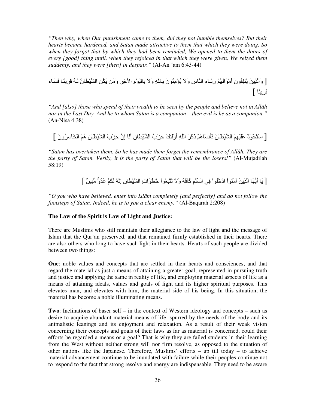*"Then why, when Our punishment came to them, did they not humble themselves? But their hearts became hardened, and Satan made attractive to them that which they were doing. So when they forgot that by which they had been reminded, We opened to them the doors of every [good] thing until, when they rejoiced in that which they were given, We seized them suddenly, and they were [then] in despair."* (Al-An 'am 6:43-44)

[ وَاZِ!َ ُHِ=ُ(نَ أَ"ْ)َاَُْ رَ4ِـ-ء اH-سِ وَ;َ ُIْ"ِHُ(نَ ّ-ِ7Sِ وَ;َ ْ-ِ7َ)ْمِ اvِ+Dِ وَ"َ! ُ3َ!ِ اQْn-َنُ َSُ َDِH-ً َ-َء [ -ًHِDِ

*"And [also] those who spend of their wealth to be seen by the people and believe not in All*ā*h nor in the Last Day. And he to whom Satan is a companion – then evil is he as a companion."* (An-Nisa 4:38)

[ اْGْ9َ(َذَ ََُِْ اQْn-َنُ َL2َ-َهُْ ذِآْDَ اSِ أُوَْMَِ Tِdْبُ اQْn-َنِ أ-ََ إِن Tِdْبَ اQْn-َنِ هُُ اْU-َِDُو نَ ]

*"Satan has overtaken them. So he has made them forget the remembrance of Allâh. They are the party of Satan. Verily, it is the party of Satan that will be the losers!"* (Al-Mujadilah 58:19)

[-َ أَ-َ6 اZِ!َ "َHُ(اْ ادُُ+ْ)اْ .ِ اِْ1 آَq\*ً وَ;َ &َG@ُ\$ِ(اْ ُ+nُ(َاتِ اQْn-َنِ إ2ِSُ ُْ3َ َ ُوj" 6@ِ!ٌ[

*"O you who have believed, enter into Isl*ā*m completely [and perfectly] and do not follow the footsteps of Satan. Indeed, he is to you a clear enemy."* (Al-Baqarah 2:208)

#### **The Law of the Spirit is Law of Light and Justice:**

There are Muslims who still maintain their allegiance to the law of light and the message of Islam that the Qur'an preserved, and that remained firmly established in their hearts. There are also others who long to have such light in their hearts. Hearts of such people are divided between two things:

**One**: noble values and concepts that are settled in their hearts and consciences, and that regard the material as just a means of attaining a greater goal, represented in pursuing truth and justice and applying the same in reality of life, and employing material aspects of life as a means of attaining ideals, values and goals of light and its higher spiritual purposes. This elevates man, and elevates with him, the material side of his being. In this situation, the material has become a noble illuminating means.

**Two**: Inclinations of baser self – in the context of Western ideology and concepts – such as desire to acquire abundant material means of life, spurred by the needs of the body and its animalistic leanings and its enjoyment and relaxation. As a result of their weak vision concerning their concepts and goals of their laws as far as material is concerned, could their efforts be regarded a means or a goal? That is why they are failed students in their learning from the West without neither strong will nor firm resolve, as opposed to the situation of other nations like the Japanese. Therefore, Muslims' efforts – up till today – to achieve material advancement continue to be inundated with failure while their peoples continue not to respond to the fact that strong resolve and energy are indispensable. They need to be aware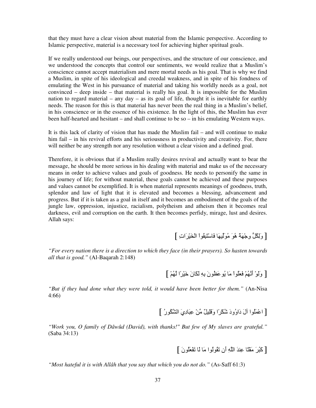that they must have a clear vision about material from the Islamic perspective. According to Islamic perspective, material is a necessary tool for achieving higher spiritual goals.

If we really understood our beings, our perspectives, and the structure of our conscience, and we understood the concepts that control our sentiments, we would realize that a Muslim's conscience cannot accept materialism and mere mortal needs as his goal. That is why we find a Muslim, in spite of his ideological and creedal weakness, and in spite of his fondness of emulating the West in his pursuance of material and taking his worldly needs as a goal, not convinced – deep inside – that material is really his goal. It is impossible for the Muslim nation to regard material – any day – as its goal of life, thought it is inevitable for earthly needs. The reason for this is that material has never been the real thing in a Muslim's belief, in his conscience or in the essence of his existence. In the light of this, the Muslim has ever been half-hearted and hesitant – and shall continue to be so – in his emulating Western ways.

It is this lack of clarity of vision that has made the Muslim fail – and will continue to make him fail – in his revival efforts and his seriousness in productivity and creativity. For, there will neither be any strength nor any resolution without a clear vision and a defined goal.

Therefore, it is obvious that if a Muslim really desires revival and actually want to bear the message, he should be more serious in his dealing with material and make us of the necessary means in order to achieve values and goals of goodness. He needs to personify the same in his journey of life; for without material, these goals cannot be achieved and these purposes and values cannot be exemplified. It is when material represents meanings of goodness, truth, splendor and law of light that it is elevated and becomes a blessing, advancement and progress. But if it is taken as a goal in itself and it becomes an embodiment of the goals of the jungle law, oppression, injustice, racialism, polytheism and atheism then it becomes real darkness, evil and corruption on the earth. It then becomes perfidy, mirage, lust and desires. Allah says:

[وَلِكُلٍّ وجْهَةٌ هُوَ مُوَلِّيهَا فَاسْتَبِقُواْ الْخَيْرَاتِ ]

*"For every nation there is a direction to which they face (in their prayers). So hasten towards all that is good."* (Al-Baqarah 2:148)

[ وَلَوْ أَنَّهُمْ فَعَلُواْ مَا يُوعَظُونَ بِهِ لَكَانَ خَيْرًا لَهُمْ ]

*"But if they had done what they were told, it would have been better for them."* (An-Nisa 4:66)

[ اعْمَلُوا أَلَ دَاوُودَ شُكْرًا وَقَلِيلٌ مِّنْ عِبَادِيَ الشَّكُورُ ]

*"Work you, O family of Dâwûd (David), with thanks!" But few of My slaves are grateful."* (Saba 34:13)

[ كَبُرَ مَقْنًا عِندَ اللَّهِ أَن تَقُولُوا مَا لَا تَفْعَلُونَ ]

*"Most hateful it is with Allâh that you say that which you do not do."* (As-Saff 61:3)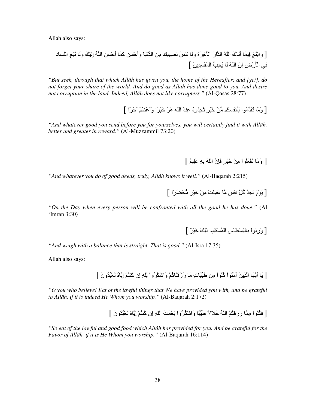Allah also says:

[ وَاْ7Gَِ ِ -َ &-َكَ اSُ ا ارَ اْqِ+Dَةَ و-ََ &َWHَ َ2`ِ@ََ" ِ!َ ا ْ26-َ وَأَTِْ !آَ -َ أَTَْ!َ اSُ إََِْ و-ََ &َ@ِْ اَْ-َدَ .ِ اْLَرْضِ إِن اSَ -َ ِ9ُc6 اْ ُِْ ِ!َ ]

*"But seek, through that which All*ā*h has given you, the home of the Hereafter; and [yet], do not forget your share of the world. And do good as All*ā*h has done good to you. And desire not corruption in the land. Indeed, All*ā*h does not like corrupters."* (Al-Qasas 28:77)

[ وَمَا تُقَدِّمُوا لِأَنفُسِكُم مِّنْ خَيْرٍ تَجِدُوهُ عِندَ اللَّهِ هُوَ خَيْرًا وَأَعْظَمَ أَجْرًا ]

*"And whatever good you send before you for yourselves, you will certainly find it with Allâh, better and greater in reward."* (Al-Muzzammil 73:20)

[ وَمَا تَفْعَلُواْ مِنْ خَيْرٍ فَإِنَّ اللّهَ بِهِ عَلِيمٌ ]

*"And whatever you do of good deeds, truly, Allâh knows it well."* (Al-Baqarah 2:215)

[ يَوْمَ تَجِدُ كُلُّ نَفْسٍ مَّا عَمِلْتْ مِنْ خَيْرٍ مُّحْضَرَا ]

*"On the Day when every person will be confronted with all the good he has done."* (Al 'Imran 3:30)

[ وَزِنُواْ بِالْقِسْطَاسِ الْمُسْتَقِيمِ ذَلِكَ خَيْرٌ ]

*"And weigh with a balance that is straight. That is good."* (Al-Isra 17:35)

Allah also says:

[ يَا أَيُّهَا الَّذِينَ آمَنُواْ كُلُواْ مِن طَيِّبَاتِ مَا رَزَقَنَاكُمْ وَاشْكُرُواْ لِلَّهِ إِن كُنتُمْ إِيَّاهُ تَعْبُدُونَ ]

*"O you who believe! Eat of the lawful things that We have provided you with, and be grateful to Allâh, if it is indeed He Whom you worship."* (Al-Baqarah 2:172)

[ فَكْلُواْ مِمَّا رَزَقَكُمُ اللّهُ حَلالاً طَيِّبًا وَاشْكْرُواْ نِعْمَتَ اللّهِ إِن كُنتُمْ إِيَّاهُ تَعْبُدُونَ ]

*"So eat of the lawful and good food which Allâh has provided for you. And be grateful for the Favor of Allâh, if it is He Whom you worship."* (Al-Baqarah 16:114)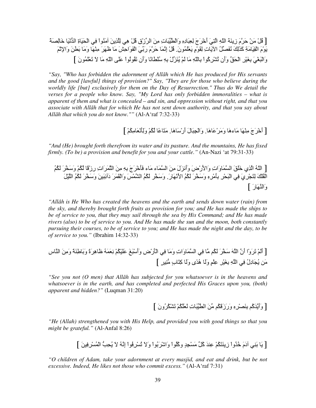[ْ#ُ "َ!ْ TَDمَ زِHَ\*َ اّSِ اGَ.ِ أْ+َDَجَ ِ\$ِ@-َدِxِ وَاْn1@-َتِ "ِ!َ اD1زْقِ ْ#ُ ه.ِ ِZِ!َ "َHُ(اْ .ِ اَ9ْ-َةِ ا ْ26-َ ِ-َ+`َ\*ً َ)ْمَ اْ=ِ-َ"َ\*ِ آَZََِ َُ2`ُ#1 اv-َتِ ِ=َ)ْمٍ َْ\$َ ُ)ن.َ ْ#ُ إ2ِ -َ TَDمَ رَ.17َ اَْ)َاTَِ" -َ ََDَ" ِH-َْ وَ"-َ َ7nَ!َ وَاِEَْ وَاْ@َrَ.ْ ِ7rَْDِ اَ9ْR1 وَأَن &ُQْDِآُ)اْ ّ-ِ7Sِ" -َ َْ ُHَd1لْ ِ7Sِ ُْn-ً2-َ وَأَن &َ=ُ)ُ)اْ ََB اّSِ" -َ; َ& َْ\$َ ُ(نَ ]

*"Say, "Who has forbidden the adornment of All*ā*h which He has produced for His servants and the good [lawful] things of provision?" Say, "They are for those who believe during the worldly life [but] exclusively for them on the Day of Resurrection." Thus do We detail the verses for a people who know. Say, "My Lord has only forbidden immoralities – what is apparent of them and what is concealed – and sin, and oppression without right, and that you associate with All*ā*h that for which He has not sent down authority, and that you say about All*ā*h that which you do not know.""* (Al-A'raf 7:32-33)

[ أَخْرَجَ مِنْهَا مَاءهَا وَمَرْعَاهَا. وَالْجِبَالَ أَرْسَاهَا. مَنَاعًا أَكْمْ وَلِأَنْعَامِكُمْ ]

*"And (He) brought forth therefrom its water and its pasture. And the mountains, He has fixed firmly. (To be) a provision and benefit for you and your cattle."* (An-Nazi 'at 79:31-33)

[ اللهُ الّذِي خَلْقَ السَّمَاوَاتِ وَالأَرْضَ وَأَنزَلَ مِنَ السَّمَاءِ مَاء فَأَخْرَجَ بِهِ مِنَ النُّمَرَاتِ رِزْقًا لَكُمْ وَسَخَّرَ لَكُمُ الْفُلْكَ لِتَجْرِيَ فِي الْبَحْرِ بِأَمْرِهِ وَسَخَّرَ لَكُمُ الأَنْهَارَ . وَسَخَّر لَكُمُ الشَّمْسَ وَالْقَمَرَ دَأْنِبَينَ وَسَخَّرَ لَكُمُ اللَّيْلَ وَالنَّهَارَ ]

*"Allâh is He Who has created the heavens and the earth and sends down water (rain) from the sky, and thereby brought forth fruits as provision for you; and He has made the ships to be of service to you, that they may sail through the sea by His Command; and He has made rivers (also) to be of service to you. And He has made the sun and the moon, both constantly pursuing their courses, to be of service to you; and He has made the night and the day, to be of service to you."* (Ibrahim 14:32-33)

[ أََْ &َDَوْا أَن اSَ َUDَ ُ3َ" - .ِ ا -َوَاتِ وَ"-َ .ِ اْLَرْضِ وَأَْ@ََ ََُْ3ْ َ\$ِ2 َSُ -َهِDَةً و-َ7َPِHَ\*ً وَ"ِ!َ اH-سِ "َ! -َ%ُدِلُ .ِ اSِ ِ7rَْDِ ٍِْ و-ََ هُ ًى و-ََ آِG-َبٍ "6HِDٍ[

*"See you not (O men) that Allâh has subjected for you whatsoever is in the heavens and whatsoever is in the earth, and has completed and perfected His Graces upon you, (both) apparent and hidden?"* (Luqman 31:20)

[ وَأَيَّدَكُم بِنَصْرِهِ وَرَزَقَكُم مِّنَ الطَّيِّبَاتِ لَعَلَّكُمْ تَشْكُرُونَ ]

*"He (Allah) strengthened you with His Help, and provided you with good things so that you might be grateful."* (Al-Anfal 8:26)

[ يَا بَنِي أَدَمَ خُدُواْ زِينَتَكُمْ عِندَ كُلِّ مَسْجِدٍ وكُلُواْ وَاشْرَبُواْ وَلاَ تُسْرِفُواْ إِنَّهُ لاَ يُحِبُّ الْمُسْرِفِينَ ]

*"O children of Adam, take your adornment at every masjid, and eat and drink, but be not excessive. Indeed, He likes not those who commit excess."* (Al-A'raf 7:31)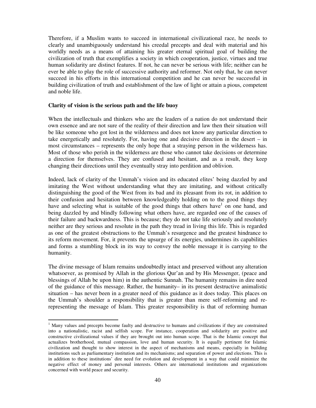Therefore, if a Muslim wants to succeed in international civilizational race, he needs to clearly and unambiguously understand his creedal precepts and deal with material and his worldly needs as a means of attaining his greater eternal spiritual goal of building the civilization of truth that exemplifies a society in which cooperation, justice, virtues and true human solidarity are distinct features. If not, he can never be serious with life; neither can he ever be able to play the role of successive authority and reformer. Not only that, he can never succeed in his efforts in this international competition and he can never be successful in building civilization of truth and establishment of the law of light or attain a pious, competent and noble life.

#### **Clarity of vision is the serious path and the life buoy**

-

When the intellectuals and thinkers who are the leaders of a nation do not understand their own essence and are not sure of the reality of their direction and law then their situation will be like someone who got lost in the wilderness and does not know any particular direction to take energetically and resolutely. For, having one and decisive direction in the desert – in most circumstances – represents the only hope that a straying person in the wilderness has. Most of those who perish in the wilderness are those who cannot take decisions or determine a direction for themselves. They are confused and hesitant, and as a result, they keep changing their directions until they eventually stray into perdition and oblivion.

Indeed, lack of clarity of the Ummah's vision and its educated elites' being dazzled by and imitating the West without understanding what they are imitating, and without critically distinguishing the good of the West from its bad and its pleasant from its rot, in addition to their confusion and hesitation between knowledgeably holding on to the good things they have and selecting what is suitable of the good things that others have<sup>1</sup> on one hand, and being dazzled by and blindly following what others have, are regarded one of the causes of their failure and backwardness. This is because; they do not take life seriously and resolutely neither are they serious and resolute in the path they tread in living this life. This is regarded as one of the greatest obstructions to the Ummah's resurgence and the greatest hindrance to its reform movement. For, it prevents the upsurge of its energies, undermines its capabilities and forms a stumbling block in its way to convey the noble message it is carrying to the humanity.

The divine message of Islam remains undoubtedly intact and preserved without any alteration whatsoever, as promised by Allah in the glorious Qur'an and by His Messenger, (peace and blessings of Allah be upon him) in the authentic Sunnah. The humanity remains in dire need of the guidance of this message. Rather, the humanity– in its present destructive animalistic situation – has never been in a greater need of this guidance as it does today. This places on the Ummah's shoulder a responsibility that is greater than mere self-reforming and rerepresenting the message of Islam. This greater responsibility is that of reforming human

<sup>&</sup>lt;sup>1</sup> Many values and precepts become faulty and destructive to humans and civilizations if they are constrained into a nationalistic, racist and selfish scope. For instance, cooperation and solidarity are positive and constructive civilizational values if they are brought out into human scope. That is the Islamic concept that actualizes brotherhood, mutual compassion, love and human security. It is equally pertinent for Islamic civilization and thought to show interest in the aspect of mechanisms and means, especially in building institutions such as parliamentary institution and its mechanisms; and separation of power and elections. This is in addition to these institutions' dire need for evolution and development in a way that could minimize the negative effect of money and personal interests. Others are international institutions and organizations concerned with world peace and security.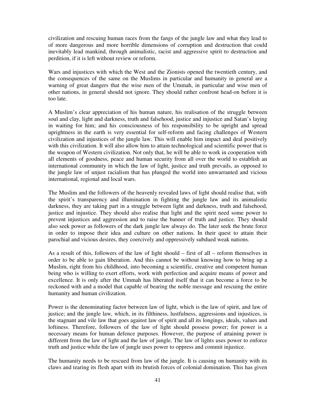civilization and rescuing human races from the fangs of the jungle law and what they lead to of more dangerous and more horrible dimensions of corruption and destruction that could inevitably lead mankind, through animalistic, racist and aggressive spirit to destruction and perdition, if it is left without review or reform.

Wars and injustices with which the West and the Zionists opened the twentieth century, and the consequences of the same on the Muslims in particular and humanity in general are a warning of great dangers that the wise men of the Ummah, in particular and wise men of other nations, in general should not ignore. They should rather confront head-on before it is too late.

A Muslim's clear appreciation of his human nature, his realisation of the struggle between soul and clay, light and darkness, truth and falsehood, justice and injustice and Satan's laying in waiting for him; and his consciousness of his responsibility to be upright and spread uprightness in the earth is very essential for self-reform and facing challenges of Western civilization and injustices of the jungle law. This will enable him impact and deal positively with this civilization. It will also allow him to attain technological and scientific power that is the weapon of Western civilization. Not only that, he will be able to work in cooperation with all elements of goodness, peace and human security from all over the world to establish an international community in which the law of light, justice and truth prevails, as opposed to the jungle law of unjust racialism that has plunged the world into unwarranted and vicious international, regional and local wars.

The Muslim and the followers of the heavenly revealed laws of light should realise that, with the spirit's transparency and illumination in fighting the jungle law and its animalistic darkness, they are taking part in a struggle between light and darkness, truth and falsehood, justice and injustice. They should also realise that light and the spirit need some power to prevent injustices and aggression and to raise the banner of truth and justice. They should also seek power as followers of the dark jungle law always do. The later seek the brute force in order to impose their idea and culture on other nations. In their quest to attain their parochial and vicious desires, they coercively and oppressively subdued weak nations.

As a result of this, followers of the law of light should – first of all – reform themselves in order to be able to gain liberation. And this cannot be without knowing how to bring up a Muslim, right from his childhood, into becoming a scientific, creative and competent human being who is willing to exert efforts, work with perfection and acquire means of power and excellence. It is only after the Ummah has liberated itself that it can become a force to be reckoned with and a model that capable of bearing the noble message and rescuing the entire humanity and human civilization.

Power is the denominating factor between law of light, which is the law of spirit, and law of justice; and the jungle law, which, in its filthiness, lustfulness, aggressions and injustices, is the stagnant and vile law that goes against law of spirit and all its longings, ideals, values and loftiness. Therefore, followers of the law of light should possess power; for power is a necessary means for human defence purposes. However, the purpose of attaining power is different from the law of light and the law of jungle. The law of lights uses power to enforce truth and justice while the law of jungle uses power to oppress and commit injustice.

The humanity needs to be rescued from law of the jungle. It is causing on humanity with its claws and tearing its flesh apart with its brutish forces of colonial domination. This has given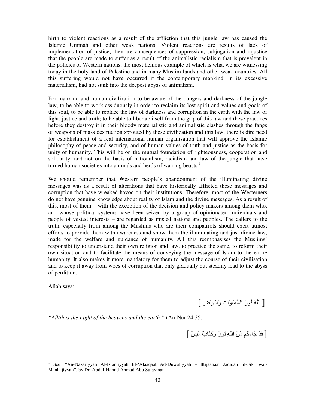birth to violent reactions as a result of the affliction that this jungle law has caused the Islamic Ummah and other weak nations. Violent reactions are results of lack of implementation of justice; they are consequences of suppression, subjugation and injustice that the people are made to suffer as a result of the animalistic racialism that is prevalent in the policies of Western nations, the most heinous example of which is what we are witnessing today in the holy land of Palestine and in many Muslim lands and other weak countries. All this suffering would not have occurred if the contemporary mankind, in its excessive materialism, had not sunk into the deepest abyss of animalism.

For mankind and human civilization to be aware of the dangers and darkness of the jungle law, to be able to work assiduously in order to reclaim its lost spirit and values and goals of this soul, to be able to replace the law of darkness and corruption in the earth with the law of light, justice and truth; to be able to liberate itself from the grip of this law and these practices before they destroy it in their bloody materialistic and animalistic clashes through the fangs of weapons of mass destruction sprouted by these civilization and this law; there is dire need for establishment of a real international human organisation that will approve the Islamic philosophy of peace and security, and of human values of truth and justice as the basis for unity of humanity. This will be on the mutual foundation of righteousness, cooperation and solidarity; and not on the basis of nationalism, racialism and law of the jungle that have turned human societies into animals and herds of warring beasts.<sup>1</sup>

We should remember that Western people's abandonment of the illuminating divine messages was as a result of alterations that have historically afflicted these messages and corruption that have wreaked havoc on their institutions. Therefore, most of the Westerners do not have genuine knowledge about reality of Islam and the divine messages. As a result of this, most of them – with the exception of the decision and policy makers among them who, and whose political systems have been seized by a group of opinionated individuals and people of vested interests – are regarded as misled nations and peoples. The callers to the truth, especially from among the Muslims who are their compatriots should exert utmost efforts to provide them with awareness and show them the illuminating and just divine law, made for the welfare and guidance of humanity. All this reemphasises the Muslims' responsibility to understand their own religion and law, to practice the same, to reform their own situation and to facilitate the means of conveying the message of Islam to the entire humanity. It also makes it more mandatory for them to adjust the course of their civilisation and to keep it away from woes of corruption that only gradually but steadily lead to the abyss of perdition.

Allah says:

-

[ اSُ ُ2(رُ ا -َوَاتِ وَاْLَرْضِ ]

*"Allâh is the Light of the heavens and the earth."* (An-Nur 24:35)

[ قَدْ جَاءكُم مِّنَ اللَّهِ نُورٌ وَكِتَابٌ مُّبِينٌ ]

<sup>1</sup> See: "An-Nazariyyah Al-Islamiyyah lil-'Alaaqaat Ad-Duwaliyyah – Ittijaahaat Jadidah lil-Fikr wal-Manhajiyyah", by Dr. Abdul-Hamid Ahmad Abu Sulayman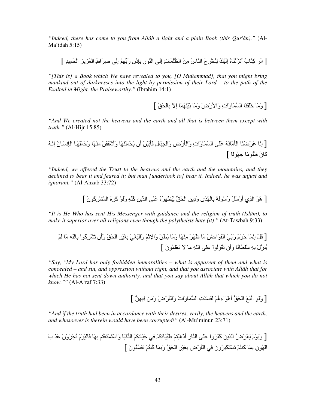*"Indeed, there has come to you from Allâh a light and a plain Book (this Qur'ân)."* (Al-Ma'idah 5:15)

[ الر كِتَابٌ أنزِلَنَاهُ إِلَيْكَ لِتُخْرِجَ النَّاسَ مِنَ الظُّلُمَاتِ إِلَى النُّورِ بِإِدْنِ رَبِّهِمْ إِلَى صِرِ َاطِ الْعَزِيزِ الْحَمِيدِ ]

*"[This is] a Book which We have revealed to you, [O Muúammad], that you might bring mankind out of darknesses into the light by permission of their Lord – to the path of the Exalted in Might, the Praiseworthy."* (Ibrahim 14:1)

[وَمَا خَلْقْنَا السَّمَاوَاتِ وَالأَرْضَ وَمَا بَيْنَهُمَا إِلاَّ بِالْحَقِّ ]

*"And We created not the heavens and the earth and all that is between them except with truth."* (Al-Hijr 15:85)

[ إ-2ِ َDَCْH-َ اْLَ"َ2-َ\*َ ََB ا -َوَاتِ وَاْLَرْضِ وَاِ%ْ@-َلِ َLَ7َْ!َ أَن ْ9َ ِْH-ََ وَأَmَْ=ْ!َ" ِH-َْ وَTَ -َََ اْV2ِ-َنُ إ2ِSُ آ-َنَ َُ)"-ً َُ0)-ً ]

*"Indeed, we offered the Trust to the heavens and the earth and the mountains, and they declined to bear it and feared it; but man [undertook to] bear it. Indeed, he was unjust and ignorant."* (Al-Ahzab 33:72)

[ هُوَ الَّذِي أَرْسَلَ رَسُولَهُ بِالْهُدَى وَدِينِ الْحَقِّ لِيُظْهِرَهُ عَلَى الدِّينِ كُلَّهِ وَلَوْ كَرِهَ الْمُشْرِكُونَ ]

*"It is He Who has sent His Messenger with guidance and the religion of truth (Islâm), to make it superior over all religions even though the polytheists hate (it)."* (At-Tawbah 9:33)

[ ْ#ُ إ2ِ -َ TَDمَ رَ.17َ اَْ)َاTَِ" -َ ََDَ" ِH-َْ وَ"-َ َ7nَ!َ وَاِEَْ وَاْ@َrَ.ْ ِ7rَْDِ اَ9ْR1 وَأَن &ُQْDِآُ)اْ ّ-ِ7Sِ" -َ َْ ُHَd1لْ ِ7Sِ ُْn-ً2-َ وَأَن &َ=ُ)ُ)اْ ََB اّSِ" -َ; َ& َْ\$َ ُ(نَ ]

*"Say, "My Lord has only forbidden immoralities – what is apparent of them and what is concealed – and sin, and oppression without right, and that you associate with All*ā*h that for which He has not sent down authority, and that you say about All*ā*h that which you do not know.""* (Al-A'raf 7:33)

[وَلَو اتَّبَعَ الْحَقُّ أهْوَاءهُمْ لَفَسَدَتِ السَّمَاوَاتُ وَالنَّارْضُ وَمَن فِيهِنَّ ]

*"And if the truth had been in accordance with their desires, verily, the heavens and the earth, and whosoever is therein would have been corrupted!"* (Al-Mu'minun 23:71)

[ وََ)ْمَ ْ\$ُDَضُ اZِ!َ آََDُوا ََB اH-رِ أَذْهَ@ْGُْ Pَ1@-َ&ُْ3ِ .ِ Tَ-َ&ُُ3ِ ا ْ26-َ وَاْGَ ْGْ\$َGُ -َِ7 ْ-ََ(ْمَ &ْ%ُdَوْنَ َZَابَ اُْ)نِ ِ7 -َ آُGHُْ& َْGْ3َ@ِDُونَ .ِ اْLَرْضِ ِ7rَْDِ اَ9ْR1 وِ7َ -َ آُGHُْ& َُْ=ُ(نَ ]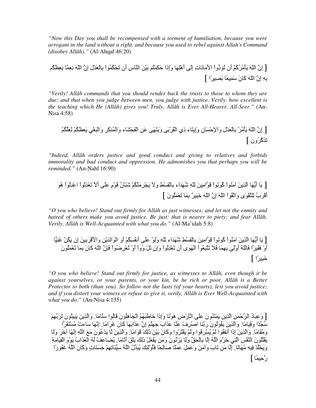*"Now this Day you shall be recompensed with a torment of humiliation, because you were arrogant in the land without a right, and because you used to rebel against Allah's Command (disobey Allâh)."* (Al-Ahqaf 46:20)

[ إِن اّSَ َLْ"ُDُآُْ أَن &ُIد6واْ ا
َ"-َ2-َتِ إَِB أَه-َِْ وَإِذَا Tَ3َ ْGُ َ7ْ!َ اH-سِ أَن &ُ3ْ9َ ُ)اْ َ\$ْ-ِ7 ْلِ إِن اّSَ ِ\$ِ2 - ِ\$َ^ُ3ُ ِ7Sِ إِن اّSَ آ-َنَ َ ِ-ً\$ َ7`ِDًا ]

*"Verily! Allâh commands that you should render back the trusts to those to whom they are due; and that when you judge between men, you judge with justice. Verily, how excellent is the teaching which He (Allâh) gives you! Truly, Allâh is Ever All-Hearer, All-Seer."* (An-Nisa 4:58)

[ إِن اّSَ َLْ"ُDُ َ\$ْ-ِ7 ْلِ وَاِTْ-َنِ وَإِG-َء ذِي اْ=ُDَ7ْB وََHَْB َ!ِ اْ9َْQ-َء وَاْ ُHَ3Dِ وَاْ@َrِ.ْ ِ\$َ^ُْ3ُ ُْ3َ\$َ &َZَآDُونَ ]

*"Indeed, All*ā*h orders justice and good conduct and giving to relatives and forbids immorality and bad conduct and oppression. He admonishes you that perhaps you will be reminded."* (An-Nahl 16:90)

[ -َ أَ-َ6 اZِ!َ "َHُ(اْ آُ)ُ2)اْ َ)ا"ِ!َ ِّSِ mَُ َاء ْ-ِ7=ِِْ وَ;َ ْ%َDِ"َHُْ3 mَHَqنُ َ)ْمٍ ََB أَ; &ْ\$َ ُِ)اْ اْ ُِ)اْ هُ)َ أَْDَبُ ِG=ْ(َى وَا&=ُ)اْ اّSَ إِن اّSَ َ+@ِDٌ ِ7 -َ& ْ\$َ َُ(نَ ]

*"O you who believe! Stand out firmly for Allâh as just witnesses; and let not the enmity and hatred of others make you avoid justice. Be just: that is nearer to piety; and fear Allâh. Verily, Allâh is Well-Acquainted with what you do."* (Al-Ma'idah 5:8)

[ -َ أَ-َ6 اZِ!َ "َHُ(اْ آُ)ُ2)اْ َ)ا"ِ!َ ْ-ِ7=ِِْ mَُ َاء ِّSِ وََ)ْ ََB أُ2َُْ3ِ أَوِ اْ)َاِ َْ!ِ وَا
َْDِ7َ!َ إِن ُ3َ!ْ oَHِ{-أَوْ َ=َDًا ّ-َSُ أَوَْB ِِ7 -َ َ5َ& َG@ُ\$ِ(اْ اَْ)َى أَن &ْ\$َ ُِ)اْ وَإِن &ْ#َ وُواْ أَوْ &ْ\$ُDِCُ(اْ َVِن اّSَ آ-َنَ ِ7 -َ &ْ\$َ َُ)نَ َ+@ِDًا ]

*"O you who believe! Stand out firmly for justice, as witnesses to Allâh, even though it be against yourselves, or your parents, or your kin, be he rich or poor, Allâh is a Better Protector to both (than you). So follow not the lusts (of your hearts), lest you avoid justice; and if you distort your witness or refuse to give it, verily, Allâh is Ever Well-Acquainted with what you do."* (An-Nisa 4:135)

[وَعِبَادُ الرَّحْمَنِ الَّذِينَ يَمْشُونَ عَلَى الْأَرْضِ هَوْنًا وَإِذَا خَاطَبَهُمُ الْجَاهِلُونَ قَالُوا سَلَامًا. وَالَّذِينَ يَبِيثُونَ لِرَبِّهِمْ سُجَّدًا وَقِيَامًا. وَالَّذِينَ يَقُولُونَ رَبَّنَا اصْرِفْ عَذَّا عَذَابَ جَهَنَّمَ إِنَّ عَذَابَهَا كَانَ غَرَامًا. إِنَّهَا سَاءتْ مُسْتَقَرَّا وَمُقَامًا. وَالَّذِينَ إِذَا أَنفَقُوا لَمْ يُسْرِفُوا وَلَمْ يَقْتُرُوا وَكَانَ بَيْنَ ذَلِكَ قَوَامًا. وَالَّذِينَ لَا يَدْعُونَ مَعَ اللَّهِ إِلَيَّا أَخَرَ وَلَا يَقْتُلُونَ النَّفْسَ الَّتِي حَرَّمَ اللَّهُ إِلَّا بِالْحَقِّ وَلَا يَرْتُونَ وَمَن يَفْعَلْ ذَٰلِكَ يَلْقَ أَنَّامًا. يُضَاعَفْ لَهُ الْعَذَابُ يَوْمَ الْقِيَامَةِ وَيَخْلُدْ فِيهِ مُهَانًا. إِلَّا مَن تَابَ وَأَمَنَ وَعَمِلَ عَمَلًا صَالِحًا فَأَوْلَئِكَ يُبَدِّلُ اللَّهُ سَيِّئَاتِهِمْ حَسَنَاتٍ وَكَانَ اللَّهُ غَفُورًا رَّحِيمًا ]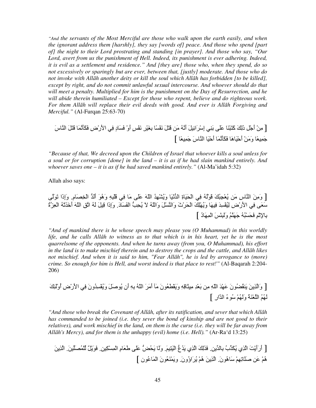*"And the servants of the Most Merciful are those who walk upon the earth easily, and when the ignorant address them [harshly], they say [words of] peace. And those who spend [part of] the night to their Lord prostrating and standing [in prayer]. And those who say, "Our*  Lord, avert from us the punishment of Hell. Indeed, its punishment is ever adhering. Indeed, *it is evil as a settlement and residence." And [they are] those who, when they spend, do so not excessively or sparingly but are ever, between that, [justly] moderate. And those who do not invoke with All*ā*h another deity or kill the soul which All*ā*h has forbidden [to be killed], except by right, and do not commit unlawful sexual intercourse. And whoever should do that will meet a penalty. Multiplied for him is the punishment on the Day of Resurrection, and he will abide therein humiliated – Except for those who repent, believe and do righteous work. For them All*ā*h will replace their evil deeds with good. And ever is All*ā*h Forgiving and Merciful."* (Al-Furqan 25:63-70)

[ مِنْ أَجْلِ ذَلِكَ كَتَبْنَا عَلَى بَنِي إِسْرَائِيلَ أَنَّهُ مَن قَتَلَ نَفْسًا بِغَيْرِ نَفْسٍ أَوْ فَسَادٍ فِي الأَرْضِ فَكَأَنَّمَا قَتَلَ النَّاسَ جَمِيعًا وَمَنْ أَحْيَاهَا فَكَأَنَّمَا أَحْيَا النَّاسَ جَمِيعًا ]

*"Because of that, We decreed upon the Children of Israel that whoever kills a soul unless for a soul or for corruption [done] in the land – it is as if he had slain mankind entirely. And whoever saves one – it is as if he had saved mankind entirely."* (Al-Ma'idah 5:32)

Allah also says:

[ وَمِنَ النَّاسِ مَن يُعْجِبُكَ قَوْلُهُ فِي الْحَيَاةِ الدُّنْيَا وَيُشْهِدُ اللّهَ عَلَى مَا فِي قَلْبِهِ وَهُوَ أَلدُّ الْخِصَامِ. وَإِذَا تَوَلَّى سَعَى فِي الأَرْضِ لِيُفْسِدَ فِيهَا وَيُهْلِكَ الْحَرْثَ وَالنَّسْلَ وَاللَّهُ لاَ يُحِبُّ الْفَسَادَ. وَإِذَا قِيلَ لَهُ اتَّقِ اللهَ أَخَذَتْهُ الْعِزَّةُ بِالإِنْمِ فَحَسْبُهُ جَهَنَّمُ وَلَبِئْسَ الْمِهَادُ ]

*"And of mankind there is he whose speech may please you (O Muhammad) in this worldly life, and he calls Allâh to witness as to that which is in his heart, yet he is the most quarrelsome of the opponents. And when he turns away (from you, O Muhammad), his effort in the land is to make mischief therein and to destroy the crops and the cattle, and Allâh likes not mischief. And when it is said to him, "Fear Allâh", he is led by arrogance to (more) crime. So enough for him is Hell, and worst indeed is that place to rest!"* (Al-Baqarah 2:204- 206)

[ وَاZِ!َ َH=ُeُ(نَ َْ َ اّSِ" ِ !ْ\$َ7 ِ" ِuِ-َSِ وََ=ْnُ\$َ(نَ "َq أَ"َDَ اّSُ ِ7Sِ أَن ُ)Fَ#َ وَُِْ ُونَ .ِ ا
َرْضِ أُوَْMَِ َُُ اْ\$Hَ\*ُ وََُْ ُ)ءُ ا ارِ ]

*"And those who break the Covenant of Allâh, after its ratification, and sever that which Allâh has commanded to be joined (i.e. they sever the bond of kinship and are not good to their relatives), and work mischief in the land, on them is the curse (i.e. they will be far away from Allâh's Mercy), and for them is the unhappy (evil) home (i.e. Hell)."* (Ar-Ra'd 13:25)

[ أَرَأَْNَ اZِي َ3ُZ1بُ -ِ7 1!.ِ َZََِ اZِي َ ُع6 اَْGِ.َ و-ََ ُ9َ~6 ََB P-َ\$َمِ اْ ِِ3ْ!.ِ َ)ٌَ#ْ ْ1 ُ`1َ!.َ اZِ!َ هُْ َ! F-ََ&ِِْ -َهُ)ن.َ اZِ!َ هُْ ُDَاؤُون.َ وَ ْHُ\$َ(نَ اْ ُ-َ)ن ]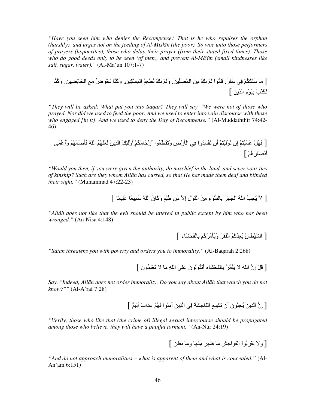*"Have you seen him who denies the Recompense? That is he who repulses the orphan (harshly), and urges not on the feeding of Al-Miskîn (the poor). So woe unto those performers of prayers (hypocrites), those who delay their prayer (from their stated fixed times). Those who do good deeds only to be seen (of men), and prevent Al-Mâ'ûn (small kindnesses like salt, sugar, water)."* (Al-Ma'un 107:1-7)

[ "-َ ُْ3َ3ََ .ِ َ=َD.َ ُ-َ(ا َْ َُ2 "ِ!َ اْ ُ`1َ!.َ وََْ َُ2 ُ2nُِ\$ْ اْ ِِ3ْ!. وَآُH- َ2Uُ(ضُ "َfَ اْUِ4-َeِ!.َ وَآُH- َ3ُ2Z1بُ ِ7َ)ْمِ ا 1!ِ ]

*"They will be asked: What put you into Saqar? They will say, "We were not of those who prayed. Nor did we used to feed the poor. And we used to enter into vain discourse with those who engaged [in it]. And we used to deny the Day of Recompense."* (Al-Muddaththir 74:42- 46)

[ ْ#ََ ََْGُْ إِن &َ)َْGُْ أَن &ُِْ ُوا .ِ اْLَرْضِ وَ&ُ=َnُ\$1(ا أَرْT-َ".ُْ3َأُوَْMَِ اZِ!َ َ\$َHَُُ اSُ َLَFَ ُْ وَأَْ َB أْ7َ`-َرَهُْ ]

*"Would you then, if you were given the authority, do mischief in the land, and sever your ties of kinship? Such are they whom Allâh has cursed, so that He has made them deaf and blinded their sight."* (Muhammad 47:22-23)

[ لأَ يُحِبُّ اللّهُ الْجَهْرَ بِالسُّوَءِ مِنَ الْقَوْلِ إِلاَّ مَن ظُلِمَ وَكَانَ اللّهُ سَمِيعًا عَلِيمًا ]

*"Allâh does not like that the evil should be uttered in public except by him who has been wronged."* (An-Nisa 4:148)

[ اQْn-َنُ ِ\$َ ُآُُ اَْ=ْDَ وََLْ"ُDُآُ ْ9َْ-ِ7Q-َء ]

*"Satan threatens you with poverty and orders you to immorality."* (Al-Baqarah 2:268)

[ فْلْ إِنَّ اللَّهَ لاَ يَأْمُرُ بِالْفَحْشَاءِ أَتَقُولُونَ عَلَى اللَّهِ مَا لاَ تَعْلَمُونَ ]

*Say, "Indeed, All*ā*h does not order immorality. Do you say about All*ā*h that which you do not know?""* (Al-A'raf 7:28)

[ إِن اZِ!َ ِ9ُ@6(نَ أَن &َQِfَ ا-َْTِQَ\*ُ .ِ اZِ!َ "َHُ(ا َُْ َZَابٌ أٌَِ ]

*"Verily, those who like that (the crime of) illegal sexual intercourse should be propagated among those who believe, they will have a painful torment."* (An-Nur 24:19)

[وَلاَ تَقْرَبُواْ الْفَوَاحِشَ مَا ظَهَرَ مِنْهَا وَمَا بَطْنَ ]

*"And do not approach immoralities – what is apparent of them and what is concealed."* (Al-An'am 6:151)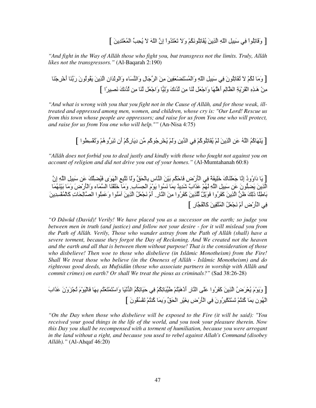[ وَقَاتِلُواْ فِي سَبِيلِ اللَّهِ الَّذِينَ يُقَاتِلُونَكُمْ وَلاَ تَعْتَدُواْ إِنَّ اللَّهَ لاَ يُحِبِّ الْمُعْتَدِينَ ]

*"And fight in the Way of Allâh those who fight you, but transgress not the limits. Truly, Allâh likes not the transgressors."* (Al-Baqarah 2:190)

[وَمَا لَكُمْ لا تُقَاتِلُونَ فِي سَبِيلِ اللَّهِ وَالْمُسْتَضْعَفِينَ مِنَ الرِّجَالِ وَالنِّسَاءِ وَالْوِلْدَانِ الَّذِينَ يَقُولُونَ رَبَّنَا أُخْرِجْنَا مِنْ هَـذِهِ الْقَرْيَةِ الظَّالِمِ أَهْلُهَا وَاجْعَل لَنَا مِن لَدُنكَ وَلِيًّا وَاجْعَل لَنَا مِن لَدُنكَ نَصيبرًا ]

*"And what is wrong with you that you fight not in the Cause of Allâh, and for those weak, illtreated and oppressed among men, women, and children, whose cry is: "Our Lord! Rescue us from this town whose people are oppressors; and raise for us from You one who will protect, and raise for us from You one who will help.""* (An-Nisa 4:75)

[ يَنْهَاكُمُ اللَّهُ عَنِ الَّذِينَ لَمْ يُقَاتِلُوكُمْ فِي الدِّينِ وَلَمْ يُخْرِجُوكُم مِّن دِيَارِكُمْ أَن تَبَرُّو هُمْ وَتُقْسِطُوا ]

*"Allâh does not forbid you to deal justly and kindly with those who fought not against you on account of religion and did not drive you out of your homes."* (Al-Mumtahanah 60:8)

[ يَا دَاوُودُ إِنَّا جَعَلْنَاكَ خَلِيفَةً فِي الْأَرْضِ فَاحْكُم بَيْنَ النَّاسِ بِالْحَقِّ وَلَا تَتَّبِعِ الْهَوَى فَيُضلِّكَ عَن سَبِيلِ اللَّهِ إِنَّ الَّذِينَ يَضْلِّونَ عَن سَبِيلِ اللَّهِ لَهُمْ عَذَابٌ شَدِيدٌ بِمَا نَسُوا يَوْمَ الْحِسَابِ وَمَا خَلَقْنَا السَّمَاء وَالْأَرْضَ وَمَا بَيْنَهُمَا بَاطِلًا ذَٰلِكَ طْنُ الَّذِينَ كَفَرُوا فَوَيْلُ لِّلْذِينَ كَفَرُوا مِنَ النَّارِ ِ لَمْ نَجْعَلُ الَّذِينَ آمَنُوا وَعَمِلُوا الصَّالِحَاتِ كَالْمُفْسِدِينَ فِي الْأَرْضِ أَمْ نَجْعَلُ الْمُتَّقِينَ كَالْفُجَّارِ ]

*"O Dâwûd (David)! Verily! We have placed you as a successor on the earth; so judge you between men in truth (and justice) and follow not your desire - for it will mislead you from the Path of Allâh. Verily, Those who wander astray from the Path of Allâh (shall) have a severe torment, because they forgot the Day of Reckoning. And We created not the heaven and the earth and all that is between them without purpose! That is the consideration of those who disbelieve! Then woe to those who disbelieve (in Islâmic Monotheism) from the Fire! Shall We treat those who believe (in the Oneness of Allâh - Islâmic Monotheism) and do righteous good deeds, as Mufsidûn (those who associate partners in worship with Allâh and commit crimes) on earth? Or shall We treat the pious as criminals?"* (Sad 38:26-28)

[وَيَوْمَ يُعْرَضُ الَّذِينَ كَفَرُوا عَلَى النَّارِ أَدْهَبْتُمْ طَيِّبَاتِكُمْ فِي حَيَاتِكُمُ الدُّنْيَا وَاسْتَمْتَعْتُم بِهَا فَالْيَوْمَ تُجْزَوْنَ عَذَابَ الْهُونِ بِمَا كُنْتُمْ تَسْتَكْبِرُونَ فِي الْأَرْضِ بِغَيْرِ الْحَقِّ وَبِمَا كُنْتُمْ تَفْسُفُونَ ]

*"On the Day when those who disbelieve will be exposed to the Fire (it will be said): "You received your good things in the life of the world, and you took your pleasure therein. Now this Day you shall be recompensed with a torment of humiliation, because you were arrogant in the land without a right, and because you used to rebel against Allah's Command (disobey Allâh)."* (Al-Ahqaf 46:20)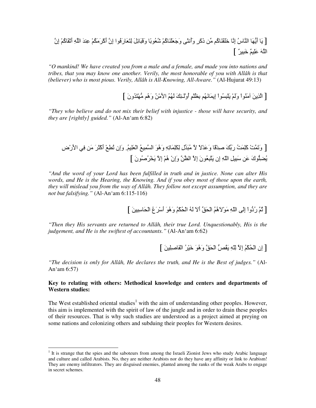[-َ أَ-َ6 اH-سُ إ-2ِ ََ+=ْH-َآُ "1! ذَآَDٍ وَأ2ُuَB وَْ\$َ0َH-َآُْ mُ\$ُ(-ً7 وََ@َ#ِ4-َ ِG-َ\$َرَُ)ا إِن أَآْDَ"ُْ3َ ِH َ اSِ أَ&ْ=-َآُْ إِن [ ٌDِ@َ+ ٌَِ َSا

*"O mankind! We have created you from a male and a female, and made you into nations and tribes, that you may know one another. Verily, the most honorable of you with Allâh is that (believer) who is most pious. Verily, Allâh is All-Knowing, All-Aware."* (Al-Hujurat 49:13)

[ الّذِينَ آمَنُوا وَلَمْ يَلْبِسُواْ إِيمَانَهُم بِظُلْمٍ أُوْلَـئِكَ لَهُمُ الأَمْنُ وَهُم مُّهْتَدُونَ ]

*"They who believe and do not mix their belief with injustice - those will have security, and they are [rightly] guided."* (Al-An'am 6:82)

[ وَ&َ Nْ آَِ َNُ رَ17َ Fِ -ًْ وََ ْ;ً ; "ُ@َ 1لِ َِ3ِ -َ&ِSِ وَهُ)َ ا ِfُ اَِ\$ْ.ُ وَإِن &ُnِfْ أَآْuَDَ" َ !.ِ ا
َرْضِ ُe6ِ(كَ َ! َ@ِِ# اّSِ إِن َG@ُ\$ِ(نَ إِ; ا^! وَإِنْ هُْ إِ; َUْDُFُ(نَ ]

*"And the word of your Lord has been fulfilled in truth and in justice. None can alter His words, and He is the Hearing, the Knowing. And if you obey most of those upon the earth, they will mislead you from the way of All*ā*h. They follow not except assumption, and they are not but falsifying."* (Al-An'am 6:115-116)

[ ثُمَّ رُدُّواْ إِلَى اللَّهِ مَوْلاَهُمُ الْحَقِّ أَلاَ لَهُ الْحُكْمُ وَهُوَ أَسْرَعُ الْحَاسِبِينَ ]

*"Then they His servants are returned to All*ā*h, their true Lord. Unquestionably, His is the judgement, and He is the swiftest of accountants."* (Al-An'am 6:62)

[ إن الْحُكْمُ إِلاَّ لِلَّهِ يَقْصُّ الْحَقَّ وَهُوَ خَيْرُ الْفَاصِلِينَ ]

*"The decision is only for Allâh, He declares the truth, and He is the Best of judges."* (Al-An'am 6:57)

#### **Key to relating with others: Methodical knowledge and centers and departments of Western studies:**

The West established oriental studies<sup>1</sup> with the aim of understanding other peoples. However, this aim is implemented with the spirit of law of the jungle and in order to drain these peoples of their resources. That is why such studies are understood as a project aimed at preying on some nations and colonizing others and subduing their peoples for Western desires.

-

<sup>&</sup>lt;sup>1</sup> It is strange that the spies and the saboteurs from among the Israeli Zionist Jews who study Arabic language and culture and called Arabists. No, they are neither Arabists nor do they have any affinity or link to Arabism! They are enemy infiltrators. They are disguised enemies, planted among the ranks of the weak Arabs to engage in secret schemes.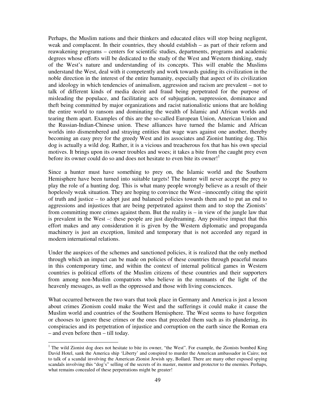Perhaps, the Muslim nations and their thinkers and educated elites will stop being negligent, weak and complacent. In their countries, they should establish – as part of their reform and reawakening programs – centers for scientific studies, departments, programs and academic degrees whose efforts will be dedicated to the study of the West and Western thinking, study of the West's nature and understanding of its concepts. This will enable the Muslims understand the West, deal with it competently and work towards guiding its civilization in the noble direction in the interest of the entire humanity, especially that aspect of its civilization and ideology in which tendencies of animalism, aggression and racism are prevalent – not to talk of different kinds of media deceit and fraud being perpetrated for the purpose of misleading the populace, and facilitating acts of subjugation, suppression, dominance and theft being committed by major organizations and racist nationalistic unions that are holding the entire world to ransom and dominating the wealth of Islamic and African worlds and tearing them apart. Examples of this are the so-called European Union, American Union and the Russian-Indian-Chinese union. These alliances have turned the Islamic and African worlds into dismembered and straying entities that wage wars against one another, thereby becoming an easy prey for the greedy West and its associates and Zionist hunting dog. This dog is actually a wild dog. Rather, it is a vicious and treacherous fox that has his own special motives. It brings upon its owner troubles and woes; it takes a bite from the caught prey even before its owner could do so and does not hesitate to even bite its owner!

Since a hunter must have something to prey on, the Islamic world and the Southern Hemisphere have been turned into suitable targets! The hunter will never accept the prey to play the role of a hunting dog. This is what many people wrongly believe as a result of their hopelessly weak situation. They are hoping to convince the West –innocently citing the spirit of truth and justice – to adopt just and balanced policies towards them and to put an end to aggressions and injustices that are being perpetrated against them and to stop the Zionists' from committing more crimes against them. But the reality is – in view of the jungle law that is prevalent in the West –: these people are just daydreaming. Any positive impact that this effort makes and any consideration it is given by the Western diplomatic and propaganda machinery is just an exception, limited and temporary that is not accorded any regard in modern international relations.

Under the auspices of the schemes and sanctioned policies, it is realized that the only method through which an impact can be made on policies of these countries through peaceful means in this contemporary time, and within the context of internal political games in Western countries is political efforts of the Muslim citizens of these countries and their supporters from among non-Muslim compatriots who believe in the remnants of the light of the heavenly messages, as well as the oppressed and those with living consciences.

What occurred between the two wars that took place in Germany and America is just a lesson about crimes Zionism could make the West and the sufferings it could make it cause the Muslim world and countries of the Southern Hemisphere. The West seems to have forgotten or chooses to ignore these crimes or the ones that preceded them such as its plundering, its conspiracies and its perpetration of injustice and corruption on the earth since the Roman era – and even before then – till today.

-

<sup>&</sup>lt;sup>1</sup> The wild Zionist dog does not hesitate to bite its owner, "the West". For example, the Zionists bombed King David Hotel, sank the America ship 'Liberty' and conspired to murder the American ambassador in Cairo; not to talk of a scandal involving the American Zionist Jewish spy, Bollard. There are many other exposed spying scandals involving this "dog's" selling of the secrets of its master, mentor and protector to the enemies. Perhaps, what remains concealed of these perpetrations might be greater!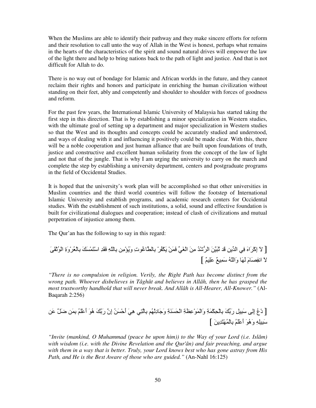When the Muslims are able to identify their pathway and they make sincere efforts for reform and their resolution to call unto the way of Allah in the West is honest, perhaps what remains in the hearts of the characteristics of the spirit and sound natural drives will empower the law of the light there and help to bring nations back to the path of light and justice. And that is not difficult for Allah to do.

There is no way out of bondage for Islamic and African worlds in the future, and they cannot reclaim their rights and honors and participate in enriching the human civilization without standing on their feet, ably and competently and shoulder to shoulder with forces of goodness and reform.

For the past few years, the International Islamic University of Malaysia has started taking the first step in this direction. That is by establishing a minor specialization in Western studies, with the ultimate goal of setting up a department and major specialization in Western studies so that the West and its thoughts and concepts could be accurately studied and understood, and ways of dealing with it and influencing it positively could be made clear. With this, there will be a noble cooperation and just human alliance that are built upon foundations of truth, justice and constructive and excellent human solidarity from the concept of the law of light and not that of the jungle. That is why I am urging the university to carry on the march and complete the step by establishing a university department, centers and postgraduate programs in the field of Occidental Studies.

It is hoped that the university's work plan will be accomplished so that other universities in Muslim countries and the third world countries will follow the footstep of International Islamic University and establish programs, and academic research centers for Occidental studies. With the establishment of such institutions, a solid, sound and effective foundation is built for civilizational dialogues and cooperation; instead of clash of civilizations and mutual perpetration of injustice among them.

The Qur'an has the following to say in this regard:

 َBَ=ْEُ(ْا ِةَوْDُ\$ْ-ِ7 ََْ َGْا ِ َ=َ ِSّ-ِ7 !ِ"ْIَُو ِت)ُon-ِ7 ْDُْ3َ ْ!َ َ 1.َrْا َ!ِ "ُ ْm6Dا َ!َ@ &َ ِ!1 ا .ِ َxاَDْآِإ َ[ ; ;َ اِ2`-َمَ -ََ وَاّSُ َ ِfٌ ٌَِ[

*"There is no compulsion in religion. Verily, the Right Path has become distinct from the wrong path. Whoever disbelieves in Tâghût and believes in Allâh, then he has grasped the most trustworthy handhold that will never break. And Allâh is All-Hearer, All-Knower."* (Al-Baqarah 2:256)

[ دْعُ إِِB َ@ِِ# رَ17َ ْ3ِ9ْ-ِ7 َ\*ِ وَاْ َ)ِْ^َ\*ِ اَ9َْHَ\*ِ و-َ0َدُِْ -ِ7G.ِ هَ.ِ أَTَْ!ُ إِن رَ7َ هُ)َ أََُْ ِ7 َ! C#َ َ ! َ@ِِSِ وَهُ)َ أََُْ ْ-ِ7 ُْGَ ِ!َ[

*"Invite (mankind, O Muhammad (peace be upon him)) to the Way of your Lord (i.e. Islâm) with wisdom (i.e. with the Divine Revelation and the Qur'ân) and fair preaching, and argue with them in a way that is better. Truly, your Lord knows best who has gone astray from His Path, and He is the Best Aware of those who are guided."* (An-Nahl 16:125)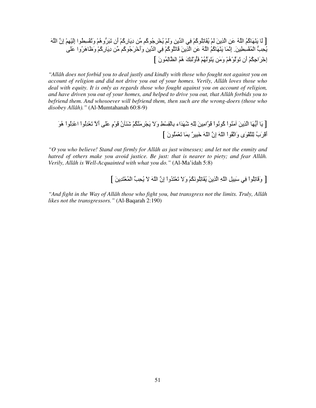### [ لَا يَنْهَاكُمُ اللَّهُ عَنِ الَّذِينَ لَمْ يُقَاتِلُوكُمْ فِي الدِّينِ وَلَمْ يُخْرِجُوكُم مِّن دِيَارِكُمْ أَن تَبَرُّوهُمْ وَتُقْسِطُوا إِلَيْهِمْ إِنَّ اللَّهَ يُحِبُّ الْمُقْسِطِينَ ِ إِنَّمَا يَنْهَاكُمُ اللَّهُ عَنِ الَّذِينَ قَاتَلُوكُمْ فِي الدِّينِ وَأَخْرَجُوكُم مِّن دِيَارِكُمْ وَظَاهَرُوا عَلَى إِخْرَاجِكُمْ أَن تَوَلَّوْهُمْ وَمَن يَتَوَلَّهُمْ فَأُوْلَٰئِكَ هُمُ الظَّالِمُونَ ]

*"Allâh does not forbid you to deal justly and kindly with those who fought not against you on account of religion and did not drive you out of your homes. Verily, Allâh loves those who deal with equity. It is only as regards those who fought against you on account of religion, and have driven you out of your homes, and helped to drive you out, that Allâh forbids you to befriend them. And whosoever will befriend them, then such are the wrong-doers (those who disobey Allâh)."* (Al-Mumtahanah 60:8-9)

### [ يَا أَيُّهَا الَّذِينَ آمَنُوا كُونُوا قَوَّامِينَ لِلَّهِ شُهَدَاء بِالْقِسْطِ وَلا يَجْرِمَنَّكُمْ شَنَآنُ قَوْمٍ عَلَى أَلاَّ تَعْدِلُوا اعْدِلُوا هُوَ أَقْرَبُ لِلنَّقْوَى وَاتَّقُواْ اللّهَ إِنَّ اللّهَ خَبِيرٌ بِمَا تَعْمَلُونَ ]

*"O you who believe! Stand out firmly for Allâh as just witnesses; and let not the enmity and hatred of others make you avoid justice. Be just: that is nearer to piety; and fear Allâh. Verily, Allâh is Well-Acquainted with what you do."* (Al-Ma'idah 5:8)

[ وَقَاتِلُواْ فِي سَبِيلِ اللَّهِ الَّذِينَ يُقَاتِلُونَكُمْ وَلاَ تَعْتَدُواْ إِنَّ اللَّهَ لاَ يُحِبِّ الْمُعْتَدِينَ ]

*"And fight in the Way of Allâh those who fight you, but transgress not the limits. Truly, Allâh likes not the transgressors."* (Al-Baqarah 2:190)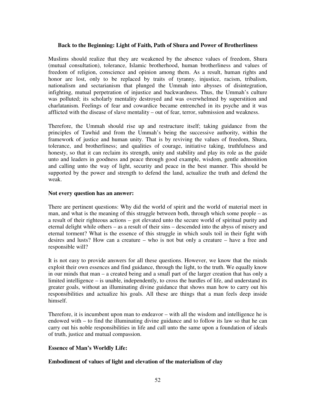#### **Back to the Beginning: Light of Faith, Path of Shura and Power of Brotherliness**

Muslims should realize that they are weakened by the absence values of freedom, Shura (mutual consultation), tolerance, Islamic brotherhood, human brotherliness and values of freedom of religion, conscience and opinion among them. As a result, human rights and honor are lost, only to be replaced by traits of tyranny, injustice, racism, tribalism, nationalism and sectarianism that plunged the Ummah into abysses of disintegration, infighting, mutual perpetration of injustice and backwardness. Thus, the Ummah's culture was polluted; its scholarly mentality destroyed and was overwhelmed by superstition and charlatanism. Feelings of fear and cowardice became entrenched in its psyche and it was afflicted with the disease of slave mentality – out of fear, terror, submission and weakness.

Therefore, the Ummah should rise up and restructure itself; taking guidance from the principles of Tawhid and from the Ummah's being the successive authority, within the framework of justice and human unity. That is by reviving the values of freedom, Shura, tolerance, and brotherliness; and qualities of courage, initiative taking, truthfulness and honesty, so that it can reclaim its strength, unity and stability and play its role as the guide unto and leaders in goodness and peace through good example, wisdom, gentle admonition and calling unto the way of light, security and peace in the best manner. This should be supported by the power and strength to defend the land, actualize the truth and defend the weak.

#### **Not every question has an answer:**

There are pertinent questions: Why did the world of spirit and the world of material meet in man, and what is the meaning of this struggle between both, through which some people – as a result of their righteous actions – got elevated unto the secure world of spiritual purity and eternal delight while others – as a result of their sins – descended into the abyss of misery and eternal torment? What is the essence of this struggle in which souls toil in their fight with desires and lusts? How can a creature – who is not but only a creature – have a free and responsible will?

It is not easy to provide answers for all these questions. However, we know that the minds exploit their own essences and find guidance, through the light, to the truth. We equally know in our minds that man – a created being and a small part of the larger creation that has only a limited intelligence – is unable, independently, to cross the hurdles of life, and understand its greater goals, without an illuminating divine guidance that shows man how to carry out his responsibilities and actualize his goals. All these are things that a man feels deep inside himself.

Therefore, it is incumbent upon man to endeavor – with all the wisdom and intelligence he is endowed with – to find the illuminating divine guidance and to follow its law so that he can carry out his noble responsibilities in life and call unto the same upon a foundation of ideals of truth, justice and mutual compassion.

#### **Essence of Man's Worldly Life:**

#### **Embodiment of values of light and elevation of the materialism of clay**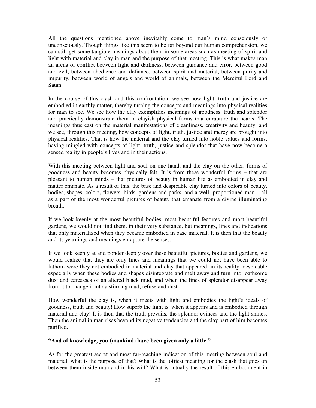All the questions mentioned above inevitably come to man's mind consciously or unconsciously. Though things like this seem to be far beyond our human comprehension, we can still get some tangible meanings about them in some areas such as meeting of spirit and light with material and clay in man and the purpose of that meeting. This is what makes man an arena of conflict between light and darkness, between guidance and error, between good and evil, between obedience and defiance, between spirit and material, between purity and impurity, between world of angels and world of animals, between the Merciful Lord and Satan.

In the course of this clash and this confrontation, we see how light, truth and justice are embodied in earthly matter, thereby turning the concepts and meanings into physical realities for man to see. We see how the clay exemplifies meanings of goodness, truth and splendor and practically demonstrate them in clayish physical forms that enrapture the hearts. The meanings thus cast on the material manifestations of cleanliness, creativity and beauty; and we see, through this meeting, how concepts of light, truth, justice and mercy are brought into physical realities. That is how the material and the clay turned into noble values and forms, having mingled with concepts of light, truth, justice and splendor that have now become a sensed reality in people's lives and in their actions.

With this meeting between light and soul on one hand, and the clay on the other, forms of goodness and beauty becomes physically felt. It is from these wonderful forms – that are pleasant to human minds – that pictures of beauty in human life as embodied in clay and matter emanate. As a result of this, the base and despicable clay turned into colors of beauty, bodies, shapes, colors, flowers, birds, gardens and parks, and a well- proportioned man – all as a part of the most wonderful pictures of beauty that emanate from a divine illuminating breath.

If we look keenly at the most beautiful bodies, most beautiful features and most beautiful gardens, we would not find them, in their very substance, but meanings, lines and indications that only materialized when they became embodied in base material. It is then that the beauty and its yearnings and meanings enrapture the senses.

If we look keenly at and ponder deeply over these beautiful pictures, bodies and gardens, we would realize that they are only lines and meanings that we could not have been able to fathom were they not embodied in material and clay that appeared, in its reality, despicable especially when these bodies and shapes disintegrate and melt away and turn into loathsome dust and carcasses of an altered black mud, and when the lines of splendor disappear away from it to change it into a stinking mud, refuse and dust.

How wonderful the clay is, when it meets with light and embodies the light's ideals of goodness, truth and beauty! How superb the light is, when it appears and is embodied through material and clay! It is then that the truth prevails, the splendor evinces and the light shines. Then the animal in man rises beyond its negative tendencies and the clay part of him becomes purified.

#### **"And of knowledge, you (mankind) have been given only a little."**

As for the greatest secret and most far-reaching indication of this meeting between soul and material, what is the purpose of that? What is the loftiest meaning for the clash that goes on between them inside man and in his will? What is actually the result of this embodiment in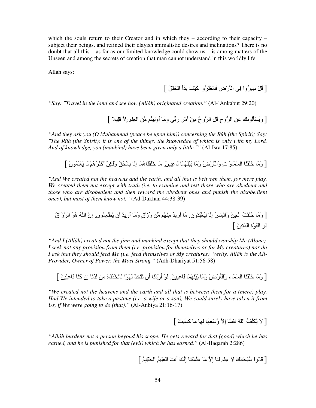which the souls return to their Creator and in which they – according to their capacity – subject their beings, and refined their clayish animalistic desires and inclinations? There is no doubt that all this – as far as our limited knowledge could show us – is among matters of the Unseen and among the secrets of creation that man cannot understand in this worldly life.

Allah says:

[ قُلْ سِيرُوا فِي الْأَرْضِ فَانظُرُوا كَيْفَ بَدَأ الْخَلْقَ ]

*"Say: "Travel in the land and see how (Allâh) originated creation."* (Al-'Ankabut 29:20)

[وَيَسْأَلُونَكَ عَنِ الرُّوحِ قُلِ الرُّوحُ مِنْ أَمْرِ رَبِّي وَمَا أُوتِينُم مِّن الْعِلْمِ إِلاَّ قَلِيلاً ]

*"And they ask you (O Muhammad (peace be upon him)) concerning the Rûh (the Spirit); Say: "The Rûh (the Spirit): it is one of the things, the knowledge of which is only with my Lord. And of knowledge, you (mankind) have been given only a little.""* (Al-Isra 17:85)

[وَمَا خَلْقْنَا السَّمَاوَاتِ وَالْأَرْضَ وَمَا بَيْنَهُمَا لْمَعِيينَ مَا خَلَقْنَاهُمَا إِلَّا بِالْحَقِّ وَلَكِنَّ أَكْثَرَهُمْ لَا يَعْلَمُونَ ]

*"And We created not the heavens and the earth, and all that is between them, for mere play. We created them not except with truth (i.e. to examine and test those who are obedient and those who are disobedient and then reward the obedient ones and punish the disobedient ones), but most of them know not."* (Ad-Dukhan 44:38-39)

[ وَ"-َ ََ+=ْNُ اِ%ْ! وَاْV2ِWَ إ-ِ ِْ\$َ@ُ ُون.ِ "-َ أُرِ ُ "ِHُْ" 1 !ر1زْقٍ وَ"-َ أُرِ ُ أَن ُnِ\$ْ ُ(ن.ِ إِن اSَ هُ)َ اDزاقُ ذُو اْ=ُ)ةِ اْ َGِ!ُ[

*"And I (Allâh) created not the jinn and mankind except that they should worship Me (Alone). I seek not any provision from them (i.e. provision for themselves or for My creatures) nor do I ask that they should feed Me (i.e. feed themselves or My creatures). Verily, Allâh is the All-Provider, Owner of Power, the Most Strong."* (Adh-Dhariyat 51:56-58)

[وَمَا خَلْقْنَا السَّمَاء وَالنَّارْضَ وَمَا بَيْنَهُمَا لْمَعِينَ لِي ْأَرَدْنَا أَن تَّنَّخِذَ لَهْوًا لَاتَّخَذْنَاهُ مِن لَدُنَّا إِن كُنَّا فَاعِلِينَ ]

*"We created not the heavens and the earth and all that is between them for a (mere) play. Had We intended to take a pastime (i.e. a wife or a son), We could surely have taken it from Us, if We were going to do (that)."* (Al-Anbiya 21:16-17)

### [ لاَ يُكَلِّفُ اللّهُ نَفْسًا إلاَّ وُسْعَهَا لَهَا مَا كَسَبَتْ ]

*"Allâh burdens not a person beyond his scope. He gets reward for that (good) which he has earned, and he is punished for that (evil) which he has earned."* (Al-Baqarah 2:286)

[ قَالُواْ سُبْحَانَكَ لاَ عِلْمَ لَنَا إلاَّ مَا عَلَّمْتَنَا إِنَّكَ أنتَ الْعَلِيمُ الْحَكِيمُ ]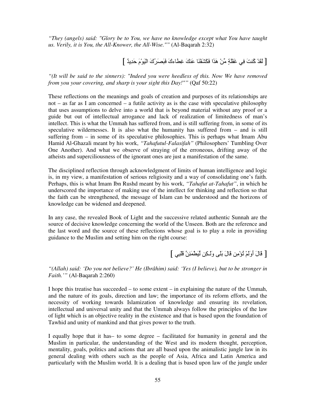*"They (angels) said: "Glory be to You, we have no knowledge except what You have taught us. Verily, it is You, the All-Knower, the All-Wise.""* (Al-Baqarah 2:32)

[ لَقَدْ كُنتَ فِي غَفْلَةٍ مِّنْ هَذَا فَكَشَفْنَا عَنكَ غِطاءكَ فَبَصَرَكَ الْيَوْمَ حَدِيدٌ ]

*"(It will be said to the sinners): "Indeed you were heedless of this. Now We have removed from you your covering, and sharp is your sight this Day!""* (Qaf 50:22)

These reflections on the meanings and goals of creation and purposes of its relationships are not – as far as I am concerned – a futile activity as is the case with speculative philosophy that uses assumptions to delve into a world that is beyond material without any proof or a guide but out of intellectual arrogance and lack of realization of limitedness of man's intellect. This is what the Ummah has suffered from, and is still suffering from, in some of its speculative wildernesses. It is also what the humanity has suffered from – and is still suffering from – in some of its speculative philosophies. This is perhaps what Imam Abu Hamid Al-Ghazali meant by his work, *"Tahafutul-Falasifah"* (Philosophers' Tumbling Over One Another). And what we observe of straying of the erroneous, drifting away of the atheists and superciliousness of the ignorant ones are just a manifestation of the same.

The disciplined reflection through acknowledgment of limits of human intelligence and logic is, in my view, a manifestation of serious religiosity and a way of consolidating one's faith. Perhaps, this is what Imam Ibn Rushd meant by his work, *"Tahafut at-Tahafut"*, in which he underscored the importance of making use of the intellect for thinking and reflection so that the faith can be strengthened, the message of Islam can be understood and the horizons of knowledge can be widened and deepened.

In any case, the revealed Book of Light and the successive related authentic Sunnah are the source of decisive knowledge concerning the world of the Unseen. Both are the reference and the last word and the source of these reflections whose goal is to play a role in providing guidance to the Muslim and setting him on the right course:

[ قَالَ أُوَلَمْ نُؤْمِن قَالَ بَلَى وَلَكِن لّيَطْمَئِنَّ قَلْبِي ]

*"(Allah) said: 'Do you not believe?' He (Ibrâhim) said: 'Yes (I believe), but to be stronger in Faith.'"* (Al-Baqarah 2:260)

I hope this treatise has succeeded – to some extent – in explaining the nature of the Ummah, and the nature of its goals, direction and law; the importance of its reform efforts, and the necessity of working towards Islamization of knowledge and ensuring its revelation, intellectual and universal unity and that the Ummah always follow the principles of the law of light which is an objective reality in the existence and that is based upon the foundation of Tawhid and unity of mankind and that gives power to the truth.

I equally hope that it has– to some degree – facilitated for humanity in general and the Muslim in particular, the understanding of the West and its modern thought, perception, mentality, goals, politics and actions that are all based upon the animalistic jungle law in its general dealing with others such as the people of Asia, Africa and Latin America and particularly with the Muslim world. It is a dealing that is based upon law of the jungle under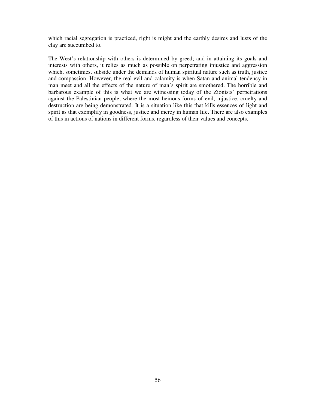which racial segregation is practiced, right is might and the earthly desires and lusts of the clay are succumbed to.

The West's relationship with others is determined by greed; and in attaining its goals and interests with others, it relies as much as possible on perpetrating injustice and aggression which, sometimes, subside under the demands of human spiritual nature such as truth, justice and compassion. However, the real evil and calamity is when Satan and animal tendency in man meet and all the effects of the nature of man's spirit are smothered. The horrible and barbarous example of this is what we are witnessing today of the Zionists' perpetrations against the Palestinian people, where the most heinous forms of evil, injustice, cruelty and destruction are being demonstrated. It is a situation like this that kills essences of light and spirit as that exemplify in goodness, justice and mercy in human life. There are also examples of this in actions of nations in different forms, regardless of their values and concepts.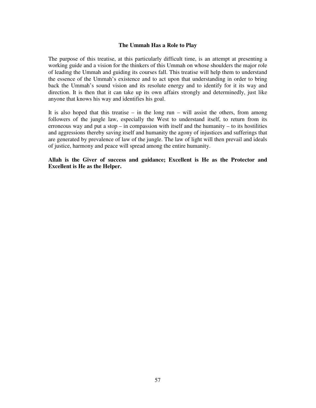#### **The Ummah Has a Role to Play**

The purpose of this treatise, at this particularly difficult time, is an attempt at presenting a working guide and a vision for the thinkers of this Ummah on whose shoulders the major role of leading the Ummah and guiding its courses fall. This treatise will help them to understand the essence of the Ummah's existence and to act upon that understanding in order to bring back the Ummah's sound vision and its resolute energy and to identify for it its way and direction. It is then that it can take up its own affairs strongly and determinedly, just like anyone that knows his way and identifies his goal.

It is also hoped that this treatise – in the long  $run - will$  assist the others, from among followers of the jungle law, especially the West to understand itself, to return from its erroneous way and put a stop  $-$  in compassion with itself and the humanity  $-$  to its hostilities and aggressions thereby saving itself and humanity the agony of injustices and sufferings that are generated by prevalence of law of the jungle. The law of light will then prevail and ideals of justice, harmony and peace will spread among the entire humanity.

**Allah is the Giver of success and guidance; Excellent is He as the Protector and Excellent is He as the Helper.**